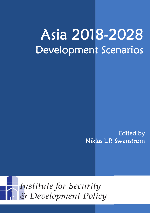# Asia 2018-2028 Development Scenarios

Edited by Niklas L.P. Swanström

Institute for Security & Development Policy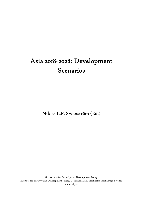# Asia 2018-2028: Development Scenarios

Niklas L.P. Swanström (Ed.)

© Institute for Security and Development Policy

Institute for Security and Development Policy, V. Finnbodav. 2, Stockholm-Nacka 13130, Sweden www.isdp.eu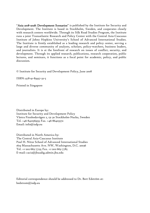"Asia 2018-2028: Development Scenarios" is published by the Institute for Security and Development. The Institute is based in Stockholm, Sweden, and cooperates closely with research centers worldwide. Through its Silk Road Studies Program, the Institute runs a joint Transatlantic Research and Policy Center with the Central Asia-Caucasus Institute of Johns Hopkins University's School of Advanced International Studies. The Institute is firmly established as a leading research and policy center, serving a large and diverse community of analysts, scholars, policy-watchers, business leaders, and journalists. It is at the forefront of research on issues of conflict, security, and development. Through its applied research, publications, research cooperation, public lectures, and seminars, it functions as a focal point for academic, policy, and public discussion.

© Institute for Security and Development Policy, June 2008

ISBN: 978-91-85937-32-5

Printed in Singapore

Distributed in Europe by: Institute for Security and Development Policy Västra Finnbodavägen 2, 131 30 Stockholm-Nacka, Sweden Tel. +46-841056953; Fax. +46-86403370 Email: info@isdp.eu

Distributed in North America by: The Central Asia-Caucasus Institute Paul H. Nitze School of Advanced International Studies 1619 Massachusetts Ave. NW, Washington, D.C. 20036 Tel. +1-202-663-7723; Fax. +1-202-663-7785 E-mail: caci2@jhuadig.admin.jhu.edu

Editorial correspondence should be addressed to Dr. Bert Edström at: bedstrom@isdp.eu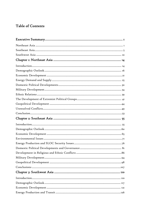# Table of Contents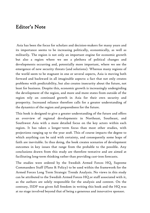# Editor's Note

 Asia has been the focus for scholars and decision-makers for many years and its importance seems to be increasing politically, economically, as well as militarily. The region is not only an important engine for economic growth but also a region where we see a plethora of political changes and developments occurring and, potentially more important, where we see the emergence of new security threats (and solutions). Whereas many regions of the world seem to be stagnant in one or several aspects, Asia is moving both forward and backward in all imaginable aspects: a fact that not only creates problems with predictability, but also creates insecurity about the future, not least for business. Despite this, economic growth is increasingly undergirding the development of the region, and more and more states from outside of the region rely on continued growth in Asia for their own security and prosperity. Increased reliance therefore calls for a greater understanding of the dynamics of the region and preparedness for the future.

This book is designed to give a greater understanding of the future and offers an overview of regional developments in Northeast, Southeast, and Southwest Asia with a more detailed focus on the key actors within each region. It has taken a longer–term focus than most other studies, with projections ranging up to the year 2028. This of course impacts the degree to which anything can be said with certainty, and consequently some leaps of faith are inevitable. In thus doing, the book creates scenarios of development outcomes in key issues that range from the probable to the possible. Any conclusions drawn from this study are therefore tentative and are aimed at facilitating long-term thinking rather than providing cast-iron forecasts.

The studies were ordered by the Swedish Armed Forces HQ, Supreme Commanders Staff (Plans & Policy) to be used within the framework for the Armed Forces Long Term Strategic Trends Analysis. No views in this study can be attributed to the Swedish Armed Forces HQ or staff associated with it, as the authors are solely responsible for the analysis and content. On the contrary, ISDP was given full freedom in writing this book and the HQ was at no stage involved beyond that of being a generous and innovative sponsor.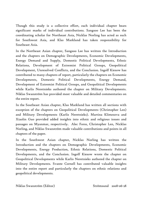Though this study is a collective effort, each individual chapter bears significant marks of individual contributions. Sangsoo Lee has been the coordinating scholar for Northeast Asia, Nicklas Norling has acted as such for Southwest Asia, and Klas Marklund has taken responsibility for Southeast Asia.

In the Northeast Asian chapter, Sangsoo Lee has written the Introduction and the chapters on Demographic Developments, Economic Developments, Energy Demand and Supply, Domestic Political Developments, Ethnic Relations, Development of Extremist Political Groups, Geopolitical Development, Unresolved Conflicts, and the Conclusion. Ingolf Kiesow has contributed to many chapters of report, particularly the chapters on Economic Developments, Domestic Political Developments, Energy Demand, Development of Extremist Political Groups, and Geopolitical Developments while Karlis Neretnieks authored the chapter on Military Developments. Niklas Swanström has provided most valuable and detailed commentaries on the entire report.

In the Southeast Asian chapter, Klas Marklund has written all sections with exception of the chapters on Geopolitical Developments (Christopher Len) and Military Developments (Karlis Neretnieks). Martina Klimesova and Xiaolin Guo provided added insights into ethnic and religious issues and passages on Myanmar, respectively. Alec Forss, Christopher Len, Nicklas Norling, and Niklas Swanström made valuable contributions and points in all chapters of the paper.

In the Southwest Asian chapter, Nicklas Norling has written the Introduction and the chapters on Demographic Developments, Economic Developments, Energy Production, Ethnic Relations, Domestic Political Developments, and the Conclusion. Ingolf Kiesow wrote the chapter on Geopolitical Developments while Karlis Neretnieks authored the chapter on Military Developments. Svante Cornell has contributed valuable insights into the entire report and particularly the chapters on ethnic relations and geopolitical developments.

Niklas Swanström (Editor) Strömsund 2008-06-28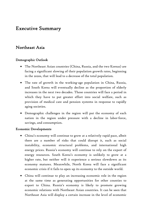# Executive Summary

## Northeast Asia

#### Demographic Outlook

- The Northeast Asian countries (China, Russia, and the two Koreas) are facing a significant slowing of their population growth rates, beginning in the 2020s, that will lead to a decrease of the total population.
- The rate of growth in the working-age population in China, Russia, and South Korea will eventually decline as the proportion of elderly increases in the next two decades. Those countries will face a period in which they have to put greater effort into social welfare, such as provision of medical care and pension systems in response to rapidly aging societies.
- Demographic challenges in the region will put the economy of each nation in the region under pressure with a decline in labor-force, savings, and consumption.

#### Economic Developments

- China's economy will continue to grow at a relatively rapid pace, albeit there are a number of risks that could disrupt it, such as social instability, economic structural problems, and international high energy prices. Russia's economy will continue to rely on the export of energy resources. South Korea's economy is unlikely to grow at a higher rate, but neither will it experience a serious slowdown as its economy matures. Meanwhile, North Korea will face a significant economic crisis if it fails to open up its economy to the outside world.
- China will continue to play an increasing economic role in the region at the same time as generating opportunities for other counties to export to China. Russia's economy is likely to promote growing economic relations with Northeast Asian countries. It can be seen that Northeast Asia will display a certain increase in the level of economic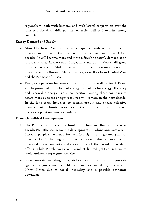regionalism, both with bilateral and multilateral cooperation over the next two decades, while political obstacles will still remain among countries.

#### Energy Demand and Supply

- Most Northeast Asian countries' energy demands will continue to increase in line with their economic high growth in the next two decades. It will become more and more difficult to satisfy demand at an affordable cost. At the same time, China and South Korea will grow more dependent on Middle Eastern oil, but will continue to seek to diversify supply through African energy, as well as from Central Asia and the Far East of Russia.
- Energy cooperation between China and Japan as well as South Korea will be promoted in the field of energy technology for energy efficiency and renewable energy, while competition among these countries to access more overseas energy resources will remain in the next decade. In the long term, however, to sustain growth and ensure effective management of limited resources in the region will mean increased energy cooperation among countries.

#### Domestic Political Developments

- The Political reforms will be limited in China and Russia in the next decade. Nonetheless, economic developments in China and Russia will increase people's demands for political rights and greater political liberalization in the long term. South Korea will slowly move toward increased liberalism with a decreased role of the president in state affairs, while North Korea will conduct limited political reform to avoid undermining regime security.
- Social unrests including riots, strikes, demonstrations, and protests against the government are likely to increase in China, Russia, and North Korea due to social inequality and a possible economic downturn.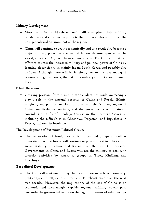#### Military Development

- Most countries of Northeast Asia will strengthen their military capabilities and continue to promote the military reforms to meet the new geopolitical environment of the region.
- China will continue to grow economically and as a result also become a major military power as the second largest defense spender in the world, after the U.S., over the next two decades. The U.S. will make an effort to counter the increased military and political power of China by forming closer ties with mainly Japan, South Korea, and possibly also Taiwan. Although there will be frictions, due to the rebalancing of regional and global power, the risk for a military conflict should remain low.

#### Ethnic Relations

• Growing pressure from a rise in ethnic identities could increasingly play a role in the national security of China and Russia. Ethnic, religious, and political tensions in Tibet and the Xinjiang region of China are likely to continue, and the governments will maintain control with a forceful policy. Unrest in the northern Caucasus, including the difficulties in Chechnya, Dagestan, and Ingushetia in Russia, will remain insoluble.

#### The Development of Extremist Political Groups

• The penetration of foreign extremist forces and groups as well as domestic extremist forces will continue to pose a threat to political and social stability in China and Russia over the next two decades. Governments in China and Russia will use the military to deal with terrorist activities by separatist groups in Tibet, Xinjiang, and Chechnya.

#### Geopolitical Developments

• The U.S. will continue to play the most important role economically, politically, culturally, and militarily in Northeast Asia over the next two decades. However, the implications of the rise of China as an economic and increasingly capable regional military power pose currently the greatest influence on the region. In terms of relationships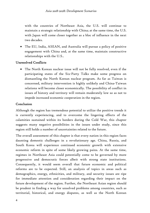with the countries of Northeast Asia, the U.S. will continue to maintain a strategic relationship with China; at the same time, the U.S. with Japan will come closer together as a bloc of influence in the next two decades.

• The EU, India, ASEAN, and Australia will pursue a policy of positive engagement with China and, at the same time, maintain constructive relationships with the U.S..

#### Unresolved Conflicts

• The North Korean nuclear issue will not be fully resolved, even if the participating states of the Six-Party Talks make some progress on dismantling the North Korean nuclear program. As far as Taiwan is concerned, military intervention is highly unlikely and China-Taiwan relations will become closer economically. The possibility of conflict in issues of history and territory will remain moderately low so as not to impede increased economic cooperation in the region.

#### Conclusion

Although the region has tremendous potential to utilize the positive trends it is currently experiencing, and to overcome the lingering effects of the calamities sustained within its borders during the Cold War, this chapter suggests many negative possibilities in the issues under study, since this region still holds a number of uncertainties related to the future.

The overall assessment of this chapter is that every nation in this region faces daunting domestic challenges in a revolutionary age. China, Russia, and South Korea will experience continued economic growth with extensive economic reform in spite of some likely growing pains. At the same time, regimes in Northeast Asia could potentially come to be governed by more progressive and democratic forces albeit with strong state institutions. Consequently, it would seem overall that future economic and political reforms are to be expected. Still, an analysis of topics in areas such as demographics, energy, ethnicities, and military, and security issues are ripe for immediate attention and consideration regarding their impact on the future development of the region. Further, the Northeast Asian region should be prudent in finding a way for unsolved problems among countries, such as territorial, historical, and energy disputes, as well as the North Korean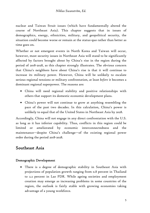nuclear and Taiwan Strait issues (which have fundamentally altered the course of Northeast Asia). This chapter suggests that in issues of demographics, energy, ethnicities, military, and geopolitical security, the situation could become worse or remain at the status-quo rather than better as time goes on.

Whether or not emergent events in North Korea and Taiwan will occur, however, most security issues in Northeast Asia will stand to be significantly affected by factors brought about by China's rise in the region during the period of 2018-2028, as this chapter strongly illustrates. The obvious concern that China's neighbors have about China's rise is that it will continue to increase its military power. However, China will be unlikely to escalate serious regional tensions or military confrontation, at least *before* it becomes a dominant regional superpower. The reasons are:

- China will need regional stability and positive relationships with others that support its domestic economic development plans.
- China's power will not continue to grow at anything resembling the pace of the past two decades. In this calculation, China's power is unlikely to equal that of the United States in Northeast Asia by 2028.

Accordingly, China will not engage in any direct confrontation with the U.S. as long as it has inferior capability. Thus, conflicts in this region could be limited or ameliorated by economic interconnectedness and the maintenance—despite China's challenge—of the existing regional power order during the period 2018-2028.

# Southeast Asia

#### Demographic Development

• There is a degree of demographic stability in Southeast Asia with projections of population growth ranging from 0.8 percent in Thailand to 2.2 percent in Lao PDR. While ageing societies and employment creation may emerge as increasing problems in some countries of the region, the outlook is fairly stable with growing economies taking advantage of a young workforce.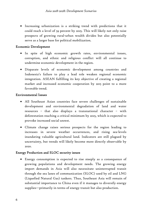• Increasing urbanization is a striking trend with predictions that it could reach a level of 59 percent by 2025. This will likely not only raise prospects of growing rural-urban wealth divides but also potentially serve as a larger base for political mobilization.

#### Economic Development

- In spite of high economic growth rates, environmental issues, corruption, and ethnic and religious conflict will all continue to undermine economic development in the region.
- Disparate levels of economic development among countries and Indonesia's failure to play a lead role weaken regional economic integration. ASEAN fulfilling its key objective of creating a regional market and increased economic cooperation by 2015 point to a more favorable trend.

#### Environmental Issues

- All Southeast Asian countries face severe challenges of sustainable development and environmental degradation of land and water resources – that also displays a transnational character – with deforestation reaching a critical minimum by 2025, which is expected to provoke increased social unrest.
- Climate change raises serious prospects for the region leading to increases in severe weather occurrences, and rising sea-levels inundating valuable agricultural land. Indicators are still plagued by uncertainty, but trends will likely become more directly observable by 2020.

#### Energy Production and SLOC security issues

• Energy consumption is expected to rise steeply as a consequence of growing populations and development needs. The growing energy import demands in Asia will also necessitate uninterrupted transit through the sea lanes of communication (SLOC) used by oil and LNG (Liquefied Natural Gas) tankers. Thus, Southeast Asia will remain of substantial importance to China even if it manages to diversify energy supplies—primarily in terms of energy transit but also production.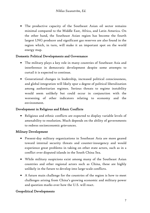• The productive capacity of the Southeast Asian oil sector remains minimal compared to the Middle East, Africa, and Latin America. On the other hand, the Southeast Asian region has become the fourth largest LNG producer and significant gas reserves are also found in the region which, in turn, will make it an important spot on the world energy map.

#### Domestic Political Developments and Governance

- The military plays a key role in many countries of Southeast Asia and interference in democratic development despite some attempts to curtail it is expected to continue.
- Generational changes in leadership, increased political consciousness, and global integration will likely spur a degree of political liberalization among authoritarian regimes. Serious threats to regime instability would seem unlikely but could occur in conjunction with the worsening of other indicators relating to economy and the environment.

#### Development in Religious and Ethnic Conflicts

• Religious and ethnic conflicts are expected to display variable levels of amenability to resolution. Much depends on the ability of governments to redress socioeconomic grievances.

#### Military Development

- Present-day military organizations in Southeast Asia are more geared toward internal security threats and counter-insurgency and would experience great problems in taking on other state actors, such as in a conflict over disputed islands in the South China Sea.
- While military suspicions exist among many of the Southeast Asian countries and other regional actors such as China, these are highly unlikely in the future to develop into large-scale conflicts.
- A future main challenge for the countries of the region is how to meet challenges arising from China's growing economic and military power and question marks over how the U.S. will react.

#### Geopolitical Developments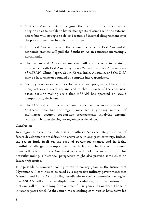- Southeast Asian countries recognize the need to further consolidate as a region so as to be able to better manage its relations with the external actors but will struggle to do so because of internal disagreement over the pace and manner in which this is done.
- Northeast Asia will become the economic engine for East Asia and its economic gravitas will pull the Southeast Asian countries increasingly northwards.
- The Indian and Australian markets will also become increasingly intertwined with East Asia's. By then a "greater East Asia" (consisting of ASEAN, China, Japan, South Korea, India, Australia, and the U.S.) may be in formation bounded by complex interdependence.
- Security cooperation will develop at a slower pace, in part because so many actors are involved; and add to that, because of the consensus based decision-making style that ASEAN has operated on would hamper many decisions.
- The U.S. will continue to remain the de facto security provider in Southeast Asia but the region may see a growing number of multilateral security cooperation arrangements involving external actors as a burden sharing arrangement is developed.

#### Conclusion

In a region as dynamic and diverse as Southeast Asia accurate projections of future developments are difficult to arrive at with any great certainty. Indeed, the region finds itself on the cusp of portentous change, and in facing manifold challenges, a complex set of variables and the interaction among them will determine how Southeast Asia will look like in 2018-2028. This notwithstanding, a historical perspective might also provide some clues on future trajectories.

Is it possible to conceive looking to ten to twenty years in the future, that Myanmar will continue to be ruled by a repressive military government; that Vietnam and Lao PDR will cling steadfastly to their communist ideologies; that ASEAN will still fail to display much needed regional mechanisms; and that one will still be talking for example of insurgency in Southern Thailand in twenty years time? At the same time as striking continuities have pervaded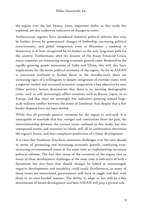the region over the last twenty years, important shifts, as this study has explored, are also underway indicative of changes to come.

Authoritarian regimes have introduced tentative political reforms that may be further driven by generational changes of leadership, increasing political consciousness, and global integration; even in Myanmar a roadmap to democracy is at least recognized by its leaders as the only long-term path for the country. Furthermore, after the disaster of the Asian Financial Crisis, many countries are witnessing strong economic growth rates. Bordered by the rapidly growing power economies of India and China, this will also have implications for the entire political economy of the region. As far as ASEAN is concerned (outlined in further detail in the introduction), there are increasing signs of a willingness to deepen integration of member states with a regional market and increased economic cooperation a key objective by 2015. Other positive factors demonstrate that there is no looming demographic crisis, such as will increasingly afflict countries such as Russia, Japan, or in Europe, and that there are seemingly few indicators pointing toward largescale military conflict between the states of Southeast Asia despite that a few border disputes have not been settled.

While this all portends positive scenarios for the region in 2018-2028, it is inescapable to conclude that key vestiges and continuities from the past, the interrelationship between the various issues outlined in this study, but also unexpected events and reactions to trends will all in combination determine the region's future, and thus complicate predictions of a linear development.

It is clear that Southeast Asia faces enormous challenges over the next decade in terms of promoting and sustaining economic growth, combating everincreasing environmental issues at the same time as implementing necessary political reforms. The fact that many of the countries of the region face so many of these development challenges at the same time is indicative of both a dynamism but also fears that should changes be halted or mismanaged, negative developments and instability could result. Furthermore, as many of these issues are interrelated, governments will have to juggle and deal with these in an even-handed manner. The ability to adapt or not will be a key determinant of future development and here ASEAN will play a pivotal role.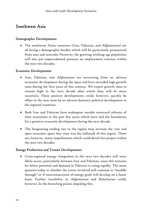# Southwest Asia

#### Demographic Developments

• The southwest Asian countries (Iran, Pakistan, and Afghanistan) are all facing a demographic burden which will be particularly pronounced from 2030 and onwards. However, the growing working-age population will also put unprecedented pressure on employment creation within the next two decades.

#### Economic Developments

- Iran, Pakistan, and Afghanistan are recovering from an adverse economic development during the 1990s and have recorded high growth rates during the first years of this century. We expect growth rates to remain high in the next decade after which they will be more uncertain. These positive developments could, however, quickly be offset in the near term by an adverse domestic political development in the regional countries.
- Both Iran and Pakistan have undergone notable structural reforms of their economies in the past few years which have laid the foundation for a positive economic development during the next decade.
- The burgeoning trading ties in the region may recreate the vast and open economic space that once was the hallmark of this region. There are, however, many impediments which could derail this project within the next two decades.

#### Energy Production and Transit Developments

• Cross-regional energy integration in the next two decades will most likely occur, particularly between Iran and Pakistan, since this remains far below potential and demand in Pakistan is rising rapidly. The main question today is whether the actors involved will continue to "muddle through" or if interconnections of energy grids will develop on a faster basis. Further instability in Afghanistan and Baluchistan could, however, be the branching points impeding this.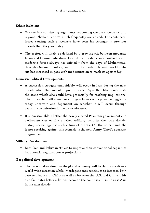#### Ethnic Relations

- We see few convincing arguments supporting the dark scenarios of a regional "balkanization" which frequently are voiced. The centripetal forces causing such a scenario have been far stronger in previous periods than they are today.
- The region will likely be defined by a growing rift between moderate Islam and Islamic radicalism. Even if the divide between orthodox and moderate forces always has existed – from the days of Muhammad, through Ottoman Turkey, and up to the modern Islamic world – the rift has increased in pace with modernization to reach its apex today.

#### Domestic Political Developments

- A succession struggle unavoidably will occur in Iran during the next decade when the current Supreme Leader Ayatollah Khamene'i exits the scene which also could have potentially far-reaching implications. The forces that will come out strongest from such a power-struggle are today uncertain and dependent on whether it will occur through peaceful (constitutional) means or violence.
- It is questionable whether the newly elected Pakistani government and parliament can outlive another military coup in the next decade; history speaks against such a turn of events. On the other hand, the factor speaking against this scenario is the new Army Chief's apparent pragmatism.

#### Military Development

• Both Iran and Pakistan strives to improve their conventional capacities for potential regional power projections.

#### Geopolitical developments

• The present slow-down in the global economy will likely not result in a world-wide recession while interdependence continues to increase, both between India and China as well as between the U.S. and China. This also facilitates better relations between the countries in southwest Asia in the next decade.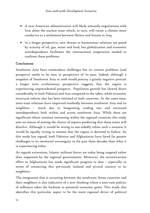- A new American administration will likely intensify negotiations with Iran about the nuclear issue which, in turn, will create a climate more conducive to a settlement between Shiites and Sunnis in Iraq
- In a longer perspective, new threats to harmonious relations are posed by scarcity of oil, gas, water and food, but globalization and economic interdependence facilitates the international cooperation needed to confront these problems.

#### Conclusions

Southwest Asia faces tremendous challenges but its current problems (and prospects) needs to be seen in perspective of its past. Indeed, although a snapshot of Southwest Asia in 2008 would portray a grimly negative portrait a longer term evolutionary perspective suggests that the region is experiencing unprecedented prospects. Population growth has slowed down considerably in both Pakistan and Iran compared to the 1980s, while economic structural reform also has been initiated in both countries. At the same time, inter-state relations have improved markedly between southwest Asia and its neighbors – much due to burgeoning trading ties and increased interdependence both within and across southwest Asia. While there are significant ethnic tensions remaining within the regional countries this study sees no reason of joining the chorus of reports predicting that these states will dissolve. Although it would be wrong to one-sidedly refute such a scenario it would be equally wrong to assume that the region is destined to failure. As this study has argued, both Pakistan and Afghanistan have faced far greater challenges to its territorial sovereignty in the past three decades than what it is experiencing today.

As regards extremism, Islamic militant forces are today being targeted rather than supported by the regional governments. Moreover, the reconstruction effort in Afghanistan has made significant progress to date – especially in terms of connecting this previously isolated and pivotal country to its neighbors.

The integration that is occurring between the southwest Asian countries and their neighbors is also indicative of a new thinking where a zero-sum politics of influence takes the backseat to potential economic gains. This study also identifies this particular aspect to be the main regional driver of political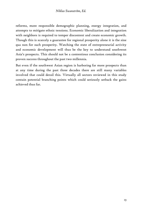reforms, more responsible demographic planning, energy integration, and attempts to mitigate ethnic tensions. Economic liberalization and integration with neighbors is required to temper discontent and create economic growth. Though this is scarcely a guarantee for regional prosperity alone it is the sine qua non for such prosperity. Watching the state of entrepreneurial activity and economic development will thus be the key to understand southwest Asia's prospects. This should not be a contentious conclusion considering its proven success throughout the past two millennia.

But even if the southwest Asian region is harboring far more prospects than at any time during the past three decades there are still many variables involved that could derail this. Virtually all sectors reviewed in this study contain potential branching points which could seriously setback the gains achieved thus far.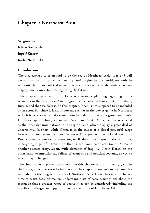# Chapter 1: Northeast Asia

Sangsoo Lee Niklas Swanström Ingolf Kiesow Karlis Neretnieks

#### Introduction

The 21st century is often said to be the era of Northeast Asia: it is and will perhaps in the future be the most dynamic region in the world, not only in economic but also political-security terms. However, this dynamic character displays many uncertainties regarding the future.

This chapter aspires to inform long-term strategic planning regarding future scenarios in the Northeast Asian region by focusing on four countries—China, Russia, and the two Koreas. In this chapter, Japan is not supposed to be included as an actor, but since it is an important partner in the power game in Northeast Asia, it is necessary to make some room for a description of its geostrategic role. For this chapter, China, Russia, and North and South Korea have been selected as the most dynamic nations in the region—and which display a great deal of uncertainty. In short, while China is in the midst of a global powerful surge forward, its numerous complexities necessitate greater international attention; Russia is in the process of remaking itself after the collapse of the old order, undergoing a painful transition that is far from complete. South Korea is another success story, albeit, with elements of fragility. North Korea, on the other hand, exemplifies the failure of economic and political systems, as yet, to accept major changes.

The time frame of projection covered by this chapter is ten to twenty years in the future, which necessarily implies that the chapter's conclusions are tentative in predicting the long-term future of Northeast Asia. Nevertheless, this chapter aims to assist decision-makers understand a set of basic assumptions about the region so that a broader range of possibilities can be considered—including the possible challenges and opportunities for the future of Northeast Asia.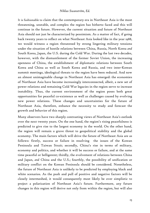It is fashionable to claim that the contemporary era in Northeast Asia is the most threatening, unstable, and complex the region has hitherto faced and this will continue in the future. However, the current situation and future of Northeast Asia should not just be characterized by pessimism. As a matter of fact, if going back twenty years to reflect on what Northeast Asia looked like in the year 1988, we would witness a region threatened by strong lingering military tensions under the situation of hostile relations between China, Russia, North Korea *and*  South Korea, Japan, the U.S. during the Cold War. During the last two decades, however, with the dismantlement of the former Soviet Union, the increasing openness of China, the establishment of diplomatic relations between South Korea and China as well as South Korea and Russia, and two inter-Korean summit meetings, ideological threats to the region have been reduced. And now an almost unimaginable change in Northeast Asia has emerged: the economies of Northeast Asia have become increasingly interconnected, albeit, a new set of power relations and remaining Cold War legacies in the region serve to increase instability. Thus, the current environment of the region poses both great opportunities for peaceful co-existence as well as challenges caused by evolving new power relations. These changes and uncertainties for the future of Northeast Asia, therefore, enhance the necessity to study and forecast the growth and behavior of this region.

Many observers have two sharply contrasting views of Northeast Asia's outlook over the next twenty years. On the one hand, the region's rising peacefulness is predicted to give rise to the largest economy in the world. On the other hand, the region will remain a grave threat to geopolitical stability and the global economy. The main factors which will drive the future of Northeast Asia are as follows: firstly, success or failure in resolving the issues of the Korean Peninsula and Taiwan Strait; secondly, China's rise in terms of military, economy and politics, and whether it will be success or failure, and at the same time peaceful or belligerent; thirdly, the evolvement of relations between China and Japan, *and* China and the U.S.; fourthly, the possibility of unification or military conflict on the Korean Peninsula should be considered. Nonetheless, the future of Northeast Asia is unlikely to be predicted by employing black and white scenarios. As the push and pull of positive and negative factors will be closely intermeshed, it would consequently most likely be over simplistic to project a polarization of Northeast Asia's future. Furthermore, any future changes in this region will derive not only from within the region, but will also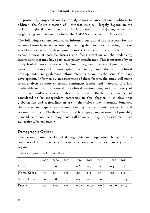be profoundly impacted on by the dynamics of international politics. In addition, the future direction of Northeast Asia will largely depend on the actions of global players such as the U.S., the EU, and Japan, as well as neighboring countries such as India, the ASEAN countries, and Australia.

The following sections conduct an informed analysis of the prospects for the region's future in several sectors, approaching the issue by considering more or less likely scenarios for developments in the key issues; this will offer a more dynamic view of possible futures and focus attention on the underlying interactions that may have particular policy significance. This is informed by an analysis of domestic factors, which allow for a greater measure of predictability; namely, outlooks of demographic, economic, and domestic political developments, energy demand, ethnic relations, as well as the issue of military development. Informed by an assessment of these factors, the study will move to an analysis of more externally contingent factors, and therefore, of a less predictable nature: the regional geopolitical environment, and the variety of unresolved conflicts between states. In addition to the latter, and while not considered to be independent categories in this chapter, it is clear that globalization and regionalization are in themselves two important dynamics that are set to shape affairs in areas ranging from economic cooperation and regional security in Northeast Asia. In each category, an assessment of probable, plausible, and possible developments will be made, though this assessment does not aspire to be exhaustive.

#### Demographic Outlook

The current demonstration of demographic and population changes in the countries of Northeast Asia indicate a negative trend on each society in the region.

|                                     | 1995 | 2000 2005           | 2010 | 2015 2020                          | 2025    | 2030   |
|-------------------------------------|------|---------------------|------|------------------------------------|---------|--------|
| China                               | I.I  | 0.9 0.7 0.6 0.5 0.5 |      |                                    | 0.3     | O.2    |
| North Korea 1.5 1.1 0.6 0.3 0.3 0.3 |      |                     |      |                                    | 0.3     | O.2    |
| South Korea 1.0 0.8 0.5 0.3 0.2 0.0 |      |                     |      |                                    | $-$ 0.1 | $-0.3$ |
| Russia                              | 0.1  | $-0.2 - 0.5$        |      | $-0.5$ $-0.6$ $-0.6$ $-0.6$ $-0.7$ |         |        |

| Table I. Population Growth Rate |  |
|---------------------------------|--|
|---------------------------------|--|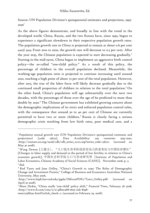Source: UN Population Division's quinquennial estimates and projections, 1995- 2030<sup>1</sup>

As the above figures demonstrate, and broadly in line with the trend in the developed world, China, Russia, and the two Koreas have, since 1995, begun to experience a significant slowdown in their respective population growth rates. The population growth rate in China is projected to remain at about 0.6 per cent until 2010. From 2010 to 2020, the growth rate will decrease to 0.5 per cent. After the year 2035, the Chinese population is expected to start decreasing gradually.<sup>2</sup> Starting in the mid-1970s, China began to implement an aggressive birth control policy—the so-called "one-child policy." As a result of this policy, the percentage of children in the overall population declined. Meanwhile, the working-age population ratio is projected to continue increasing until around 2010, reaching a high point of about 72 per cent of the total population. However, after 2015, the size of the labor force will likely decrease gradually due to the continued small proportion of children in relation to the total population.<sup>3</sup> On the other hand, China's population will age substantially over the next two decades, with the percentage of those over the age of 60 predicted to more than double by 2030.<sup>4</sup> The Chinese government has exhibited growing concern about the demographic implications of its strict and enforced population control rules, with the consequence that around 30 to 40 per cent of Chinese are currently permitted to have two or more children.<sup>5</sup> Russia is clearly facing a serious demographic crisis resulting from low birth rates, poor medical care, and a

<sup>&</sup>lt;sup>1</sup> Population annual growth rate (UN Population Division's quinquennial estimates and projections) [code 13670]. Data Availability: 229 countries 1955-2050, <http://unstats.un.org/unsd/cdb/cdb\_series\_xrxx.asp?series\_code=13670> (accessed on May 30 2008).

<sup>&</sup>lt;sup>2</sup> Wang Dewen [王德文], "人口低生育率阶段的劳动力供求变化与中国经济增长" [Changes in labor supply and demand in the period of low fertility in relation to China's economic growth], 中国社会科学院人口与劳动研究所 [Institute of Population and Labor Economics, Chinese Academy of Social Sciences (CASS)], November 2006, p. 3. <sup>3</sup> *Ibid.*

<sup>4</sup> Rod Tyers and Jane Golley, "China's Growth to 2030: The Roles of Demographic Change and Investment Premia," College of Business and Economics Australian National University, May 2006,

<sup>&</sup>lt;http://www.hsph.harvard.edu/pgda/Old%20PDFs/Tyers\_Golley.pdf> (accessed on April 30 2008).

<sup>5</sup> Mure Dickie, "China mulls 'one-child' policy shift," *Financial Times*, February 28 2008, <http://www.ft.com/cms/s/0/4dbeca68-e62e-11dc-8398-

<sup>0000779</sup>fd2ac.html?nclick\_check=1> (accessed on February 29, 2008).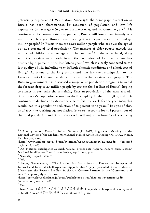potentially explosive AIDS situation. Since 1992 the demographic situation in Russia has been characterized by reduction of population and low life expectancy (on average – 66.7 years, for men– 60.9, and for women – 73.1). $^6\,$  If it continues at its current rate, -0.5 per cent, Russia will lose approximately one million people a year through 2020, leaving it with a population of around 130 million people.<sup>7</sup> In Russia there are 28.96 million people who are over the age of 60 (24.4 percent of total population). The number of older people exceeds the number of children and teenagers in the country. $^8$  On the other hand, along with the negative nationwide trend, the population of Far East Russia has dropped by 14 percent in the last fifteen years,<sup>9</sup> which is closely connected to the low quality of life, including very difficult climatic conditions and a high cost of living.<sup>10</sup> Additionally, the long term trend that has seen a migration to the European part of Russia has also contributed to the negative demography. The Russian government has discussed a range of re-population programs to avoid the forecast drop to 4.5 million people by 2015 (in the Far East of Russia), hoping to attract in particular the remaining Russian population of the near abroad.<sup>11</sup> South Korea's population started to decline rapidly in the mid 1980s, and if it continues to decline at a rate comparable to fertility levels for the year 2000, this would lead to a population reduction of 30 percent in 30 years.<sup>12</sup> In spite of this, as of 2005, the working age population (15 to 64) accounts for 71.8 percent out of the total population and South Korea will still enjoy the benefits of a working

<sup>6 &</sup>quot;Country Report *Russia*," United Nations (ESCAP), High-level Meeting on the Regional Review of the Madrid International Plan of Action on Ageing (MIPAA), Macao, October 9-11, 2007,

<sup>&</sup>lt;http://www.unescap.org/esid/psis/meetings/AgeingMipaa2007/Russia.pdf> (accessed on June 28, 2008).

<sup>7</sup> U.S. National Intelligence Council, "Global Trends 2020 Regional Report: Eurasia 2020," National Intelligence Council 2020 Project*,* April, 2004*,* p. 6.

<sup>8</sup> "Country Report *Russia*-".

<sup>9</sup> *Ibid.*

<sup>&</sup>lt;sup>10</sup> Sergey Sevastyanov, "The Russian Far East's Security Perspective: Interplay of Internal and External Challenges and Opportunities," paper presented at the conference Siberia and the Russian Far East in the 21st Century: Partners in the "Community of Asia," Sapporo, July 14-16, 2007,

<sup>&</sup>lt;http://src-h.slav.hokudai.ac.jp/coe21/publish/no6\_1\_ses/chapter2\_sevastianov.pdf> (accessed on June 12, 2008).

<sup>11</sup> *Ibid.*

<sup>12</sup> Kim Kimun [김기문], "한국의 인구변동과 발전" [Population change and development in South Korea," 세문연구, 서론[*Semoon Research]*, p. 124.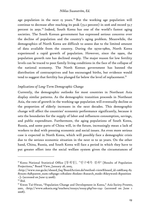age population in the next 15 years.<sup>13</sup> But the working age population will continue to decrease after reaching its peak (73.2 percent) in 2016 and record 53.7 percent in 2050.<sup>14</sup> Indeed, South Korea has one of the world's fastest aging societies. The South Korean government has expressed serious concerns over the decline of population and the country's aging problem. Meanwhile, the demographics of North Korea are difficult to assess due to the limited amount of data available from the country. During the 1970s-1980s, North Korea experienced a rapid growth of population. However, since the 1990s, the population growth rate has declined steeply. The major reason for low fertility levels can be traced to poor family living conditions in the face of the collapse of the national economy. The North Korean government has banned the distribution of contraceptives and has encouraged births, but evidence would tend to suggest that fertility has plunged far below the level of replacement.<sup>15</sup>

#### *Implications of Long-Term Demographic Change*

Currently, the demographic outlooks for most countries in Northeast Asia display similar patterns. As the demographic transition proceeds in Northeast Asia, the rate of growth in the working-age population will eventually decline as the proportion of elderly increases in the next decades. This demographic change will affect the countries' economic performance significantly, because it sets the boundaries for the supply of labor and influences consumption, savings, and public expenditure. Furthermore, the aging populations of South Korea, Russia, and some parts of China will, in the future, increasingly mean a lack of workers to deal with pressing economic and social issues. An even more serious case is expected in North Korea, which will possibly face a demographic crisis due to the serious economic situation in the next 10 to 20 years. On the other hand, China, Russia, and South Korea will face a period in which they have to put greater effort into the social welfare system given the circumstances of

<sup>13</sup> Korea National Statistical Office [통계청], "인구예측 결과" [Results of Population Projections," Board View, January 28, 2005,

<sup>&</sup>lt;http://www.nso.go.kr/eboard\_faq/BoardAction.do?method=view&board\_id=106&seq=83 &num=83&parent\_num=0&page=11&sdate=&edate=&search\_mode=&keyword=&position  $=$ ]> (accessed on June 13 2008).

<sup>14</sup> *Ibid.*

<sup>15</sup> Kwon Tai-Hwan, "Population Change and Development in Korea," *Asia Society Presents*, 2001, <http://www.askasia.org/teachers/essays/essay.php?no=124> (accessed on June 1 2008).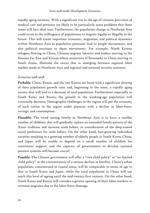rapidly aging societies. With a significant rise in the age of citizens, provision of medical care and pensions are likely to be particularly acute problems that these states will face after 2020. Furthermore, the population change in Northeast Asia could occur in the willingness of populations to migrate legally or illegally in the future. This will create important economic, migration, and political dynamics within Northeast Asia as population pressures lead to people movements, and also political reactions to those movements. For example, North Korean refugees flowing to China, Chinese migrant laborers and traders moving to the Russian Far East and Korean ethnic minorities (Chosunjok) in China moving to South Korea, illustrate the nexus that is emerging between regional labor market needs in Northeast Asia and regional and national security concerns.

#### *Scenarios 2018-2028*

Probable: China, Russia, and the two Koreas are faced with a significant slowing of their population growth rates and, beginning in the 2020s, a rapidly aging society that will lead to a decrease of total population. Furthermore, especially in South Korea and Russia, the growth in the working-age population will eventually decrease. Demographic challenges in the region will put the economy of each nation in the region under pressure with a decline in labor-force, savings, and consumption.

Plausible: The trend among family in Northeast Asia is to have a smaller number of children: this will gradually replace an extended family pattern of the Asian tradition and increase male babies, in consideration of the deep-rooted social preference for male babies. On the other hand, fast-growing individual societies resulting in a growing number of elderly people in South Korea, China, and Japan will be unable to depend on a small number of children for continuous support, and the capacity of governments to develop national pension systems will become crucial.

Possible: The Chinese government will offer a "two child policy" or "no limited child policy" in the circumstances of a serious decline in fertility. China's urban population, concentrated in coastal areas, will be comparable in terms of age to that in South Korea and Japan, while the rural population in China will not reach this level of ageing until the mid-twenty-first century. On the other hand, South Korea and Russia will consider a greater opening of their labor markets to overseas migrants due to the labor-force shortage.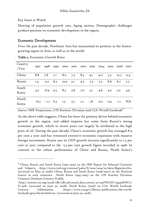#### *Key Issues to Watch*

-

Slowing of population growth rate; Aging society; Demographic challenges produce pressure on economic development in the region.

#### Economic Development

Over the past decade, Northeast Asia has maintained its position as the fastestgrowing region in Asia, as well as in the world.

| Country<br>Year |     |                      | 1997 1998 1999 2000 2001 2002 2003 2004 2005 2006 2007 |                         |     |     |     |             |             |
|-----------------|-----|----------------------|--------------------------------------------------------|-------------------------|-----|-----|-----|-------------|-------------|
| China           | 8.8 |                      | 7.8 7.1 8.0 7.5 8.3 9.1                                |                         |     | 9.0 | 7.5 | IO.7        | II.4        |
| Russia          | 1.4 |                      | $-5.3$ 6.3 10.0 5.1                                    | 4.7                     | 7.3 | 7.3 |     | 6.6 6.7 7.5 |             |
| South<br>Korea  | 4.7 |                      | $-6.9$ $9.5$ $8.5$ $3.8$ $7.0$ $3.1$ $4.6$             |                         |     |     | 4.0 | 5.0         | 4.9         |
| North<br>Korea  |     | $-6.3$ - 1.1 6.2 1.3 |                                                        | $3.7 \tI.2 \tI.8 \tO.0$ |     |     | 0.9 |             | $-I.I$ $NA$ |

Table 2. Economic Growth Rates

Source: IMF Projections, UN Statistic Division and CIA World Factbook<sup>16</sup>

As the above table suggests, China has been the primary driver behind economic growth in the region, and added impetus has come from Russia's strong economic growth, which in recent years can largely be attributed to the high price of oil. During the past decade, China's economic growth has averaged 8-9 per cent a year and has witnessed extensive economic expansion with massive foreign investment. Russia saw its GDP growth increase significantly to 7.5 per cent in 2007 compared to the -5.3 per cent growth figure recorded in 1998. In contrast to the robust performance of China and Russia, North Korea's

 $16$  China, Russia and South Korea (1997-2005) on the IMF Report for Selected Countries and Subjects, <http://www.imf.org/external/pubs/ft/weo/2004/02/data/dbginim.cfm> (accessed on May 30 2008); China, Russia and South Korea (2006-2007) on the National Source in each countries; North Korea (1997-2005) on the UN Statistic Division: Common Database-Country Profile,

<sup>&</sup>lt;http://unstats.un.org/unsd/cdb/cdb\_advanced\_data\_extract\_yr.asp?HSrID=19440&HCrI D=408> (accessed on June 30, 2008); North Korea (2006) on CIA World Factbook: Country Information, <https://www.cia.gov/library/publications/the-worldfactbook/geos/kn.html#Econ> (accessed on June 30, 2008).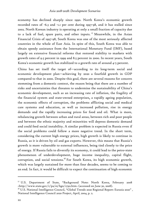economy has declined sharply since 1990. North Korea's economic growth recorded rates of -6.3 and -1.1 per cent during 1997-98, and it has stalled since 2002. North Korean industry is operating at only a small fraction of capacity due to a lack of fuel, spare parts, and other inputs. 17 Meanwhile, in the Asian Financial Crisis of 1997-98, South Korea was one of the most seriously affected countries in the whole of East Asia. In spite of this, South Korea was able to obtain speedy assistance from the International Monetary Fund (IMF), based largely on extensive financial reforms that restored stability to markets with growth rates of 9.5 percent in 1999 and 8.5 percent in 2000. In recent years, South Korea's economic growth has stabilized to a growth rate of around 4-5 percent.

China has set itself the target of—according to its long-term social and economic development plan—achieving by 2020 a fourfold growth in GDP compared to that in 2000. Despite this goal, there are several reasons for concern stemming from a domestic context, the reason being that there are a number of risks and uncertainties that threaten to undermine the sustainability of China's economic development, such as an increasing rate of inflation, the fragility of the financial system and state-owned enterprises, a rapidly ageing population, the economic effects of corruption, the problems afflicting social and medical care systems and education, as well as increased pollution, rise in energy demands and the rapidly increasing prices for food and oil. What is more, rebalancing growth between urban and rural areas, between rich and poor people and between the ethnic majority and minorities will depress domestic demand and could feed social instability. A similar problem is expected in Russia even if the social problems could follow a more negative trend. In the short term, considering the current high energy prices, high growth is likely to continue in Russia, as it is driven by oil and gas exports. However, this means that Russia's growth is more vulnerable to external influences, being tied closely to the price of energy. If Russia fails to diversify its economy, it could lead to the petro-state phenomenon of underdevelopment, huge income inequality, capital flight, corruption, and social tensions.<sup>18</sup> For South Korea, its high economic growth, which was largely sustained for more than four decades, seems to be coming to an end. In fact, it would be difficult to expect the continuation of high economic

<sup>&</sup>lt;sup>17</sup> U.S. Department of State, "Background Note: North Korea, February 2008 <http://www.state.gov/r/pa/ei/bgn/2792.htm> (accessed on June 30, 2008).

 $18$  U.S. National Intelligence Council, "Global Trends 2020 Regional Report: Eurasia 2020", National Intelligence Council 2020 Project, April, 2004, p. 2.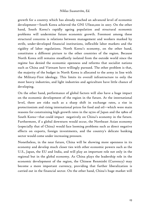growth for a country which has already reached an advanced level of economic development—South Korea achieved the GNI US\$20,000 in 2007. On the other hand, South Korea's rapidly ageing population and structural economic problems will undermine future economic growth. Foremost among these structural concerns is relations between management and workers marked by strife, under-developed financial institutions, inflexible labor markets and the rigidity of labor regulations. North Korea's economy, on the other hand, constitutes a different picture to the other countries of the region. Because North Korea still remains steadfastly isolated from the outside world since the regime has denied the economic openness and reforms that socialist nations such as China and Vietnam have willingly pursued. The other problem is that, the majority of the budget in North Korea is allocated to the army in line with the Military-First ideology. This limits its overall infrastructure to only the most heavy industries, and light industries and agriculture have little chance of developing.

On the other hand, performance of global factors will also have a huge impact on the economic development of the region in the future. At the international level, there are risks such as a sharp shift in exchange rates, a rise in protectionism and rising international prices for food and oil—which were main reasons for constraining high growth rates in the 1970s of Japan and the 1980s of South Korea—that could impact negatively on China's economy in the future. Furthermore, if a global downturn would occur, the Northeast Asian economy (especially that of China) would face looming problems such as direct negative effects on exports, foreign investments, and the country's delicate banking sector would come under increasing pressure.

Nonetheless, in the near future, China will be showing more openness in its economy and develop much closer ties with other economic powers such as the U.S., Japan, the EU and India, and will play an important role not only in the regional but in the global economy. As China plays the leadership role in the economic development of the region, the Chinese Renminbi (Currency) may become a more important currency, providing that further liberalization is carried out in the financial sector. On the other hand, China's huge market will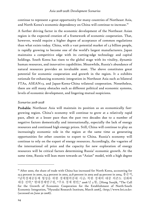continue to represent a great opportunity for many countries of Northeast Asia, and North Korea's economic dependency on China will continue to increase.<sup>19</sup>

A further driving factor in the economic development of the Northeast Asian region is the expected creation of a framework of economic cooperation. That, however, would require a higher degree of acceptance of common regulations than what exists today. China, with a vast potential market of 1.3 billion people, is rapidly growing to become one of the world's largest manufacturers. Japan maintains a competitive edge with its cutting-edge technology and capital holdings. South Korea has risen to the global stage with its vitality, dynamic human resources, and innovative capabilities. Meanwhile, Russia's abundance of natural resources provides an invaluable asset. The above constitutes great potential for economic cooperation and growth in the region. It a exhibits rationale for enhancing economic integration in Northeast Asia such as bilateral FTAs, ASEAN+3, and Japan-Korea-China trilateral cooperation. Nonetheless, there are still many obstacles such as different political and economic systems, levels of economic development, and lingering mutual suspicions.

#### *Scenarios 2018-2028*

Probable: Northeast Asia will maintain its position as an economically fastgrowing region. China's economy will continue to grow at a relatively rapid pace, albeit at a lesser pace than the past two decades due to a number of negative factors domestically and internationally, especially the lack of energy resources and continued high energy prices. Still, China will continue to play an increasingly economic role in the region at the same time as generating opportunities for other counties to export to China. Russia's economy will continue to rely on the export of energy resources. Accordingly, the vagaries of the international oil price and the capacity for new exploration of energy resources will be critical factors determining Russia' economic growth. At the same time, Russia will lean more towards an "Asian" model, with a high degree

<sup>&</sup>lt;sup>19</sup> After 2000, the share of trade with China has increased for North Korea, accounting for 23.5 percent in 2000, 25.4 percent in 2002, 32.8 percent in 2003 and 39 percent in 2004, 홍순직, "남북경제공동체 형성을 위한 경제협력증대 시급: 북한 경제의 대중 의존도 심화와 대응 전략," 현대경제연구원, "주요 경제 현안," 2006 년 3 월.. [Hong Sunjik, "The Call for the Growth of Economic Cooperation for the Establishment of North-South Economic Integration, "Hyundai Research Institute*,* March 2006], <http://www.hri.co.kr> (accessed on June 30 2008).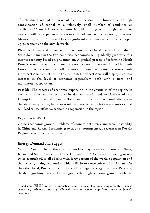of state directives but a market of free competition, but limited by the high concentration of capital to a relatively small number of combines or "Zaibatsus."20 South Korea's economy is unlikely to grow at a higher rate, but neither will it experience a serious slowdown as its economy matures. Meanwhile, North Korea will face a significant economic crisis if it fails to open up its economy to the outside world.

Plausible: China and Russia will move closer to a liberal model of capitalism. State dominance in the two countries' economies will gradually give way to a market economy based on privatization. A gradual process of reforming North Korea's economy will facilitate increased economic cooperation with South Korea. Russia's economy will promote growing economic relations with Northeast Asian countries. In this context, Northeast Asia will display a certain increase in the level of economic regionalism, both with bilateral and multilateral cooperation.

Possible: The process of economic expansion in the countries of the region, in particular, may well be disrupted by domestic social and political turbulence. Disruption of trade and financial flows could cause major economic distress in the states in question, but also result in trade tensions between countries that will lead to less effective economic cooperation in the region.

#### *Key Issues to Watch*

-

China's economic growth; Problems of economic structure and social instability in China and Russia; Economic growth by exporting energy resources in Russia; Regional economic cooperation.

### Energy Demand and Supply

While Asia includes three of the world's major energy importers—China, Japan, and South Korea—, both the U.S. and the EU are each importing nearly twice as much oil as all of Asia with forty percent of the world's population and the fastest growing economies. This is likely to cause substantial frictions. On the other hand, Russia is one of the world's biggest energy exporters. Recently, the distinguishing feature of this region is that high economic growth has led to

 $20$  Zaibatsu  $\lceil \mathbb{H} \mathbb{R} \rceil$  refers to industrial and financial business conglomerates, whose capacities, influence, and size allowed them to control significant parts of Japan's economy.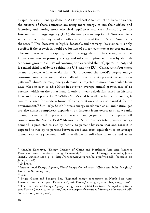a rapid increase in energy demand. As Northeast Asian countries become richer, the citizens of those countries are using more energy to run their offices and factories, and buying more electrical appliances and cars. According to the International Energy Agency (IEA), the energy consumption of Northeast Asia will continue to display rapid growth and will exceed that of North America by the 2020s.<sup>21</sup> This, however, is highly debatable and not very likely since it is only possible if the growth in world production of oil can continue at its present rate. The main reason for a rapid growth of energy demand in the region is that China's increase in primary energy and oil consumption is driven by its high economic growth. China's oil consumption exceeded that of Japan's in 2003, and is ranked third worldwide behind the U.S. and the EU.<sup>22</sup> China, with four times as many people, will overtake the U.S. to become the world's largest energy consumer soon after 2010, if it can afford to continue its present consumption pattern.23 China's primary energy demand is projected to more than double from 1,742 Mtoe in 2005 to 3,819 Mtoe in 2030—an average annual growth rate of 3.2 percent, which on the other hand is only a linear calculation based on historic facts and not a prediction.<sup>24</sup> While China's coal is available in great amounts, it cannot be used for modern forms of transportation and is also harmful for the environment.<sup>25</sup> Similarly, South Korea's energy needs such as oil and natural gas are also almost completely dependent on imports from overseas; it now ranks among the major oil importers in the world and 70 per cent of its imported oil comes from the Middle East.<sup>26</sup> Meanwhile, South Korea's total primary energy demand is predicted to rise by nearly 70 percent between 2001 and 2020; it is expected to rise by 37 percent between 2006 and 2020, equivalent to an average annual rate of 2.3 percent if oil is available in sufficient amounts and at an

<sup>&</sup>lt;sup>21</sup> Kensuke Kanekiyo, "Energy Outlook of China and Northeast Asia And Japanese Perception toward Regional Energy Partnership," Institute of Energy Economics, Japan (IEEJ), October 2005, p. 1, <http://eneken.ieej.or.jp/en/data/pdf/302.pdf> (accessed on June 30, 2008)

<sup>22</sup> *Ibid*, p. 6.

<sup>&</sup>lt;sup>23</sup> International Energy Agency, *World Energy Outlook 2007*, "China and India Insights," Executive Summary, 2007.

<sup>24</sup> *Ibid.*

<sup>&</sup>lt;sup>25</sup> Brigid Gavin and Sangsoo Lee, "Regional energy cooperation in North East Asia: Lessons from the European Experience", *Asia Europe Journal* 5, 3 (September, 2007), p. 406. 26 The International Energy Agency*, Energy Policies of IEA Countries: The Republic of Korea 2006 Review* (2006), p. 29, <http://www.iea.org/textbase/nppdf/free/2006/korea2006.pdf> (accessed on June 30, 2008).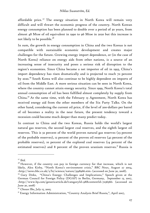affordable price.<sup>27</sup> The energy situation in North Korea will remain very difficult and will thwart the economic progress of the country. North Korean energy consumption has been planned to double over a period of 30 years, from almost 48 Mtoe of oil equivalent in 1990 to 96 Mtoe in 2020 but this increase is not likely to be possible.<sup>28</sup>

In sum, the growth in energy consumption in China and the two Koreas is not compatible with sustainable economic development and creates major challenges for the future. Growing energy import dependence, or (in the case of North Korea) reliance on energy aids from other nations, is a source of an increasing sense of insecurity and poses a serious risk of disruption to the region's economies. Since China became a net importer of oil in 1993, China's import dependency has risen dramatically and is projected to reach 70 percent by 2020.29 South Korea will also continue to be highly dependent on imports of oil from the Middle East. A more serious situation can be seen in North Korea, where the country cannot attain energy security. Since 1999, North Korea's total annual consumption of oil has been fulfilled almost completely by supply from China.30 At the same time, with the February 13 Agreement, North Korea has received energy aid from the other members of the Six Party Talks. On the other hand, considering the current oil price, if the level of 200-dollars per barrel of oil becomes a reality in the near future, the present tendency toward a recession could become much deeper than many predict today.

In contrast to China and the two Koreas, Russia holds the world's largest natural gas reserves, the second largest coal reserves, and the eighth largest oil reserves. This is 32 percent of the world proven natural gas reserves (23 percent of the probable reserves), 12 percent of the proven oil reserves (42 percent of the probable reserves), 10 percent of the explored coal reserves (14 percent of the estimated reserves) and 8 percent of the proven uranium reserves.<sup>31</sup> Russia is

<sup>27</sup> *Ibid.*

<sup>&</sup>lt;sup>28</sup> However, if the country can pay in foreign currency for that increase, which is not likely, Alex Kirby, "North Korea's environment crisis," *BBC News*, August 27 2004, <http://news.bbc.co.uk/2/hi/science/nature/3598966.stm> (accessed on June 30, 2008).

<sup>&</sup>lt;sup>29</sup> Gary Dirks, "China's Energy: Challenges and Implications," Speech given at the German Council for Foreign Policy (DGAP) in Berlin, Germany, September 13, 2007, <http://www.bp.com/genericarticle.do?categoryId=98&contentId=7036566> (accessed on June 30, 2008)

<sup>30</sup> *Chosun Ilbo,* July 15, 2005.

<sup>&</sup>lt;sup>31</sup> Energy Information Administration, "Country Analysis Brief Russia,", April 2007,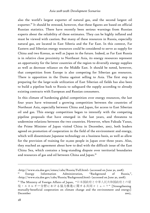also the world's largest exporter of natural gas, and the second largest oil exporter.<sup>32</sup> It should be stressed, however, that these figures are based on official Russian statistics. There have recently been serious warnings from Russian experts about the reliability of these estimates. They can be highly inflated and must be viewed with caution. But many of these resources in Russia, especially natural gas, are located in East Siberia and the Far East. In this context, Far Eastern and Siberian energy resources could be considered to serve as supply for China and two Koreas, as well as Japan in the future. Indeed, as Far East Russia is in relative close proximity to Northeast Asia, its energy resources represent an opportunity for the latter countries of the region to diversify energy supplies as well as decrease reliance on the Middle East. It should be noted, however, that competition from Europe is also competing for Siberian gas resources. There is opposition in the Duma against selling to Asia. The first step in preparing for the large-scale utilization of East Siberian oil fields has also been to build a pipeline back to Russia to safeguard the supply according to already existing contracts with European and Russian consumers.

In this climate of hardening global competition over energy resources, the last four years have witnessed a growing competition between the countries of Northeast Asia, especially between China and Japan, for access to East Siberian oil and gas. This energy competition began to intensify with the competing pipeline proposals that have emerged in the last years, and threatens to undermine relations between the two countries. However, when Fukuda Yasuo, the Prime Minister of Japan visited China in December, 2007, both leaders agreed on promotion of cooperation in the field of the environment and energy, which will disseminate Japanese technology on a business basis, as well as allow for the provision of training for 10,000 people in Japan over three years. Also, they reached an agreement about how to deal with the difficult issue of the East China Sea, which contains a long-standing dispute over territorial boundaries and resources of gas and oil between China and Japan.<sup>33</sup>

<sup>&</sup>lt;http://www.eia.doe.gov/emeu/cabs/Russia/Full.html> (accessed on June 30, 2008).

Energy Information Administration, "Background of Russia,", <http://www.eia.doe.gov/cabs/Russia/Background.html> (accessed on June 30, 2008).

<sup>33</sup> The Ministry of Foreign Affairs of Japan, "日本国政府と中華人民共和国政府との環 境・エネルギー分野における協力推進に関する共同コミュニケ" [Strengthening mutually-beneficial cooperation on climate change and the environment and energy] December 2007,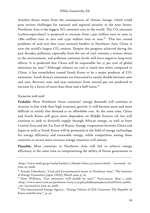Another threat stems from the consequences of climate change, which could pose serious challenges for national and regional security in the near future. Northeast Asia is the biggest  $SO<sub>2</sub>$  emission area in the world. The  $CO<sub>2</sub>$  emission (carbon-equivalent) is projected to increase from 1,400 million tons in 2000 to 1,880 million tons in 2010 and 2,540 million tons in 2020.<sup>34</sup> This has caused problems of acid rain that cross national borders in Northeast Asia. China is now the world's largest  $CO<sub>2</sub>$  emitter. Despite the progress achieved during the past decades, pollution, especially from the use of coal, remains a serious threat to the environment, and pollutant emission levels will have negative long-term effects. It is predicted that China will be responsible for 37 per cent of global emissions by 2030.<sup>35</sup> Although reliance on coal is much less when compared to China, it has nonetheless caused South Korea to be a major producer of  $CO<sub>2</sub>$ emissions. South Korea's emissions are forecasted to nearly double between 2000 and 2010. Between 2000 and 2030 emissions from natural gas are predicted to increase by a factor of more than three-and a-half times.<sup>36</sup>

#### *Scenarios 2018-2028*

-

Probable: Most Northeast Asian countries' energy demands will continue to increase in line with their high economic growth. It will become more and more difficult to satisfy that demand at an affordable cost. At the same time, China and South Korea will grow more dependent on Middle Eastern oil, but will continue to seek to diversify supply through African energy, as well as from Central Asia and the Far East of Russia. Energy cooperation between China and Japan as well as South Korea will be promoted in the field of energy technology for energy efficiency and renewable energy, while competition among these countries to access more overseas energy resources will remain.

Plausible: Most countries in Northeast Asia will fail to achieve energy efficiency at the same time as compromising the ability of future generations to

<sup>&</sup>lt;http://www.mofa.go.jp/mofaj/kaidan/s\_fukuda/china\_07/annex1.html> (accessed on June 30, 2008).

<sup>34</sup> Atsushi Fukushima, "Coal and Environmental Issues in Northeast Asia," The Institute of Energy Economics, Japan (IEEJ), March 2004, p. 16.

<sup>35</sup> Peter Williams, "Gas emissions 'will double by 2020'," *News.com.au*, May 1, 2008, <http://www.news.com.au/perthnow/story/0,21498,236286035005361,00.html?from=public \_rss> (accessed on June 30, 2008).

<sup>&</sup>lt;sup>36</sup> The International Energy Agency, "Energy Policies of IEA Countries: The Republic of Korea 2006 Review,", p. 29.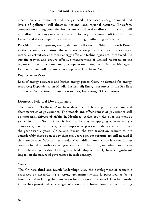meet their environmental and energy needs. Increased energy demand and levels of pollution will threaten national and regional security. Therefore, competition among countries for resources will lead to direct conflict, and will also allow Russia to exercise resource diplomacy in regional politics and to let Europe and Asia compete over deliveries through outbidding each other.

Possible: In the long-term, energy demand will slow in China and South Korea, as their economies mature, the structure of output shifts toward less energyintensive activities, and more energy-efficient technologies are introduced. To sustain growth and ensure effective management of limited resources in the region will mean increased energy cooperation among countries. In this regard, Far East Russia will become a gas supplier to Northeast Asia.

Key Issues to Watch

Lack of energy resources and higher energy prices; Growing demand for energy resources; Dependence on Middle Eastern oil; Energy resources in the Far East of Russia; Competition for energy resources; Increasing CO2 emissions.

# Domestic Political Developments

The states of Northeast Asia have developed different political systems and characteristics of governance. The models and effectiveness of governance will be important drivers of affairs in Northeast Asian countries over the next 20 years. In short, South Korea is leading the way in applying a western style democracy, having undergone an impressive process of democratization over the past twenty years. China and Russia, the two transition economies, are considerably more open today than ten years ago, but reforms are still needed if they are to meet Western standards. Meanwhile, North Korea is a totalitarian country based on authoritarian governance. In the future, including possibly in North Korea, generational changes of leadership will likely have a significant impact on the nature of governance in each country.

#### *China*

The Chinese third and fourth leaderships view the development of economic processes as necessitating a strong government—this is perceived as being instrumental in laying the foundation for an economic take-off. In other words, China has prioritized a paradigm of economic reforms combined with strong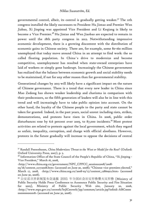governmental control, albeit, its control is gradually getting weaker.<sup>37</sup> The 11th congress installed the likely successors to President Hu Jintao and Premier Wen Jiabao, Xi Jinping was appointed Vice President and Li Keqiang is likely to become a Vice Premier.<sup>38</sup> Hu Jintao and Wen Jiaobao are expected to remain in power until the 18th party congress in 2012. Notwithstanding impressive economic development, there is a growing discontent with the distribution of economic gains in Chinese society. There are, for example, some 80-160 million unemployed that today move around China in an attempt to find work: the so called floating population. In China´s drive to modernize and become competitive, unemployment has resulted when state-owned enterprises have laid of workers or simply gone bankrupt. Increasingly the Chinese government has realized that the balance between economic growth and social stability needs to be maintained, if not for any other reason than for governmental stability.

Generational changes by 2013 will likely have a significant impact on the nature of Chinese governance. There is a trend that every new leader in China since Mao Zedong has shown weaker leadership and charisma in comparison with their predecessors, so the fifth generation of leaders will also be in line with this trend and will increasingly have to take public opinion into account. On the other hand, the loyalty of the Chinese people to the party and state cannot be taken for granted. Indeed, in the past years, social unrest including riots, strikes, demonstrations, and protests have risen in China. In 2006, public order disturbances rose by 6.6 percent over 2005, to 87,000 incidents.<sup>39</sup> Most protest activities are related to protests against the local government, which they regard as unfair, inequality, corruption, and charge with official aloofness. However, protests in the future gradually will increase to oppose the decisions of central

<http://www.china.org.cn/government/NPC\_CPPCC\_sessions2008/2008-

<sup>37</sup> Randall Peerenboom, *China Modernizes: Threat to the West or Model for the Rest?* (Oxford: Oxford University Press, 2007), p. 3.

<sup>&</sup>lt;sup>38</sup> Information Office of the State Council of the People's Republic of China, "Xi Jinping -Vice President," March 16, 2008,

<sup>03/16/</sup>content\_12772008.htm> (accessed on June 30, 2008); "Chinese vice premiers elected," March 17, 2008, <http://www.china.org.cn/2008-03/17/content\_12860912.htm> (accessed on June 30, 2008).

<sup>39</sup> 公安部召开新闻发布会通报 2005 年全国社会治安形势暨火灾形势 [Ministry of Public Security Holds Press Conference to Announce Public Security and Fire Situation for 2005], Ministry of Public Security Web site, January 20, 2006, <http://www.mps.gov.cn/cenweb/brjlCenweb/jsp/common/article.jsp?infoid=ABC0000 0000000001018> (accessed on June 30, 2008).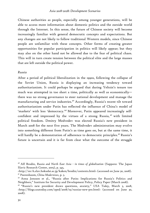Chinese authorities as people, especially among younger generations, will be able to access more information about domestic politics and the outside world through the Internet. In this sense, the future of Chinese society will become increasingly familiar with general democratic concepts and expectations. But any changes are not likely to follow traditional Western models, since Chinese people are unfamiliar with these concepts. Other forms of creating greater opportunities for popular participation in politics will likely appear; but they may also on the other hand not be allowed due to the fear of political chaos. This will in turn create tension between the political elite and the large masses that are left outside the political power.

#### *Russia*

After a period of political liberalization in the 1990s, following the collapse of the Soviet Union, Russia is displaying an increasing tendency toward authoritarianism. It could perhaps be argued that during Yeltsin's tenure too much was attempted in too short a time, politically as well as economically there was no strong governance to steer national development and manage the manufacturing and service industries.40 Accordingly, Russia's recent tilt toward authoritarianism under Putin has reflected the influence of China's model of 'markets' with less 'democracy.'<sup>41</sup> Moreover, Putin appeared increasingly selfconfident and impressed by the virtues of a strong Russia, 42 with limited political freedom. Dmitry Medvedev was elected Russia's new president in March 2008 for the next five years. The Medvedev administration may evolve into something different from Putin's as time goes on, but at the same time, it will hardly be a demonstration of adherence to democratic principles.<sup>43</sup> Russia's future is uncertain and it is far from clear what the outcome of the struggle

<sup>40</sup> Alf Brodin, *Russia and North East Asia - in times of globalization* (Sapporo: The Japan Slavic Research Center, 2005), p. 345,

<sup>&</sup>lt;http://src-h.slav.hokudai.ac.jp/kaken/brodin/contents.html> (accessed on June 30, 2008). 41 Peerenboom, *China Modernizes*, p. 3.

<sup>42</sup> Anna Jonsson et al., "Russia after Putin: Implications for Russia's Politics and Neighbors," Institute for Security and Development Policy, Policy Paper (March 2008).

<sup>43 &</sup>quot;Russia's new president draws questions, anxiety," *USA Today*, March 3, 2008, <http://blogs.usatoday.com/oped/2008/03/russias-new-pre.html> (accessed on June 30, 2008).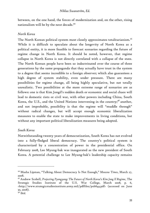between, on the one hand, the forces of modernization and, on the other, rising nationalism will be by the next decade.<sup>44</sup>

#### *North Korea*

The North Korean political system most closely approximates totalitarianism.<sup>45</sup> While it is difficult to speculate about the longevity of North Korea as a political entity, it is more feasible to forecast scenarios regarding the future of regime change in North Korea. It should be noted, however, that regime collapse in North Korea is not directly correlated with a collapse of the state. The North Korean people have been so indoctrinated over the course of three generations by the same propaganda that they actually have trust in the system to a degree that seems incredible to a foreign observer; which also guarantees a high degree of system stability, even under pressure. There are many possibilities for regime change, all being highly speculative, but not totally unrealistic. Two possibilities at the more extreme range of scenarios are as follows: one is that Kim Jongil's sudden death or economic and social chaos will lead to domestic riots or civil war, with other powers including China, South Korea, the U.S., and the United Nations intervening in the country;<sup>46</sup> another, and not improbable, possibility is that the regime will "muddle through" without radical changes, but will accept enough economic liberalization measures to enable the state to make improvements in living conditions, but without any important political liberalization measures being adopted.

#### *South Korea*

Notwithstanding twenty years of democratization, South Korea has not evolved into a fully-fledged liberal democracy. The country's political system is characterized by a concentration of power in the presidential office. On February 2008, Lee Myung-bak was inaugurated as the new president of South Korea. A potential challenge to Lee Myung-bak's leadership capacity remains

<sup>44</sup> Masha Lipman, "Talking About Democracy Is Not Enough," *Moscow Times*, March 27, 2008.

<sup>45</sup> Andrew Scobell, *Projecting Pyongyang: The Future of North Korea's Kim Jong Il Regime*, The Strategic Studies Institute of the U.S. War College, March 2008, p. 6, <http://www.strategicstudiesinstitute.army.mil/pdffiles/pub844.pdf> (accessed on June 30, 2008).

<sup>46</sup> *Ibid*.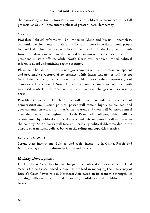the harnessing of South Korea's economic and political performance to its full potential as South Korea enters a phase of greater liberal democracy.

#### *Scenarios 2018-2028*

Probable: Political reforms will be limited in China and Russia. Nonetheless, economic developments in both countries will increase the desire from people for political rights and greater political liberalization in the long term. South Korea will slowly move toward increased liberalism with a decreased role of the president in state affairs, while North Korea will conduct limited political reform to avoid undermining regime security.

Plausible: The Chinese and Russian governments will exhibit more transparent and predictable structures of governance, while future leaderships will not opt for full democracy. South Korea will resemble more closely a western style of democracy. In the case of North Korea, if economic changes are combined with increased contact with other nations, real political changes will eventually occur.

Possible: China and North Korea will remain outside of processes of democratization. Russian political power will remain highly centralized, and governmental structures will not be transparent and there will be strict control over the media. The regime in North Korea will collapse, which will be accompanied by political and social chaos, and external powers will intervene in the country. South Korea will face an increasing political dilemma due to the dispute over national policies between the ruling and opposition parties.

# *Key Issues to Watch*

Strong state institutions; Political and social instability in China, Russia and North Korea; Political reforms in China and Russia.

# Military Development

For Northeast Asia, the obvious change of geopolitical situation after the Cold War is China's rise. Indeed, China has the lead in managing the insolvency of Russia's Great Power role in Northeast Asia based on its economic strength, its growing military capacity, and increasing confidence and ambitions for the future.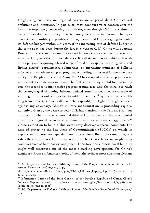Neighboring countries and regional powers are skeptical about China's real ambitions and intentions. In particular, most countries voice concern over the lack of transparency concerning its military, even though China proclaims its peaceful development policy that is purely defensive in nature. The 19.47 percent rise in military expenditure in 2007 means that China is going to double its defense budgets within 4–5 years, if the increasing rate of defense budget is the same as it has been during the last five year period.<sup>47</sup> China will overtake Russia and others and become the second largest defense spender in the world, after the U.S., over the next two decades. It will strengthen its military through developing and acquiring a broad range of modern weapons, including advanced fighter aircraft, sophisticated submarines, an increasing numbers of ballistic missiles and an advanced space program. According to the 2006 Chinese defense policy, the People's Liberation Army (PLA) has adopted a three-step process to implement its modernization plan. The first step is to lay a solid foundation by 2010; the second is to make major progress around 2020; and, the third is to reach the strategic goal of having informationized armed forces that are capable of winning informationized wars by the mid-21st century.<sup>48</sup> By the outcome of this long-term project, China will have the capability to fight on a global scale against any adversary. China's military modernization is proceeding rapidly, not only driven by the desire to deter U.S. intervention in the Taiwan Strait but also by a number of other contextual drivers: China's desire to become a global power, the regional security environment, and its growing energy needs.<sup>49</sup> China's ambition to build a blue water navy deserves a special comment. The need of protecting the Sea Lines of Communication (SLOCs) on which its exports and imports are dependent are quite obvious. But at the same time, as a side effect this gives China the option to block sea lanes to neighboring countries such as both Koreas and Japan. Therefore, the Chinese naval build-up might well constitute one of the most disturbing developments for China's neighbors. From an American point of view, the perhaps most alarming element

<sup>47</sup> U.S. Department of Defense, "Military Power of the People's Republic of China 2008," Annual Report to the Congress, p. 32,

<sup>&</sup>lt;http://www.defenselink.mil/pubs/pdfs/China\_Military\_Report\_08.pdf> (accessed on June 30, 2008).

<sup>48</sup> Information Office of the State Council of the People's Republic of China, *China's National Defense in 2006*, <http://www.china.org.cn/english/features/book/194485.htm> (accessed on June 30, 2008).

<sup>49</sup> U-S. Department of Defense, "Military Power of the People's Republic of China 2008," p. 3.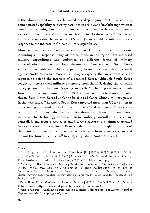is the Chinese ambition to develop an advanced space program. China´s already demonstrated capability to destroy satellites in orbit was a breakthrough when it comes to threatening American supremacy in the air and on the sea, and thereby its possibilities to defend its allies and friends in Northeast Asia.<sup>50</sup> The deeper military co-operation between the U.S. and Japan should be interpreted as a response to the increase in China's military capabilities.

Most regional actors have concerns about China's military ambitions. Accordingly, in response many of the countries in the region have increased military expenditures and embarked on different forms of military modernization for a new security environment in Northeast Asia. South Korea will continue with its military expansion, focused less on defending itself against North Korea but more on building a capacity that may eventually be required to defend the interests of a reunited Korea. Although South Korea sought to increase their military autonomy from the U.S. during the sunshine policy pursued by the Kim Deajoong and Roh Moohyun presidencies, South Korea is now strengthening the U.S.-ROK alliance not only to counter possible threats from North Korea but also to be able to balance China's military power in the near future.<sup>51</sup> Recently, South Korea invested more than US\$17 billion in modernizing its armed forces from 2003 to 2007<sup>52</sup> and announced "the defense reform 2020" in 2005, which aims to transform its defense from manpower intensive to technology-intensive, from military-controlled to civiliancontrolled, and from a service-oriented force structure to a jointness-oriented force structure.*<sup>53</sup>* Indeed, South Korea's defense reform through 2020 is one of the most ambitious and comprehensive defense reform plans ever, in and around the Korean peninsula.<sup>54</sup> In analyzing China-North Korea relations, the

<sup>50</sup> *Ibid.*

<sup>51</sup> Park Jongcheul, Kim Haksung and Kim Suengjin [박종철,김학성,김성진], "2020 선진 한국의 국가전략, 통일연구원" [Advanced Korea's National Strategy of 2020], Korea Institute for National Unification [통일연구원], March 2007, p. 31.

<sup>52</sup> Ashley J. Tellis*, "*Overview: Military Modernization in Asia," in *Ashley J. Tellis and Michael Wills, eds., Strategic Asia 2005–06: Military Modernization in an Era of Uncertainty,*The National Bureau of Asian Research, 2008, <http://www.nbr.org/publications/strategic\_asia/pdf/sa05\_1overview.pdf> (accessed on June 30, 2008).

<sup>53</sup> Republic of Korea Ministry of National Defense [국방부], "국방개혁 2020" [Defense Reform 2020], <http://www.mnd.go.kr> (accessed on June 30, 2008).

<sup>54</sup> Han Yong-sup, "Analyzing South Korea's Defense Reform 2020,"*The Korean Journal of Defense Analysis* 18, 1 (Spring 2006), p.112.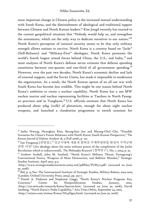most important change in Chinese policy is the increased mutual understanding with South Korea, and the diminishment of ideological and traditional rapport between Chinese and North Korean leaders.<sup>55</sup> Kim Jongil recently has reacted to the current geopolitical situation that "Nobody would help us, and strengthen the armaments, which are the only way to dedicate ourselves to our nation."<sup>56</sup> North Korea's perception of national security seems to be that only military strength allows nations to survive. North Korea is a country based on "*Juche"* (Self-Reliance) and "Military-First" ideologies. North Korea possesses the world's fourth largest armed forces behind China, the U.S., and India, <sup>57</sup> and most analyses of North Korea's defense sector estimate that defense spending constitutes between one-quarter and one-third of all government spending.<sup>58</sup> However, over the past two decades, North Korea's economic decline and lack of external support, read the Soviet Union, has made it impossible to modernize the organization. As a result, the North Korean option of an all out war with South Korea has become less credible. This might be one reason behind North Korea's ambition to create a nuclear capability. North Korea has a 200 MW nuclear reactor and nuclear reprocessing facilities at Taechon in North Pyongan province and in Yongbyon.<sup>59</sup> U.S. officials estimate that North Korea has produced about 50kg (110lb) of plutonium, enough for about eight nuclear weapons, and launched a clandestine programme to enrich uranium for

<sup>55</sup> Jaeho Hwang, Heungkyu Kim, Byung-kon Jun and Myung-Chul Cho, "Possible Scenarios for China's Future Relations with North Korea: South Korean Perspective," *The Korean Journal of Defense Analysis* 18, 3 (Fall 2006), p. 122.

<sup>56</sup> Lee Yongseup [리영섭],""선군시대에 새롭게 밝혀진 주체혁명위업 완성의 주력군에 관한 사상" [An ideology about the main military power of the compliment of the Juche Revolution which is rediscovered], *The Philosophy Research* [철학연구], No. 1, 2004, p. 30.

<sup>57</sup> Andrew Scobell, John M. Sanford, "North Korea's Military Threat: Pyongyang's Conventional Forces, Weapons of Mass Destruction, and Ballistic Missiles," Strategic Studies Institute, April 2007, p.3,

<sup>&</sup>lt;http://www.strategicstudiesinstitute.army.mil/pdffiles/PUB771.pdf> (accessed on June 30, 2008).

<sup>58</sup> *lbid*, p. 9; See: The International Institute of Strategic Studies, *Military Balance, 2004-2005*, (London: Oxford University Press, 2004), pp. 353-7.

<sup>59</sup> Daniel A. Pinkston and Stephanie Lieggi, "North Korea's Nuclear Program: Key Concerns," Center for Nonproliferation Studies, January, 2003, <http://cns.miis.edu/research/korea/keycon.htm> (accessed on June 30, 2008); David Isenberg, "North Korea's Nuke Capability," *Asia Times Online*, September 24, 2002, <http://atimes.com/atimes/Korea/DI24Dg05.html> (accessed on June 30, 2008).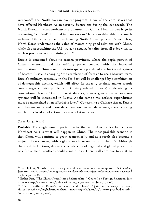weapons. 60 The North Korean nuclear program is one of the core issues that have affected Northeast Asian security discussions during the last decade. The North Korean nuclear problem is a dilemma for China. How far can it go in pressuring "a friend" into making concessions? It is also debatable how much influence China really has in influencing North Korean policies. Nonetheless, North Korea understands the value of maintaining good relations with China, while also approaching the U.S., so as to acquire benefits from all sides with its nuclear programs as a bargaining chip.<sup>61</sup>

Russia is concerned about its eastern provinces, where the rapid growth of China's economic and the military power coupled with the increased immigration of Chinese nationals into sparsely populated and backward regions of Eastern Russia is changing "the correlation of forces," to use a Marxist term. Russia's military, especially in the Far East will be challenged by a combination of demographic decline, which will affect its capacity to draft and/or recruit troops, together with problems of (mainly related to costs) modernizing its conventional forces. Over the next decades, a new generation of weapons systems will be introduced in Russia. At the same time, defense expenditures must be maintained at an affordable level.<sup>62</sup> Concerning a Chinese threat, Russia will become more and more dependent on nuclear deterrence, thereby losing much of its freedom of action in case of a future crisis.

#### *Scenarios 2018-2028*

Probable: The single most important factor that will influence developments in Northeast Asia is what will happen in China. The most probable scenario is that China will continue to grow economically and as a result also become a major military power, with a global reach, second only to the U.S. Although there will be frictions, due to the rebalancing of regional and global power, the risk for a major conflict should remain low. There will continue to exist an

<sup>60</sup> Paul Eckert, "North Korea misses year-end deadline on nuclear weapons," *The Guardian*, January 1, 2008, <http://www.guardian.co.uk/world/2008/jan/01/korea.nuclear> (accessed on June 30, 2008).

<sup>&</sup>lt;sup>61</sup> Esther Pan, "The China-North Korea Relationship, " Council on Foreign Relations, July 11, 2006, <http://www.cfr.org/publication/11097> (accessed on June 30, 2008).

<sup>62 &</sup>quot;Putin outlines Russia's successes and plans," *top.rbc.ru*, February 8, 2008, <http://top.rbc.ru/english/index.shtml?/news/english/2008/02/08/08184420\_bod.shtml> (accessed on June 30, 2008).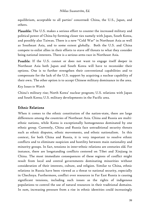equilibrium, acceptable to all parties' concerned: China, the U.S., Japan, and others.

Plausible: The U.S. makes a serious effort to counter the increased military and political power of China by forming closer ties namely with Japan, South Korea, and possibly also Taiwan. There is a new "Cold War" in Northeast Asia as well as Southeast Asia, and to some extent globally. Both the U.S. and China compete to enlist allies in their efforts to stave off threats to what they consider being national interests. There is a serious arms race in Northeast Asia.

Possible: If the U.S. cannot or does not want to engage itself deeper in Northeast Asia both Japan and South Korea will have to reconsider their options. One is to further strengthen their conventional capabilities and to compensate for the lack of the U.S. support by acquiring a nuclear capability of their own. The other option is to accept Chinese military dominance in the area.

*Key Issues to Watch* 

China's military rise; North Korea' nuclear program; U.S. relations with Japan and South Korea; U.S. military developments in the Pacific area.

# Ethnic Relations

When it comes to the ethnic constitution of the nation-state, there are large differences among the countries of Northeast Asia. China and Russia are multiethnic nations, while Korea is exceptionally homogeneous dominated by one ethnic group. Currently, China and Russia face untraditional security threats such as ethnic disputes, ethnic movements, and ethnic nationalism. In this context, for both China and Russia, it is very important to resolve ethnic conflicts and to eliminate suspicion and hostility between main nationality and minority groups. In fact, tensions in inter-ethnic relations are centuries old. For instance, there are longstanding conflicts centered on Tibet and Xinjiang in China. The most immediate consequences of these regions of conflict might result from local and central governments dominating minorities without consideration of their interests, culture, and religion. Similar to China, ethnic relations in Russia have been viewed as a threat to national security, especially in Chechnya. Furthermore, conflict over resources in Far East Russia is causing significant tensions, including such issues as the rights of indigenous populations to control the use of natural resources in their traditional domains. In sum, increasing pressure from a rise in ethnic identities could increasingly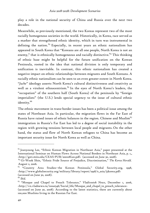play a role in the national security of China and Russia over the next two decades.

Meanwhile, as previously mentioned, the two Koreas represent two of the most racially homogenous societies in the world. Historically, in Korea, race served as a marker that strengthened ethnic identity, which in turn was instrumental in defining the nation.  $63$  Especially, in recent years an ethnic nationalism has appeared in South Korea that "Koreans are all one people, North Korea is not an enemy," that is ethnically homogeneous and racially distinctive.<sup>64</sup> This thinking of ethnic base might be helpful for the future unification on the Korean Peninsula, rooted in the idea that national division is only temporary and unification is inevitable. In contrast, this ethnic nationalism has created a negative impact on ethnic relationships between migrants and South Koreans. A racially ethnic nationalism can be seen to an even greater extent in North Korea. "*Juche"* ideology asserts North Korea's cultural distinctiveness and creativity as well as a virulent ethnocentrism.<sup>65</sup> In the eyes of North Korea's leaders, the "occupation" of the southern half (South Korea) of the peninsula by "foreign imperialists" (the U.S.) lends special urgency to the issue of cultural ethnic identity.<sup>66</sup>

The ethnic movement in trans-border issues has been a political issue among the states of Northeast Asia. In particular, the migration flows in the Far East of Russia have raised issues of ethnic balances in the region. Chinese and Muslim<sup>67</sup> immigration in Russia's Far East has led to a degree of social instability in the region with growing tensions between local people and migrants. On the other hand, the status and flow of North Korean refugees to China has become an important security issue for North Korea as well as China.

 $63$  Jeanyoung Lee, "Ethnic Korean Migration in Northeast Asia," paper presented at the International Seminar on Human Flows Across National Borders in Northeast Asia, p. 1,, <http://gsti.miis.edu/CEAS-PUB/200108Lee.pdf> (accessed on June 30, 2008).

<sup>64</sup> Gi-Wook Shin, "Ethnic Pride Source of Prejudice, Discrimination," *The Korea Herald*, August 2, 2006.

<sup>&</sup>lt;sup>65</sup> "Country Area Studies--the Korean Peninsula," Global Security.org, 1998, <http://www.globalsecurity.org/military/library/report/1998/e\_asia/j5korea.pdf> (accessed on June 30, 2008).

<sup>66</sup> *Ibid*.

<sup>67 &</sup>quot;Mosque and Chapel to Preach Tolerance," *Vladivostok News*, December 1, 2006, <http://vn.vladnews.ru/issue546/Social\_life/Mosque\_and\_chapel\_to\_preach\_tolerance> (accessed on June 30, 2008). According to the latest statistics, there are currently about 100,000 Muslims living in the Russian Far East.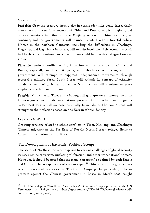#### *Scenarios 2018-2028*

Probable: Growing pressure from a rise in ethnic identities could increasingly play a role in the national security of China and Russia. Ethnic, religious, and political tensions in Tibet and the Xinjiang region of China are likely to continue, and the governments will maintain control with a forceful policy. Unrest in the northern Caucasus, including the difficulties in Chechnya, Dagestan, and Ingushetia in Russia, will remain insoluble. If the economic crisis in North Korea continues to worsen, there could be massive refugee flows to China.

Plausible: Serious conflict arising from inter-ethnic tensions in China and Russia, especially in Tibet, Xinjiang, and Chechnya, will occur, and the government will attempt to suppress independence movements through repressive military force. South Korea will rethink its concept of ethnicity amidst a trend of globalization, while North Korea will continue to place emphasis on ethnic nationalism.

Possible: Minorities in Tibet and Xinjiang will gain greater autonomy from the Chinese government under international pressure. On the other hand, migrants to Far East Russia will increase, especially from China. The two Koreas will strengthen their relations based on one Korean ethnic identity.

#### *Key Issues to Watch*

-

Growing tensions related to ethnic conflicts in Tibet, Xinjiang, and Chechnya; Chinese migrants in the Far East of Russia; North Korean refugee flows to China; Ethnic nationalism in Korea.

# The Development of Extremist Political Groups

The states of Northeast Asia are exposed to various challenges of global security issues, such as terrorism, nuclear proliferation, and other transnational threats. However, it should be noted that the term "terrorism" as defined by both Russia and China includes separatists of various types.<sup>68</sup> China's separatist groups have recently escalated activities in Tibet and Xinjiang. In particular, Tibetan protests against the Chinese government in Lhasa in March 2008 caught

<sup>68</sup> Robert A. Scalapino, "Northeast Asia Today-An Overview," paper presented at the UN University in Tokyo 2002, <http://gsti.miis.edu/CEAS-PUB/200202Scalapino.pdf> (accessed on June 30, 2008).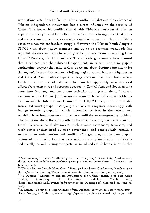international attention. In fact, the ethnic conflict in Tibet and the existence of Tibetan independence movements has a direct influence on the security of China. This intractable conflict started with China's annexation of Tibet in 1949. Since the  $14<sup>th</sup>$  Dalai Lama fled into exile in India in 1959, the Dalai Lama and his exile government has essentially sought autonomy for Tibet from China based on a non-violent freedom struggle. However, the Tibetan Youth Congress (TYC) with about 30,000 members and up to 70 branches worldwide has regarded violence and terrorist activity as its primary means of seceding from China.<sup>69</sup> Recently, the TYC and the Tibetan exile government have claimed that Tibet has been the subject of experiments in cultural and demographic engineering, projects that raise serious questions about Beijing's intentions for the region's future.<sup>70</sup> Elsewhere, Xinjiang region, which borders Afghanistan and Central Asia, harbors separatist organizations that have been active. Furthermore, the rise of Islamic extremism has apparently seen increased efforts from extremist and separatist groups in Central Asia and South Asia to enter into Xinjiang and coordinate activities with groups there.  $71$  Indeed, elements of the Uighur Jihad terrorists seem to have had contact with the Taliban and the International Islamic Front (IIF).<sup>72</sup> Hence, in the foreseeable future, extremist groups in Xinjiang are likely to cooperate increasingly with foreign terrorist groups. In Russia extremist activities in the autonomous republics have been continuous, albeit not unlikely an ever-growing problem. The situation along Russia's southern borders, therefore, particularly in the North Caucasus, could deteriorate—with Islamic extremism, terrorism, and weak states characterized by poor governance—and consequently remain a source of endemic tension and conflict. Changes, too, in the demographic picture of the Russian Far East have serious security implications, politically and socially, as well raising the specter of racial and ethnic hate crimes. In this

<sup>69 &</sup>quot;Commentary: Tibetan Youth Congress is a terror group," C*hina Daily*, April 15, 2008, *<*http://www.chinadaily.com.cn/china/2008-04/15/content\_6618199.htm> (accessed on June 30, 2008).<br><sup>70</sup> "Tibet's Future: Does It Have One?," Heritage Foundation Conference, March 11, 2008

<sup>&</sup>lt;http://www.heritage.org/Press/Events/ev031108b.cfm> (accessed on June 30, 2008).

 $71$  Jia Duqiang, "Extremism and its implications for China," Institute of East Asian Studies, University of California, Berkeley, March 2007, <http://ieas.berkeley.edu/events/pdf/2007.03.08\_Jia\_Duqiang.pdf> (accessed on June 30, 2008).

<sup>72</sup> B. Raman, "Threat to Beijing Olympics from Uighurs," *International Terrorism Monitor*-- -Paper No. 379, 2008, <http://www.ict.org.il/apage/25879.php> (accessed on June 30, 2008).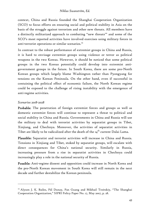context, China and Russia founded the Shanghai Cooperation Organization (SCO) to focus efforts on ensuring social and political stability in Asia on the basis of the struggle against terrorism and other new threats. All members have a distinctly militarized approach to combating "new threats'" and some of the SCO's most reported activities have involved exercises using military forces in anti-terrorist operations or similar scenarios.<sup>73</sup>

In contrast to the robust performance of extremist groups in China and Russia, it is hard to envisage extremist groups using violence or terror as political weapons in the two Koreas. However, it should be noticed that some political groups in the two Koreas potentially could develop into extremist antigovernment groups in the future. In South Korea, there are some pro-North Korean groups which largely blame Washington rather than Pyongyang for tensions on the Korean Peninsula. On the other hand, even if successful in containing the political effect of economic failure, the North Korean regime could be exposed to the challenge of rising instability with the emergence of anti-regime activities.

#### *Scenarios 2018-2028*

-

Probable: The penetration of foreign extremist forces and groups as well as domestic extremist forces will continue to represent a threat to political and social stability in China and Russia. Governments in China and Russia will use the military to deal with terrorist activities by separatist groups in Tibet, Xinjiang, and Chechnya. Moreover, the activities of separatist activities in Tibet are likely to be radicalized after the death of the  $\iota_4^{\text{th}}$  current Dalai Lama.

Plausible: Separatist and terrorist activities will increase in China and Russia. Tensions in Xinjiang and Tibet, stoked by separatist groups, will escalate with direct consequences for China's national security. Similarly in Russia, increasing pressure from a rise in separatist activities in Chechnya could increasingly play a role in the national security of Russia.

Possible: Anti-regime dissent and opposition could increase in North Korea and the pro-North Korean movement in South Korea will still remain in the next decade and further destabilize the Korean peninsula.

<sup>73</sup> Alyson J. K. Bailes, Pál Dunay, Pan Guang and Mikhail Troitskiy, "The Shanghai Cooperation Organization," SIPRI Policy Paper No. 17, May 2007, p. 28.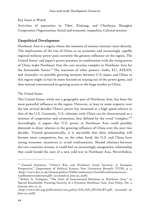#### *Key Issues to Watch*

Activities of separatists in Tibet, Xinjiang, and Chechnya; Shanghai Cooperation Organization; Social and economic inequality; Cultural tension.

# Geopolitical Development

Northeast Asia is a region where the interests of nations intersect most directly. The implications of the rise of China as an economic and increasingly capable regional military power pose currently the greatest influence on the region. The United States' and Japan's power presence in combination with the rising power of China make Northeast Asia the core security complex in Northeast Asia for the foreseeable future.74 The reactions of other powers—India, EU, ASEAN, and Australia—to possible growing tensions between U.S.-Japan and China in this region might in fact be more focused on staying out of the power game, and thus instead concentrated on gaining access to the huge market in China.

## *The United States*

The United States, while not a geographic part of Northeast Asia, has been the most powerful influence in the region. However, at least in some respects, over the last several decades China's power has increased at a high speed relative to that of the U.S. Currently, U.S. relations with China can be characterized as a mixture of cooperation and contention, best defined by the word "complex."<sup>75</sup> Accordingly, it argues that U.S. power in Northeast Asia could possibly diminish in direct relation to the growing influence of China over the next two decades. Viewed pessimistically, it is inevitable that their relationship will become more competitive; but, on the other hand, the U.S. and China have strong economic incentives to avoid confrontation. Should relations between the two countries worsen, it could fuel an increasingly antagonistic relationship that could herald the start of a new cold war in Northeast Asia. Nevertheless,

<sup>74</sup> Gustaaf Geeraerts, "China's Rise and Northeast Asian Security: A European Perspective," Department of Political Science, Free University Brussels (VUB), p. 2, <http://www.dur.ac.uk/chinese.politics/Public%20lectures/Gustaff%20Geeraerts%20- %20Renmin%20lecture.pdf> (accessed on June 30, 2008).

<sup>75</sup> Robert A. Scalapino, "The State of International Relations in Northeast Asia," in Special Roundtable: Pursuing Security in a Dynamic Northeast Asia, Asia Policy*,* No. 3, January 2007, p. 27,

<sup>&</sup>lt;http://www.nbr.org/publications/asia\_policy/AP3/AP3\_NEASecRT.pdf> (accessed on June 30, 2008).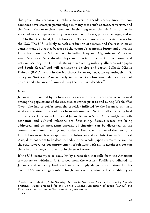this pessimistic scenario is unlikely to occur a decade ahead, since the two countries have strategic partnerships in many areas such as trade, terrorism, and the North Korean nuclear issue; and in the long term, the relationship may be widened to encompass security issues such as military, political, energy, and so on. On the other hand, North Korea and Taiwan pose as complicated issues for the U.S. The U.S. is likely to seek a reduction of tension and the resolution or containment of disputes because of the country's economic future and given the U.S's focus on the Middle East, including Iraq and Afghanistan. Moreover, since Northeast Asia already plays an important role in U.S. economic and national security, the U.S. will strengthen existing military alliances with Japan and South Korea, $7^6$  and will continue to develop and deploy Ballistic Missile Defense (BMD) assets in the Northeast Asian region. Consequently, the U.S. policy in Northeast Asia is likely to rest on two fundamentals—a concert of powers and a balance of power during the next two decades.<sup>77</sup>

#### *Japan*

Japan is still haunted by its historical legacy and the attitudes that were formed among the populations of the occupied countries prior to and during World War Two, who had to suffer from the cruelties inflicted by the Japanese military. And yet the situation should not be overdramatized. Serious talks are being held on many levels between China and Japan. Between South Korea and Japan both economic and cultural relations are flourishing. Serious issues are being addressed and an increasing amount of sincerity can be discerned in the communiqués from meetings and seminars. Even the thorniest of the issues, the North Korean nuclear weapon and the future security architecture in Northeast Asia, does not seem to be dead-locked. On the whole, Japan seems to be well on the road toward serious improvement of relations with all its neighbors, but can there be any change of direction in the near future?

If the U.S. economy is so badly hit by a recession that calls from the American tax-payers to withdraw U.S. forces from the western Pacific are adhered to, Japan would suddenly find itself in a seemingly dangerous situation. In this event, U.S. nuclear guarantees for Japan would gradually lose credibility as

 $76$  Robert A. Scalapino, "The Security Outlook in Northeast Asia: Is the Security Agenda Shifting?" Paper prepared for the United Nations Association of Japan (UNAJ) 8th Kanazawa Symposium on Northeast Asia, June 4-6, 2002.

<sup>77</sup> *Ibid.*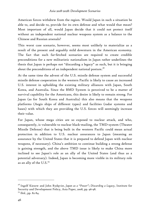American forces withdrew from the region. Would Japan in such a situation be able to, and decide to, provide for its own defense and what would that mean? Most important of all, would Japan decide that it could not protect itself without an independent national nuclear weapons system as a balance to the Chinese and Russian arsenals?

This worst case scenario, however, seems most unlikely to materialize as a result of the present and arguably mild downturn in the American economy. The fact that such far-fetched scenarios are required to create credible preconditions for a new militaristic nationalism in Japan rather underlines the thesis that Japan is perhaps not "discarding a legacy" as such, but it is bringing about the preconditions of an independent national posture. $7^8$ 

At the same time the advent of the U.S. missile defense system and successful missile defense cooperation in the western Pacific is likely to cause an increased U.S. interest in upholding the existing military alliances with Japan, South Korea, and Australia. Since the BMD System is perceived to be a matter of survival capability for the Americans, this desire is likely to remain strong. For Japan (as for South Korea and Australia) this also means that the weapons platforms (Aegis ships of different types) and facilities (radar systems and bases) with which they are providing the U.S. forces will seemingly increase their value.

For Japan, whose mega cities are so exposed to nuclear attack, and who, consequently, is vulnerable to nuclear black-mailing, the TMD-system (Theater Missile Defense) that is being built in the western Pacific could mean actual protection in addition to U.S. nuclear assurances to Japan (meaning an assurance by the United States that it is prepared to defend Japan with nuclear weapons, if necessary). China's ambition to continue building a strong defense is gaining strength, and the above TMD issue is likely to make China more inclined to see Japan's role as an ally of the United States (and thus as a potential adversary). Indeed, Japan is becoming more visible in its military role as an ally of the U.S.<sup>79</sup>

<sup>78</sup> Ingolf Kiesow and John Rydqvist, *Japan as a "Power"; Discarding a Legacy*, Institute for Security and Development Policy, Asia Paper, 2008, pp. 96-98.

<sup>79</sup> *Ibid.*, pp. 82-84.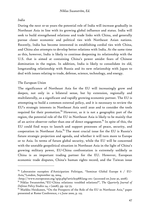#### *India*

During the next 10-20 years the potential role of India will increase gradually in Northeast Asia in line with its growing global influence and status. India will seek to build strengthened relations and trade links with China, and generally pursue closer economic and political ties with Northeast Asian nations. Recently, India has become interested in establishing cordial ties with China, and China also attempts to develop better relations with India. At the same time as this, however, India is likely to continue deepening its relationship with the U.S. that is aimed at containing China's power amidst fears of Chinese domination in the region. In addition, India is likely to consolidate its old, longstanding relationship with Russia and its new relationship with Japan to deal with issues relating to trade, defense, science, technology, and energy.

#### *The European Union*

-

The significance of Northeast Asia for the EU will increasingly grow and deepen, not only in a bilateral sense, but by extension, regionally and multilaterally, as a significant and rapidly growing economic partner. The EU is attempting to build a common external policy, and it is necessary to review the EU's strategic interests in Northeast Asia until 2020 and to consider the tools required for their promotion.<sup>80</sup> However, as it is not a geographic part of the region, the potential role of the EU in Northeast Asia is likely to be mainly that of an active observer rather than one of direct engagement.<sup>81</sup> In spite of this, the EU could find ways to launch and support processes of peace, security, and cooperation in Northeast Asia. $82$  The most crucial issue for the EU is Russia's future strategic projection and agenda, and whether it will turn more to Europe or to Asia. In terms of future global security, while the EU will be concerned with the unstable geopolitical situation in Northeast Asia in the light of China's growing military power, EU-China confrontation is extremely unlikely as China is an important trading partner for the EU. However, European economic trade disputes, China's human rights record, and the Taiwan issue

 $80$  Laboratoire européen d'Anticipation Politique, "Seminar Global Europe 6 / EU-Asia,"London, September 29, 2004,

<sup>&</sup>lt;http://www.europe2020.org/spip.php?article338&lang=en> (accessed on June 30, 2008).

<sup>81</sup> Niklas Swanström, "EU-China relations: troubled relations?", *The Quarterly Journal of Defense Policy Studies* 24, 1 (2008), pp. 153-75.

<sup>&</sup>lt;sup>82</sup> Markku Heiskanen, "On the Prospects of the Role of the EU in Northeast Asia," paper presented at Rome Conference*,* 1-2 June 2000, p. 123.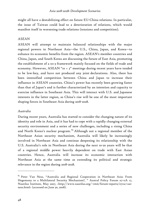might all have a destabilizing effect on future EU-China relations. In particular, the issue of Taiwan could lead to a deterioration of relations, which would manifest itself in worsening trade relations (tensions and competition).

## *ASEAN*

ASEAN will attempt to maintain balanced relationships with the major regional powers in Northeast Asia—the U.S., China, Japan, and Korea—to enhance its economic benefits from the region. ASEAN's member countries and China, Japan, and South Korea are discussing the future of East Asia, promoting the establishment of a 10+3 framework mainly focused on the fields of trade and economy. However,  $ASEAN$  "10 + 3" meetings during recent years have tended to be low-key, and have not produced any joint declarations. Also, there has been intensified competition between China and Japan to increase their influence in ASEAN countries. China's power has recently been growing faster than that of Japan's and is further characterized by an intention and capacity to exercise influence in Southeast Asia. This will interact with U.S. and Japanese interests in the latter region, as China's rise will be one of the most important shaping forces in Southeast Asia during 2018-2028.

#### *Australia*

During recent years, Australia has started to consider the changing nature of its identity and role in Asia, and it has had to cope with a rapidly changing external security environment and a series of new challenges, including a rising China and North Korea's nuclear program.  $83$  Although not a regional member of the Northeast Asian security mechanism, Australia will likely be increasingly involved in Northeast Asia and continue deepening its relationship with the U.S. Australia's role in Northeast Asia during the next 10-20 years will be that of a regional middle power heavily dependent on trade with East Asian countries. Hence, Australia will increase its economic interaction with Northeast Asia at the same time as extending its political and strategic relevance in the region during 2018-2028.

 $83$  Peter Van Ness, "Australia and Regional Cooperation in Northeast Asia: From Hegemony to a Multilateral Security Mechanism?, " Austral Policy Forum 07-11A 17, Nautilus Institute, May 2007, <http://www.nautilus.org/~rmit/forum-reports/0711a-vanness.html> (accessed on June 30, 2008).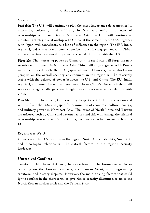## *Scenarios 2018-2028*

Probable: The U.S. will continue to play the most important role economically, politically, culturally, and militarily in Northeast Asia. In terms of relationships with countries of Northeast Asia, the U.S. will continue to maintain a strategic relationship with China, at the same time, the U.S. together with Japan, will consolidate as a bloc of influence in the region. The EU, India, ASEAN, and Australia will pursue a policy of positive engagement with China, at the same time as maintaining constructive relationships with the U.S.

Plausible: The increasing power of China with its rapid rise will forge the new security environment in Northeast Asia. China will align together with Russia in order to deal with the U.S.-Japan alliance. However, in a short-term perspective, the overall security environment in the region will be relatively stable with the balance of power between the U.S. and China. The EU, India, ASEAN, and Australia will not see favorably to China's rise which they will see as a strategic challenge, even though they also seek to advance relations with China.

Possible: In the long-term, China will try to eject the U.S. from the region and will confront the U.S. and Japan for domination of economic, cultural, energy, and military power in Northeast Asia. The issues of North Korea and Taiwan are misused both by China and external actors and this will damage the bilateral relationship between the U.S. and China, but also with other powers such as the EU.

# *Key Issues to Watch*

China's rise; the U.S. position in the region; North Korean stability, Sino- U.S. and Sino-Japan relations will be critical factors in the region's security landscape.

# Unresolved Conflicts

Tension in Northeast Asia may be exacerbated in the future due to issues centering on the Korean Peninsula, the Taiwan Strait, and longstanding territorial and history disputes. However, the main driving factors that could ignite conflict in the short term, or give rise to security dilemmas, relate to the North Korean nuclear crisis and the Taiwan Strait.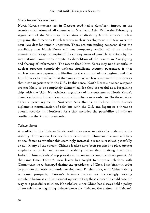#### *North Korean Nuclear Issue*

North Korea's nuclear test in October 2006 had a significant impact on the security calculations of all countries in Northeast Asia. While the February 13 Agreement of the Six-Party Talks aims at disabling North Korea's nuclear program, the directions North Korea's nuclear development will take over the next two decades remain uncertain. There are outstanding concerns about the possibility that North Korea will not completely abolish all of its nuclear materials and weapons despite of the consequences of possible sanctions by the international community despite its demolition of the reactor in Yongbyong and sharing of information. The reason that North Korea may not dismantle its nuclear program completely without significant security guarantees is that nuclear weapons represent a life-line to the survival of the regime; and that North Korea has realized that the possession of nuclear weapons is the only way that it can negotiate with the U.S.. In this sense, North Korea's nuclear weapons are not likely to be completely dismantled, for they are useful as a bargaining chip with the U.S.. Nonetheless, regardless of the outcome of North Korea's denuclearization, it has clear ramifications for a new order in Northeast Asia: either a peace regime in Northeast Asia that is to include North Korea's diplomatic normalization of relations with the U.S. and Japan; or a threat to overall security in Northeast Asia that includes the possibility of military conflict on the Korean Peninsula.

#### *Taiwan Strait*

A conflict in the Taiwan Strait could also serve to critically undermine the stability of the region. Leaders' future decisions in China and Taiwan will be a critical factor to whether this seemingly intractable issue is resolved peacefully or not. Many of the current Chinese leaders have been prepared to place greater emphasis on social and economic stability rather than inviting instability. Indeed, Chinese leaders' top priority is to continue economic development. At the same time, Taiwan's new leader has sought to improve relations with China—that were damaged during the presidency of Chen Shui-bian—in order to promote domestic economic development. Furthermore, with China's rising economic prospects, Taiwan's business leaders are increasingly seeking mainland business and investment opportunities; these closer ties could ease the way to a peaceful resolution. Nonetheless, since China has always held a policy of no toleration regarding independence for Taiwan, the actions of Taiwan's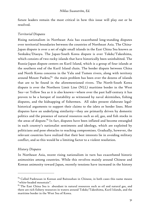future leaders remain the most critical in how this issue will play out or be resolved.

#### *Territorial Disputes*

Rising nationalism in Northeast Asia has exacerbated long-standing disputes over territorial boundaries between the countries of Northeast Asia. The China-Japan dispute is over a set of eight small islands in the East China Sea known as Senkaku/Diaoyu. The Japan-South Korea dispute is over Tokdo/Takeshima, which consists of two rocky islands that have historically been uninhabited. The Russia-Japan dispute centers on Kuril Island, which is a group of four islands at the southern end of the Kuril Island chain. The border dispute between China and North Korea concerns in the Yalu and Tumen rivers, along with territory around Mount Paektu; $^{84}$  the main problem has been over the dozens of islands that are to be found in the aforementioned rivers. The North-South Korea dispute is over the Northern Limit Line (NLL) maritime border in the West Sea—or Yellow Sea as it is also known—where over the past half-century it has proven to be a hotspot of instability as witnessed by naval skirmishes, fishing disputes, and the kidnapping of fishermen. All sides present elaborate legalhistorical arguments to support their claims to the islets or border lines. Most disputes have an underlying similarity—they are primarily driven by domestic politics and the presence of natural resources such as oil, gas, and fish stocks in the areas of dispute. $85$  In fact, disputes have been inflated and become entangled in each country's nationalist sentiments and ideology, which are exploited by politicians and pose obstacles to reaching compromises. Gradually, however, the relevant countries have realized that their best interests lie in avoiding military conflict, and so this would be a limiting factor to a violent resolution.

#### *History Disputes*

-

In Northeast Asia, recent rising nationalism in turn has exacerbated historic animosities among countries. While this revolves mainly around Chinese and Korean animosity toward Japan, recently tensions have increased in the history

<sup>&</sup>lt;sup>84</sup> Called Paektusan in Korean and Baitoushan in Chinese, in both cases this name means "white-headed mountain".

<sup>&</sup>lt;sup>85</sup> The East China Sea is abundant in natural resources such as oil and natural gas, and there are rich fishery resources in waters around Tokdo/Takeshima, Kuril Islands, and the maritime border in the West Sea of Korea.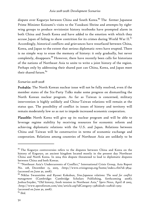dispute over Koguryo between China and South Korea.<sup>86</sup> The former Japanese Prime Minister Koizumi's visits to the Yasukuni Shrine and attempts by rightwing groups to produce revisionist history textbooks have prompted alarm in both China and South Korea and have added to the emotion with which they accuse Japan of failing to show contrition for its crimes during World War  $II.^{87}$ . Accordingly, historical conflicts and grievances have resurfaced between China, Korea, and Japan to the extent that serious diplomatic rows have erupted. There is no simple way to erase the memory of history: it only gradually, but never completely, disappears.<sup>88</sup> However, there have recently been calls for historians of the nations of Northeast Asia to unite to write a joint history of the region. Perhaps only by addressing their shared past can China, Korea, and Japan meet their shared future.<sup>89</sup>

#### *Scenarios 2018-2028*

Probable: The North Korean nuclear issue will not be fully resolved, even if the member states of the Six-Party Talks make some progress on dismantling the North Korean nuclear program. As far as Taiwan is concerned, military intervention is highly unlikely and China-Taiwan relations will remain at the status quo. The possibility of conflict in issues of history and territory will remain moderately low so as not to impede increased economic cooperation.

Plausible: North Korea will give up its nuclear program and will be able to leverage regime stability by receiving resources for economic reform and achieving diplomatic relations with the U.S. and Japan. Relations between China and Taiwan will be constructive in terms of economic exchange and cooperation. Relations among countries of Northeast Asia are unlikely to be

<sup>86</sup> The Koguryo controversies refers to the disputes between China and Korea on the history of Koguryo, an ancient kingdom located mostly in the present day Northeast China and North Korea. In 2004 this dispute threatened to lead to diplomatic disputes between China and both Koreas.

<sup>&</sup>lt;sup>87</sup> "Northeast Asia's Undercurrents of Conflict," International Crisis Group, Asia Report No. 108, December 15, 2005, <http://www.crisisgroup.org/home/index.cfm?id=3834> (accessed on June 30, 2008).

<sup>88</sup> Niklas Swanström and Ryosei Kokubun, *Sino-Japanese relations: The need for conflict management* (Cambridge: Cambridge Scholars Publishing, forthcoming 2008); Joshua Snyder, "Old history, fresh tension in Northeast Asia," *Spero News*, April 18 2005, <http://www.speroforum.com/site/article.asp?idCategory=33&idsub=122&id=1305> (accessed on June 30, 2008).

<sup>89</sup> *Ibid*.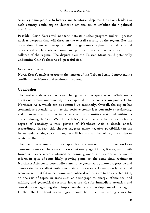seriously damaged due to history and territorial disputes. However, leaders in each country could exploit domestic nationalism to stabilize their political positions.

Possible: North Korea will not terminate its nuclear program and will possess nuclear weapons that will threaten the overall security of the region. But the possession of nuclear weapons will not guarantee regime survival: external powers will apply acute economic and political pressure that could lead to the collapse of the regime. The dispute over the Taiwan Strait could potentially undermine China's rhetoric of "peaceful rise."

# *Key issues to Watch*

North Korea's nuclear program; the tension of the Taiwan Strait; Long-standing conflicts over history and territorial disputes.

# Conclusion

The analysis above cannot avoid being termed as speculative. While many questions remain unanswered, this chapter does portend certain prospects for Northeast Asia, which can be summed up succinctly. Overall, the region has tremendous potential to utilize the positive trends it is currently experiencing, and to overcome the lingering effects of the calamities sustained within its borders during the Cold War. Nonetheless, it is impossible to portray with any degree of certainty a rosy picture of Northeast Asia a decade ahead. Accordingly, in fact, this chapter suggests many negative possibilities in the issues under study, since this region still holds a number of key uncertainties related to the future.

The overall assessment of this chapter is that every nation in this region faces daunting domestic challenges in a revolutionary age. China, Russia, and South Korea will experience continued economic growth with extensive economic reform in spite of some likely growing pains. At the same time, regimes in Northeast Asia could potentially come to be governed by more progressive and democratic forces albeit with strong state institutions. Consequently, it would seem overall that future economic and political reforms are to be expected. Still, an analysis of topics in areas such as demographics, energy, ethnicities, and military and geopolitical security issues are ripe for immediate attention and consideration regarding their impact on the future development of the region. Further, the Northeast Asian region should be prudent in finding a way for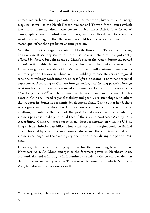unresolved problems among countries, such as territorial, historical, and energy disputes, as well as the North Korean nuclear and Taiwan Strait issues (which have fundamentally altered the course of Northeast Asia). The issues of demographics, energy, ethnicities, military, and geopolitical security therefore would tend to suggest that the situation could become worse or remain at the status-quo rather than get better as time goes on.

Whether or not emergent events in North Korea and Taiwan will occur, however, most security issues in Northeast Asia will stand to be significantly affected by factors brought about by China's rise in the region during the period of 2018-2028, as this chapter has strongly illustrated. The obvious concern that China's neighbors have about China's rise is that it will continue to increase its military power. However, China will be unlikely to escalate serious regional tensions or military confrontation, at least *before* it becomes a dominant regional superpower. According to Chinese foreign policy, establishing peaceful foreign relations for the purpose of continued economic development until 2020 when a "Xiaokang Society"<sup>90</sup> will be attained is the state's overarching goal. In this context, China will need regional stability and positive relationships with others that support its domestic economic development plans. On the other hand, there is a significant probability that China's power will not continue to grow at anything resembling the pace of the past two decades. In this calculation, China's power is unlikely to equal that of the U.S. in Northeast Asia by 2028. Accordingly, China will not engage in any direct confrontation with the U.S. as long as it has inferior capability. Thus, conflicts in this region could be limited or ameliorated by economic interconnectedness and the maintenance—despite China's challenge—of the existing regional power order during the period 2018- 2028.

However, there is a remaining question for the more long-term future of Northeast Asia. As China emerges as the foremost power in Northeast Asia, economically and militarily, will it continue to abide by the peaceful evaluation that it now so frequently asserts? This concern is present not only in Northeast Asia, but also in other regions as well.

<sup>&</sup>lt;sup>90</sup> Xiaokang Society refers to a society of modest means, or a middle-class society.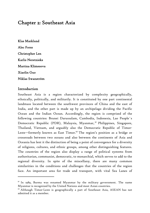# Chapter 2: Southeast Asia

Klas Marklund Alec Forss Christopher Len Karlis Neretnieks Martina Klimesova Xiaolin Guo Niklas Swanström

## Introduction

-

Southeast Asia is a region characterized by complexity geographically, ethnically, politically, and militarily. It is constituted by one part continental landmass located between the southwest provinces of China and the east of India, and the other part is made up by an archipelago dividing the Pacific Ocean and the Indian Ocean. Accordingly, the region is comprised of the following countries: Brunei Darussalam, Cambodia, Indonesia, Lao People´s Democratic Republic (PDR), Malaysia, Myanmar, <sup>91</sup> Philippines, Singapore, Thailand, Vietnam, and arguably also the Democratic Republic of Timor-Leste—formerly known as East Timor.<sup>92</sup> The region's position as a bridge or crossroads between two oceans and also between the continents of Asia and Oceania has lent it the distinction of being a point of convergence for a diversity of religions, cultures, and ethnic groups, among other distinguishing features. The countries of the region also display a range of political systems from authoritarian, communist, democratic, to monarchial, which serves to add to the regional diversity. In spite of the miscellany, there are many common similarities in the conditions and challenges that the countries of the region face. An important area for trade and transport, with vital Sea Lanes of

 $91$  In 1989, Burma was renamed Myanmar by the military government. The name Myanmar is recognized by the United Nations and most Asian countries.

 $92$  Although Timor-Leste is geographically a part of Southeast Asia, ASEAN has not admitted it as a member.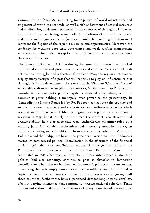Communication (SLOCS) accounting for 32 percent of world oil net trade and 27 percent of world gas net trade, as well a rich endowment of natural resources and biodiversity, holds much potential for the countries of the region. However, hazards such as overfishing, water pollution, de-forestation, maritime piracy, and ethnic and religious violence (such as the nightclub bombing in Bali in 2002) represent the flipside of the region's diversity and opportunities. Moreover, the tendency for weak or poor state governance and weak conflict management structures combined with corruption and organized crime further exacerbates the risks in the region.

The history of Southeast Asia has during the post-colonial period been marked by internal conflicts and prominent international conflict. As a scene of both anti-colonial struggles and a theater of the Cold War, the region continues to display many vestiges of a past that will continue to play an influential role in the region's future development. As a result of the Vietnam War, the effects of which also spilt over into neighboring countries, Vietnam and Lao PDR became consolidated as one-party political systems modeled after China, with the communist party holding a monopoly over power to the present-day. In Cambodia, the Khmer Rouge led by Pol Pot took control over the country and sought to restructure society and eradicate external influences, a policy which resulted in the huge loss of life; the regime was toppled by a Vietnamese invasion in 1979, but it is only in more recent years that reconstruction and greater stability have started to take root. Authoritarian Myanmar ruled by a military junta is a notable anachronism and increasing anomaly in a region offering increasing signs of political reform and economic potential. And while Indonesia and the Philippines have undergone democratic transition—Indonesia started its path toward political liberalization in the aftermath of the financial crisis in 1998, when President Suharto was forced to resign from office; in the Philippines the authoritarian rule of President Ferdinand Marcos was terminated in 1986 after massive protests—military interference in domestic politics (and also economy) continue to pose as obstacles to democratic consolidation. That military involvement in domestic politics is, to some extent, a recurring theme is amply demonstrated by the military coup in Thailand in September 2006—the last time the military had held power was in 1991-1992. All these countries, furthermore, have experienced decades-long internal conflicts, albeit at varying intensities, that continue to threaten national cohesion. Traits of continuity thus undergird the trajectory of many countries of the region at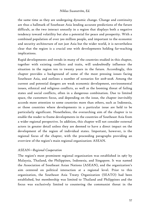the same time as they are undergoing dynamic change. Change and continuity are thus a hallmark of Southeast Asia lending accurate predictions of the future difficult, as the two interact uneasily in a region that displays both a negative tendency toward volatility but also a potential for peace and prosperity. With a combined population of over 500 million people, and important to the economic and security architecture of not just Asia but the wider world, it is nevertheless clear that the region is a crucial one with developments holding far-reaching implications.

Rapid developments and trends in many of the countries studied in this chapter, together with existing conflicts and traits, will undoubtedly influence the situation in the region ten to twenty years in the future. Accordingly, this chapter provides a background of some of the most pressing issues facing Southeast Asia, and outlines a number of scenarios for 2018-2028. Among the current and potential dangers are weak economic development, environmental issues, ethnical and religious conflicts, as well as the looming threat of failing states and social conflicts, often in a dangerous combination. Due to limited space, the customers focus, and depending on the issue, the chapter inevitably accords more attention to some countries more than others, such as Indonesia, or those countries where developments in a particular issue are held to be particularly significant. Nonetheless, the overarching aim of the chapter is to enable the reader to frame developments in the countries of Southeast Asia from a wider regional perspective. In addition, this chapter will not consider external actors in greater detail unless they are deemed to have a direct impact on the development of the region of individual states. Important, however, is the regional focus of the chapter, with the proceeding paragraphs providing an overview of the region's main regional organization: ASEAN.

#### *ASEAN—Regional Cooperation*

The region's most prominent regional organization was established in 1967 by Malaysia, Thailand, the Philippines, Indonesia, and Singapore. It was named the Association of Southeast Asian Nations (ASEAN), and the organization's aim centered on political interaction at a regional level. Prior to this organization, the Southeast Asia Treaty Organization (SEATO) had been established, but membership was limited to Thailand and Philippines and the focus was exclusively limited to countering the communist threat in the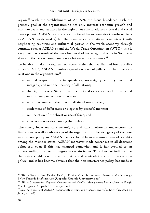region. 93 With the establishment of ASEAN, the focus broadened with the primary goal of the organization to not only increase economic growth and promote peace and stability in the region, but also to address cultural and social development. ASEAN is currently constituted by 10 countries (Southeast Asia as ASEAN has defined it) but the organization also attempts to interact with neighboring countries and influential parties in the world economy through summits such as ASEAN+3 and the World Trade Organization (WTO); this is very much as a result of the very low level of intra-regional trade in Southeast Asia and the lack of complementarity between the economies.<sup>94</sup>

To be able to take the regional structure further than earlier had been possible under SEATO, ASEAN members agreed on a set of pillars for the inter-state relations in the organization.<sup>95</sup>

- mutual respect for the independence, sovereignty, equality, territorial integrity, and national identity of all nations;
- the right of every State to lead its national existence free from external interference, subversion or coercion;
- non-interference in the internal affairs of one another;
- settlement of differences or disputes by peaceful manner;
- renunciation of the threat or use of force; and
- effective cooperation among themselves.

The strong focus on state sovereignty and non-interference underscores the limitations as well as advantages of the organization. The stringency of the noninterference policy in ASEAN has developed from a common aim of stability among the member states. ASEAN moreover made consensus in all decisions obligatory, even if this has changed somewhat and it has evolved to an understanding to agree to disagree in certain issues. This does not indicate that the states could take decisions that would contradict the non-intervention policy, and it has become obvious that the non-interference policy has made it

<sup>93</sup> Niklas Swanström, *Foreign Devils, Dictatorship or Institutional Control: China´s Foreign Policy Towards Southeast Asia* (Uppsala: Uppsala University, 2001).

<sup>94</sup> Niklas Swanström, *Regional Cooperation and Conflict Management: Lessons from the Pacific Rim*, (Uppsala: Uppsala University, 2001).

<sup>95</sup> See the website of ASEAN Secretariat: <http://www.aseansec.org/64.htm> (accessed on June 30, 2008).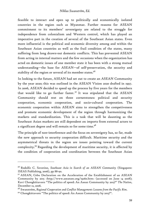feasible to interact and open up to politically and economically isolated countries in the region such as Myanmar. Further reasons for ASEAN commitment to its members' sovereignty are related to the struggle for independence from colonialism and Western control, which has played an imperative part in the creation of several of the Southeast Asian states. Even more influential is the political and economic diversity among and within the Southeast Asian countries as well as the frail condition of the states, many suffering from long drawn-out domestic conflicts. This has prevented ASEAN from acting in internal matters and the few occasions when the organization has acted on domestic issues of one member state it has been with a strong mutual understanding—the base for ASEAN—of self-preservation, the security and stability of the region or several of its member states.<sup>96</sup>

In looking to the future, ASEAN had set out to create an ASEAN Community by the year 2020; this was outlined in the ASEAN Vision 2020 drafted in 1997. In 2006, ASEAN decided to speed up the process by five years for the members that would like to go further faster.<sup>97</sup> It was stipulated that the ASEAN Community should rest on three cornerstones: political and security cooperation, economic cooperation, and socio-cultural cooperation. The economic cooperation within ASEAN aims to strengthen the competiveness and promote economic development of the region through harmonizing the markets and standardization. This is a task that will be daunting as the Southeast Asian markets are still dependent on imports from external actors to a significant degree and will remain so for some time.<sup>98</sup>

The principle of non-interference and the focus on sovereignty has, so far, made the new approach to security cooperation difficult. Maritime security and the asymmetrical threats in the region are issues pointing toward the current complexity.99 Regarding the development of maritime security, it is affected by the condition of cooperation and coordination between the Southeast Asian

<sup>96</sup> Rodolfo C. Severino, *Southeast Asia in Search of an ASEAN Community* (Singapore: ISEAS Publishing, 2006), pp 88-90.

<sup>&</sup>lt;sup>97</sup> ASEAN, Cebu Declaration on the Acceleration of the Establishment of an ASEAN Community by 2015 <http://www.aseansec.org/19260.htm> (accessed on June 14 2008); Kavi Chongkittavorn "The politics of speed: An Asean Community by 2015?" *The Nation*, December 12, 2006.

<sup>&</sup>lt;sup>98</sup> Swanström, *Regional Cooperation and Conflict Management: Lessons from the Pacific Rim.*<br><sup>99</sup> Chongkittavorn "The politics of speed: An Asean Community by 2015?".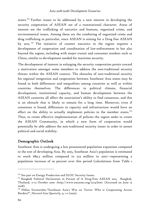states.<sup>100</sup> Further issues to be addressed by a new interest in developing the security cooperation of ASEAN are of a transnational character. Areas of interest are the trafficking of narcotics and humans, organized crime, and environmental issues. Among these are the combating of organized crime and drug trafficking in particular, since ASEAN is aiming for a Drug free ASEAN by 2015. 101 The initiative of counter narcotics in the region requires a development of cooperation and coordination of law-enforcement in but also beyond the region, including with major transit and consumer markets such as China, similar to development needed for maritime security.

The development of interest in enlarging the security cooperation points toward a motivation amongst some members to address the non-traditional security threats within the ASEAN context. The obstacles of non-traditional security for regional integration and cooperation between Southeast Asia states may be found in both differences and inequalities among countries as well as within countries themselves. The differences in political climate, financial development, institutional capacity, and human development between the ASEAN countries all affect the association's ability to find consensus, and this is an obstacle that is likely to remain for a long time. Moreover, even if consensus is found, differences in capacity and infrastructure would have an effect on the ability to actually implement policies in the member states.<sup>102</sup> Thus, to create effective implementation of policies the region seeks to create the ASEAN Community, in which a new form of cooperation would potentially be able address the non-traditional security issues in order to assure political and social stability.

# Demographic Outlook

Southeast Asia is undergoing a less pronounced population expansion compared to the rest of developing Asia. By 2025, Southeast Asia's population is estimated to reach 689.5 million compared to 573 million in 2007—representing a population increase of 20 percent over this period (calculations from Table 1

<sup>&</sup>lt;sup>100</sup> See part on Energy Production and SLOC Security Issues.<br><sup>101</sup> Bangkok Political Declaration in Pursuit of A Drug-Free ASEAN 2015, Bangkok, Thailand, II-13 October 2000 <http://www.aseansec.org/5714.htm> (Accessed on June 15 2008).

<sup>&</sup>lt;sup>102</sup> Niklas Swanström, "Southeast Asia's War on Terror: Who is Cooperating Across Borders?", *Harvard Asia Quarterly*, 9, 1-2 (2005).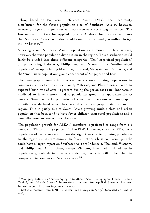below, based on Population Reference Bureau Data). The uncertainty distribution for the future population size of Southeast Asia is, however, relatively large and population estimates also vary according to sources. The International Institute for Applied Systems Analysis, for instance, estimates that Southeast Asia's population could range from around 590 million to 690 million by  $2025$ .<sup>103</sup>

Speaking about Southeast Asia's population as a monolithic bloc ignores, however, the wide population distribution in the region. This distribution could fairly be divided into three different categories: The "large-sized population" group including Indonesia, Philippines, and Vietnam; the "medium-sized population" group including Myanmar, Thailand, Malaysia, and Cambodia; and the "small-sized population" group constituent of Singapore and Laos.

The demographic trends in Southeast Asia shows growing populations in countries such as Lao PDR, Cambodia, Malaysia, and Philippines, all with an expected birth rate of over 1.5 percent during the period 2005-2010. Indonesia is predicted to have a more modest population growth of approximately 1.1 percent. Seen over a longer period of time the projections of demographic growth have declined which has created some demographic stability in the region. This is partly due to South Asia's growing middle class and urban population that both tend to have fewer children than rural populations and a generally better socio-economic situation.

The population growth for ASEAN members is projected to range from 0.8 percent in Thailand to 2.2 percent in Lao PDR. However, since Lao PDR has a population of just above 6.2 million the significance of its growing population for the region would seem minor. The four countries whose population growths could have a larger impact on Southeast Asia are Indonesia, Thailand, Vietnam, and Philippines. All of them, except Vietnam, have had a slowdown in population growth during the recent decade, but it is still higher than in comparison to countries in Northeast Asia.<sup>104</sup>

<sup>&</sup>lt;sup>103</sup> Wolfgang Lutz et al. "Future Aging in Southeast Asia: Demographic Trends, Human Capital, and Health Status," International Institute for Applied Systems Analysis, Interim Report IR-07-026, September 27 2007.

<sup>&</sup>lt;sup>104</sup> Statistic material from UNFPA, <http://www.unfpa.org/swp/> (accessed on June 20 2008).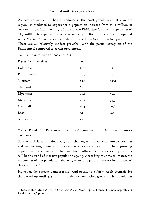As detailed in Table 1 below, Indonesia—the most populous country in the region—is predicted to experience a population increase from 231.6 million in 2007 to 272.2 million by 2025. Similarly, the Philippines's current population of 88.7 million is expected to increase to 120.2 million in the same time-period while Vietnam's population is predicted to rise from 85.1 million to 103.6 million. These are all relatively modest growths (with the partial exception of the Philippines) compared to earlier predictions.

| Population (in millions) | 2007  | 2025  |
|--------------------------|-------|-------|
| Indonesia                | 231,6 | 272,2 |
| Philippines              | 88,7  | 120,2 |
| Vietnam                  | 85,1  | 103,6 |
| Thailand                 | 65,7  | 70,2  |
| Myanmar                  | 49,8  | 55,4  |
| Malaysia                 | 27,2  | 34,5  |
| Cambodia                 | 14,4  | 19,6  |
| Laos                     | 5,9   | 8,5   |
| Singapore                | 4,6   | 5,3   |

Table 1. Population size 2007 and 2025

*Source:* Population Reference Bureau 2008, compiled from individual country databases.

Southeast Asia will undoubtedly face challenges in both employment creation and in meeting demand for social services as a result of these growing populations. One particular challenge for Southeast Asia to tackle beyond 2025 will be the trend of massive population ageing. According to some estimates, the proportion of the population above 65 years of age will increase by a factor of three or more.<sup>105</sup>

However, the current demographic trend points to a fairly stable scenario for the period up until 2025 with a moderate population growth. The population

<sup>&</sup>lt;sup>105</sup> Lutz et al. "Future Aging in Southeast Asia: Demographic Trends, Human Capital, and Health Status," p. 16.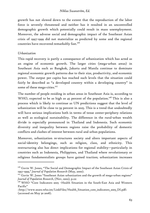growth has not slowed down to the extent that the reproduction of the labor force is severely threatened and neither has it resulted in an uncontrolled demographic growth which potentially could result in mass unemployment. Moreover, the adverse social and demographic impact of the Southeast Asian crisis of 1997-1999 did not materialize as predicted by some and the regional countries have recovered remarkably fast.<sup>106</sup>

# *Urbanization*

-

This rapid recovery is partly a consequence of urbanization which has acted as an engine of economic growth. The larger cities (mega-urban areas) in Southeast Asia such as Bangkok, Jakarta and Manila continue to dominate regional economic growth patterns due to their size, productivity, and economic power. The output per capita has reached such levels that the situation could fairly be described as "a developed country within a developing country" in some of these mega-cities.<sup>107</sup>

The number of people residing in urban areas in Southeast Asia is, according to WHO, expected to be as high as 45 percent of the population.<sup>108</sup> This is also a process which is likely to continue as UN predictions suggest that the level of urbanization will be close to 59 percent in 2025. This is a trend that undoubtedly will have serious implications both in terms of tense center-periphery relations as well as ecological sustainability. The difference in the rural-urban wealth divide is especially pronounced in Thailand and Indonesia. Such economic diversity and inequality between regions raise the probability of domestic conflicts and clashes of interest between rural and urban populations.

Moreover, urbanization re-structures society and alters important aspects of social-identity belongings, such as religion, class, and ethnicity. This restructuring also has direct implications for regional stability—particularly in countries such as Indonesia, Philippines, and Thailand where revolutionary or religious fundamentalists groups have gained traction; urbanization increases

<sup>&</sup>lt;sup>106</sup> Gavin W. Jones, "The Social and Demographic Impact of the Southeast Asian Crisis of 1997-1999," *Journal of Population Research* (May, 2000).

<sup>&</sup>lt;sup>107</sup> Gavin W. Jones "Southeast Asian urbanization and the growth of mega-urban regions" *Journal of Population Research*, (Nov, 2002), p.121

<sup>&</sup>lt;sup>108</sup> WHO "Core Indicators 2005 -Health Situation in the South-East Asia and Western Pacific"

<sup>&</sup>lt;http://www.searo.who.int/LinkFiles/Health\_Situation\_core\_indicators\_2005\_DI.pdf> (accessed on May 30 2008).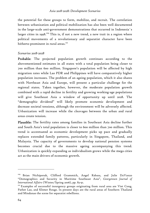the potential for these groups to form, mobilize, and recruit. The correlation between urbanization and political mobilization has also been well documented in the large-scale anti-government demonstrations that occurred in Indonesia´s larger cities in 1998.<sup>109</sup> This is, if not a new trend, a new trait in a region where political movements of a revolutionary and separatist character have been hitherto prominent in rural areas.<sup>110</sup>

#### *Scenarios 2018-2028*

Probable: The projected population growth continues according to the abovementioned estimates in all states with a total population being closer to 700 million than 600 million. Singapore's population will be affected by high migration rates while Lao PDR and Philippines will have comparatively higher population increases. The problem of an ageing population, which it also shares with Northeast Asia and Europe, will present a particular challenge for the regional states. Taken together, however, the moderate population growth combined with a rapid decline in fertility and growing working-age populations will give Southeast Asia a window of opportunity up until 2028. The "demographic dividend" will likely promote economic development and decrease societal tensions, although the environment will be adversely affected. Urbanization will increase while the cleavages between the urban and rural areas create tension.

Plausible: The fertility rates among families in Southeast Asia decline further and South Asia's total population is closer to 600 million than 700 million. This trend is accentuated as economic development picks up pace and gradually replaces extended family patterns, particularly in Singapore, Thailand, and Malaysia. The capacity of governments to develop national pension systems becomes crucial due to the massive ageing accompanying this trend. Urbanization is quickly expanding as individualism grows while the mega cities act as the main drivers of economic growth.

<sup>&</sup>lt;sup>109</sup> Brian Nichiporuk, Clifford Grammich, Angel Rabasa, and Julie DaVanzo "Demographics and Security in Maritime Southeast Asia", *Georgetown Journal of* 

International Affairs (Winter/Spring 2006), pp. 83-91.<br><sup>110</sup> Examples of successful insurgency groups originating from rural area are Viet Cong, Pathet Lao, and Khmer Rouge. In present days are the rural areas of Southern Thailand and Mindanao the scene for separatist rebellions.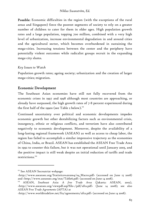Possible: Economic difficulties in the region (with the exceptions of the rural areas and Singapore) force the poorest segments of society to rely on a greater number of children to cater for them in older ages. High population growth rates and a large population, topping 700 million, combined with a very high level of urbanization, increase environmental degradation in and around cities and the agricultural sector, which becomes overburdened in sustaining the mega-cities. Increasing tensions between the center and the periphery have potentially violent outcomes while radicalist groups recruit in the expanding mega-city slums.

# *Key Issues to Watch*

Population growth rates; ageing society; urbanization and the creation of larger mega-cities; migration.

# Economic Development

The Southeast Asian economies have still not fully recovered from the economic crises in 1997 and 1998 although most countries are approaching, or already have surpassed, the high growth rates of 7-8 percent experienced during the first half of the 1990s (see Table 2 below).<sup>111</sup>

Continued uncertainty over political and economic developments impedes economic growth but other destabilizing factors such as environmental crisis, insurgency, ethnic or religious conflicts, and terrorism have also contributed negatively to economic development. Moreover, despite the availability of a long-lasting regional framework (ASEAN) as well as access to cheap labor, the region has failed to accomplish a similar impressive trajectory as the economies of China, India, or Brazil. ASEAN has established the ASEAN Free Trade Area in 1992 to counter this failure, but it was not operational until January 2003, and the positive impact is still weak despite an initial reduction of tariffs and trade restrictions.<sup>112</sup>

<sup>&</sup>lt;sup>111</sup> See ASEAN Secreatriat webpage:

<sup>&</sup>lt;http://www.aseansec.org/Statistics%202004/04\_Macro.pdf> (accessed on June 15 2008) and <http://www.aseansec.org/stat/Table6.pdf> (accessed on June 14 2008). 112 ASEAN, *Southeast Asia: A free Trade Area* (Jakarta: ASEAN, 2002),

<sup>&</sup>lt;http://www.aseansec.org/viewpdf.asp?file=/pdf/afta.pdf> (June 14 2008); see also *ASEAN Free Trade Agreements* (AFTA) at

<sup>&</sup>lt;http://www.worldtradelaw.net/fta/agreements/afta.pdf> (accessed on June 14 2008).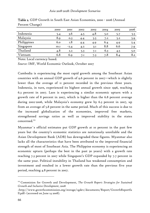|             | 2000        | 2001   | 2002 | 2003 | 2004 | 2005 | 2006 |
|-------------|-------------|--------|------|------|------|------|------|
| Indonesia   | 5.4         | 3.6    | 4.5  | 4.8  | 5.0  | 5.7  | 5.5  |
| Malaysia    | 8.9         | O.3    | 4.4  | 5.5  | 7.2  | 5.2  | 5.9  |
| Philippines | 6.0         | I.8    | 4.4  | 4.9  | 6.4  | 4.9  | 5.4  |
| Singapore   | <b>IO.I</b> | $-2.4$ | 4.2  | 3.1  | 8.8  | 6.6  | 7.9  |
| Thailand    | 4.8         | 2.2    | 5.3  | 7.1  | 6.3  | 4.5  | 5.0  |
| Vietnam     | 6.8         | 6.9    | 7.1  | 7.3  | 7.8  | 8.4  | 8.2  |

Table 2. GDP Growth in South East Asian Economies, 2000 - 2006 (Annual Percent Change)

Note: Local currency based.

*Source:* IMF, World Economic Outlook, October 2007

Cambodia is experiencing the most rapid growth among the Southeast Asian countries with an annual GDP growth of 9.6 percent in 2007—which is slightly lower than the average of 11 percent recorded in the previous three years. Indonesia, in turn, experienced its highest annual growth since 1996, reaching 6.3 percent in 2007. Laos is experiencing a similar economic upturn with a growth rate of 8 percent in 2007, which is higher than the 6.8 percent average during 2002-2006, while Malaysia's economy grew by 6.3 percent in 2007, up from an average of 5.8 percent in the same period. Much of this success is due to the increased globalization of the economies, improved free markets, strengthened savings ratios as well as improved stability in the states concerned.<sup>113</sup>

Myanmar´s official estimates put GDP growth at 10 percent in the past few years but the country's economic statistics are notoriously unreliable and the Asian Development Bank (ADB) has downgraded these figures. Myanmar also lacks all the characteristics that have been attributed to the improved financial strength of most of Southeast Asia. The Philippine economy is experiencing an economic upturn (perhaps the best in the past 30 years) with a growth rate reaching 7.3 percent in 2007 while Singapore's GDP expanded by 7.7 percent in the same year. Political instability in Thailand has weakened consumption and investment and resulted in a lower growth rate than the previous five year period, reaching 4.8 percent in 2007.

<sup>113</sup> Commision for Growth and Development, *The Growth Report: Strategies for Sustained Growth and Inclusive Development*, 2008

<sup>&</sup>lt;http://www.growthcommission.org/storage/cgdev/documents/Report/GrowthReportfu ll.pdf> (accessed on June 14 2008).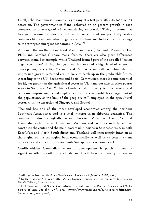Finally, the Vietnamese economy is growing at a fast pace after its 2007 WTO accession. The government in Hanoi achieved an 8.5 percent growth in 2007 compared to an average of 7.8 percent during 2002-2006.114 Today, it seems that foreign investments also are primarily concentrated on politically stable countries like Vietnam, which together with China and India currently belongs to the strongest emergent economies in Asia.<sup>115</sup>

Although the northern Southeast Asian countries (Thailand, Myanmar, Lao PDR, and Cambodia) share many features, there are also great differences between them. For example, while Thailand formed part of the so-called "Asian Tiger economies" during the 1990s and has reached a high level of economic development, others like Vietnam and Cambodia are still far behind despite impressive growth rates and are unlikely to catch up in the predictable future. According to the UN Economic and Social Commission there is some potential for higher growth in the agricultural sector in Vietnam, but also in other poorer states in Southeast Asia.<sup>116</sup> This is fundamental if poverty is to be reduced and economic improvements and employment are to be accessible for a larger part of the populations, as the bulk of the people is still employed in the agricultural sector, with the exception of Singapore and Brunei.

Thailand has one of the most developed economies among the northern Southeast Asian states and is a vital investor in neighboring countries. The country is also strategically located between Myanmar, Lao PDR, and Cambodia with links to China and Vietnam and could as such be said to constitute the centre and the main crossroad in northern Southeast Asia, in both East-West and North-South directions. Thailand will increasingly function as the engine of the sub-region both economically as well as to certain extent politically and share this function with Singapore at a regional level.

Conflict-ridden Cambodia's economic development is partly driven by significant off-shore oil and gas finds, and it will have to diversify to have an

<sup>114</sup> All figures from ADB, *Asian Development Outlook 2008* (Manila: ADB, 2008).

<sup>115</sup> Keith Bradsher "10 years after Asia's financial crisis, worries remain", *International Herald Tribune*, June 27, 2007.

<sup>116</sup> UN Economic and Social Commission for Asia and the Pacific, *Economic and Social Survey of Asia and the Pacific 2008* <http://www.unescap.org/survey2008/edition.asp> (accessed on June 14 2008).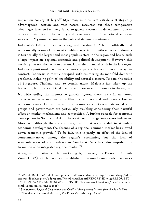impact on society at large.<sup>117</sup> Myanmar, in turn, sits astride a strategically advantageous location and vast natural resources but these comparative advantages have so far likely failed to generate economic development due to political instability in the country and reluctance from international actors to work with Myanmar as long as the political stalemate continues.

Indonesia's failure to act as a regional "lead-nation" both politically and economically is one of the most troubling aspects of Southeast Asia. Indonesia is territorially the largest and most populous state in the region and has as such a large impact on regional economic and political development. However, this passivity has not always been present. Up to the financial crisis in the late 1990s, Indonesia positioned itself in a far more apparent leadership role. Today, in contrast, Indonesia is mostly occupied with countering its manifold domestic problems, including political instability and natural disasters. To date, the troika of Singapore, Thailand, and, to certain extent, Malaysia has taken up the leadership, but this is artificial due to the importance of Indonesia in the region.

Notwithstanding the impressive growth figures, there are still numerous obstacles to be surmounted to utilize the full potential and prevent further economic crises. Corruption and the connections between patriarchal elite groups and governments are particularly troubling considering their harmful effect on market mechanisms and competition. A further obstacle for economic development in Southeast Asia is the weakness of indigenous export industries. Moreover, although there are sub-regional initiatives intended to stimulate economic development, the absence of a regional common market has slowed down economic growth.<sup>118</sup> To be fair, this is partly an effect of the lack of complementarities among the region's economies, but the lack of standardization of commodities in Southeast Asia has also impeded the formation of an integrated regional market.<sup>119</sup>

A regional initiative worth mentioning is, however, the Economic Growth Zones (EGZ) which have been established to connect cross-border provinces

<sup>&</sup>lt;sup>117</sup> World Bank, World Development Indicators database, April 2007 <http://ddpext.worldbank.org/ext/ddpreports/ViewSharedReport?REPORT\_ID=9147&REQUEST\_ TYPE=VIEWADVANCED&WSP=>>N&HF=N/www.worldbank.org/data/dataquery. html> (accessed on June 14 2008).

<sup>118</sup> Swanström, *Regional Cooperation and Conflict Management: Lessons from the Pacific Rim*. 119 "The tigers that lost their roar", *The Economist*, February 28 2008.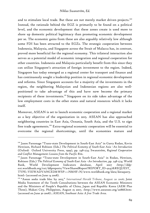and to stimulate local trade. But these are not merely market driven projects.<sup>120</sup> Instead, the rationale behind the EGZ is primarily to be found on a political level, and the economic development that these zones create is used more to shore up domestic political legitimacy than promoting economic development per se. The economic gains from these are also arguably relatively low although some FDI has been attracted to the EGZs. The strategic cooperation between Indonesia, Malaysia, and Singapore across the Strait of Malacca has, in contrast, proved more beneficial for the regional economy. This trilateral interaction also serves as a potential model of economic integration and regional cooperation for other countries. Indonesia and Malaysia particularly benefit from this since they can utilize Singapore's attraction of foreign investment to the region. Indeed, Singapore has today emerged as a regional center for transport and finance and has continuously sought a leadership position in regional economic development and reforms. Since Singapore accounts for a majority of the investments in the region, the neighboring Malaysian and Indonesian regions are also wellpositioned to take advantage of this and have now become the primary recipients of these investments.<sup>121</sup> Singapore on its side takes advantage of the low employment costs in the other states and natural resources which it lacks itself.

Moreover, ASEAN is set to launch economic cooperation and a regional market as a key objective of the organization in 2015. ASEAN has also approached neighboring countries in East Asia, Oceania, South Asia, and the U.S. to sign free trade agreements.<sup>122</sup> Extra-regional economic cooperation will be essential to overcome the regional shortcomings, until the economies mature and

<sup>&</sup>lt;sup>120</sup> Jason Parsonage "Trans-state Development in South-East Asia" in Garry Rodan, Kevin Hewison, Richard Robison (Eds.) *The Political Economy of South-East Asia –An Introduction* (Oxford: Oxford University Press, 1999), pp. 248-274; Swanström, *Regional Cooperation and Conflict Management: Lessons from the Pacific Rim*. 121 Jason Parsonage "Trans-state Development in South-East Asia" in Rodan, Hewison,

Robison (Eds.) *The Political Economy of South-East Asia –An Introduction*, pp. 248-274; World Bank, World Development Indicators database, April 2007 <http://ddpext.worldbank.org/ext/ddpreports/ViewSharedReport?REPORT\_ID=9147&REQUEST\_ TYPE=VIEWADVANCED&WSP=>>N&HF=N/www.worldbank.org/data/dataquery. html> (accessed on June 14 2008).<br><sup>122</sup> "Asean seeks trade bloc by 2015," *International Herald Tribune*, August 20 2006; Joint

Media Statement of the Tenth Consultations between the ASEAN Economic Ministers and the Ministers of People's Republic of China, Japan and Republic Korea (AEM Plus Three), Makati City, Philippines, August 25 2007, <http://www.aseansec.org/20868.htm> (accessed on June 30 2008) ; ASEAN, *Southeast Asia: A free Trade Area*.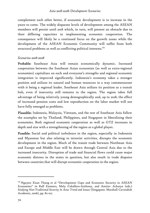complement each other better, if economic development is to increase in the years to come. The widely disparate levels of development among the ASEAN members will persist until 2018 which, in turn, will present an obstacle due to their differing capacities in implementing economic cooperation. The consequence will likely be a continued focus on the growth zones while the development of the ASEAN Economic Community will suffer from both structural problems as well as conflicting political interests.<sup>123</sup>

### *Scenarios 2018-2028*

Probable: Southeast Asia will remain economically dynamic. Increased cooperation between the Southeast Asian economies (as well as extra-regional economies) capitalizes on each and everyone's strengths and regional economic integration is improved significantly. Indonesia's economy takes a stronger position and utilizes its natural and human resources in a way commensurate with it being a regional leader. Southeast Asia utilizes its position as a transit hub, even if insecurity still remains in the region. The region takes full advantage of being relatively young demographically and, up to 2028, the effect of increased pension costs and low reproduction on the labor market will not have fully emerged as problems.

Plausible: Indonesia, Malaysia, Vietnam, and the rest of Southeast Asia follow the examples set by Thailand, Philippines, and Singapore in liberalizing their economies. Both regional economic cooperation as well as GTZ increases in depth and size with a strengthening of the region as a global player.

Possible: Social and political turbulence in the region, especially in Indonesia and Myanmar but also relating to terrorist activities, disrupts the economic development in the region. Much of the transit trade between Northeast Asia and Europe and Middle East will be drawn through Central Asia due to the increased insecurity. Disruption of trade and financial flows could cause major economic distress in the states in question, but also result in trade disputes between countries that will disrupt economic cooperation in the region.

<sup>&</sup>lt;sup>123</sup> Nguyen Xuan Thang et al "Development Gaps and Economic Security in ASEAN Economies" in Ralf Emmers, Mely Caballero-Anthony, and Amitav Acharya (eds.) *Studying Non-Traditional Security In Asia: Trend and Issues* (Singapore: Marshall Cavendish Academic*,* 2006), pp. 82-107.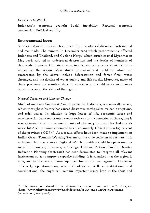### *Key Issues to Watch*

Indonesia´s economic growth; Social instability; Regional economic cooperation; Political stability.

# Environmental Issues

Southeast Asia exhibits much vulnerability to ecological disasters, both natural and manmade. The tsunami in December 2004 which predominantly affected Indonesia and Thailand, and Cyclone Nargis which struck coastal Myanmar in May 2008, resulted in widespread destruction and the deaths of hundreds of thousands of people. Climate change, too, is raising concerns about its future impact on the region. More direct human-induced problems—which are exacerbated by the above—include deforestation and forest fires, water shortages, and the decline of water quality and fish stocks. Moreover, many of these problems are transboundary in character and could serve to increase tensions between the states of the region.

## *Natural Disasters and Climate Change*

-

Much of maritime Southeast Asia, in particular Indonesia, is seismically active, which throughout history has caused disastrous earthquakes, volcanic eruptions, and tidal waves. In addition to huge losses of life, economic losses and reconstruction have represented severe setbacks to the countries of the region; it was estimated that the economic costs of the 2004 Tsunami for Indonesia's worst-hit Aceh province amounted to approximately US\$4.5 billion (97 percent of the province's GDP).<sup>124</sup> As a result, efforts have been made to implement an Indian Ocean Tsunami Warning System with a wide coalition of partners. It is estimated that one or more Regional Watch Providers could be operational by 2009. In Indonesia, moreover, a Strategic National Action Plan for Disaster Reduction Planning (2006-2010) has been formulated to integrate all relevant institutions so as to improve capacity building. It is surmised that the region is now, and in the future, better equipped for disaster management. However, effectively operationalizing new technology as well as institutional and coordinational challenges will remain important issues both in the short and

<sup>124 &</sup>quot;Summary of situation in tsunami-hit region one year on", *Reliefweb*  <http://www.reliefweb.int/rw/rwb.nsf/db900sid/JFUA-6KFBCJ?OpenDocument> (accessed on June 14 2008).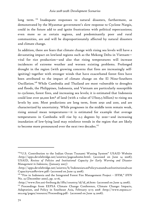long term.<sup>125</sup> Inadequate responses to natural disasters, furthermore, as demonstrated by the Myanmar government's slow response to Cyclone Nargis, could in the future add to and ignite frustrations with political repercussions; even more so as certain regions, and predominantly poor and rural communities, are and will be disproportionately affected by natural disasters and climate change.

In addition, there are fears that climate change with rising sea levels will have a devastating impact on lowland regions such as the Mekong Delta in Vietnam vital for rice production—and also that rising temperatures will increase incidences of extreme weather and worsen existing problems. Prolonged drought in the region (with growing concerns that fires are increasingly selfigniting) together with stronger winds that have exacerbated forest fires have been attributed to the impact of climate change on the El Nino-Southern Oscillation.<sup>126</sup> While Cambodia and Thailand are most vulnerable to droughts and floods, the Philippines, Indonesia, and Vietnam are particularly susceptible to cyclones, forest fires, and increasing sea levels; it is estimated that Indonesia could lose over 90,000 km² of land (with a value of US\$25.5 billion) to rising sea levels by 2100. Most predictions are long term, from 2050 and 2100, and are characterized by uncertainty. While prognoses in the middle term remain weak, rising annual mean temperatures—it is estimated for example that average temperatures in Cambodia will rise by 0.3 degrees by 2020—and increasing inundation of low-lying land may reinforce trends in the region that are likely to become more pronounced over the next two decades.<sup>127</sup>

<sup>&</sup>lt;sup>125</sup>"U.S. Contribution to the Indian Ocean Tsunami Waning System" USAID Website <http://apps.develebridge.net/usiotws/pageaahome.html> (accessed on June 14 2008); USAID, *Review of Policies and Institutional Capacity for Early Warning and Disaster Management in Indonesia*, (January 2007)

<sup>&</sup>lt;http://apps.develebridge.net/usiotws/b/Indonesia%20Policy%20and%20Institutional%20 Capacity%20Review.pdf> (accessed on June 14 2008).

<sup>&</sup>lt;sup>126</sup> "Fire in Indonesia and the Integrated Forest Fire Management Project - IFFM," IFFN No. 23 (December 2000), pp. 12-16,

<sup>&</sup>lt;http://www.fire.uni-freiburg.de/iffn/country/id/id\_26.htm> (accessed on June 14 2008).

<sup>&</sup>lt;sup>127</sup> Proceedings from EEPSA Climate Change Conference, Climate Change: Impacts, Adaptation, and Policy in Southeast Asia*,* February 13-15 2008 <http://www.eepsea.ccsea.org/pages/resource/Proceeding.pdf> (accessed on June 14 2008).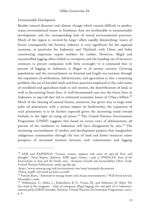### *Unsustainable Development*

-

Besides natural disasters and climate change which remain difficult to predict, many environmental issues in Southeast Asia are attributable to unsustainable development and the corresponding lack of sound environmental practices. Much of the region is covered by large—albeit rapidly diminishing—tracts of forest: consequently the forestry industry is very significant for the regional economy, in particular for Indonesia and Thailand, with China and India constituting important export markets for timber. However, illegal and uncontrolled logging often linked to corruption and the handing out of lucrative contracts to private companies with little oversight—it is estimated that 70 percent of logging in Indonesia is illegal—is of serious concern. Growing populations and the encroachment on forested and fragile eco-systems through the expansion of settlements, infrastructure, and agriculture is also a mounting problem: the use of harmful slash and burn practices employed in the cultivation of woodland and agriculture leads to soil erosion, the desertification of land, as well as devastating forest fires. A well-documented case was the forest fires in Indonesia in 1997/98 that led to estimated economic losses of US\$9.3 billion.<sup>128</sup> Much of the clearing of natural forests, moreover, has given way to large-scale palm oil plantations with a serious impact on biodiversity; the expansion of such plantations is to be further expected given the increasing trend toward biofuels in the light of rising oil prices.<sup>129</sup> The United Nations Environment Programme (UNEP) suggests that based on recent rates of deforestation, 98 percent of the rainforest in Indonesia will have disappeared by 2022.<sup>130</sup> The increasing encroachment of settlers and development projects that marginalize indigenous communities through the loss of land and forest resources raises prospects of increased tensions between such communities and logging

<sup>&</sup>lt;sup>128</sup> ADB and BAPPENAS "Causes, extent, impacts and costs of 1997/98 fires and drought", Final Report, (Jakarta: ADB 1999), Annex 1 and 2; UNESCAP, *State of the Environment in Asia and the Pacific 2005 – Economic Growth and Sustainability* (New York: United Nations Publication, 2006), pp.289-292,

<sup>&</sup>lt;http://www.unescap.org/esd/environment/soe/2005/mainpub/documents /Part4\_10.pdf> (accessed on June 14 2008).

<sup>129</sup> Patrick Barta, "Alternative-energy boom roils Asian environments," *Wall Street Journal*, December 5 2006.

<sup>130</sup> Nellemann, C., Miles, L., Kaltenborn, B. P., Virtue, M., and Ahlenius, H. (Eds), *The last stand of the orangutan – State of emergency: Illegal logging, fire and palm oil in Indonesia's national parks,*(GRID-Arendal, Norway: United Nations Environment Programme, 2007), p. 6.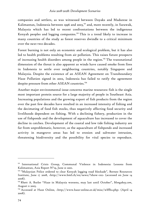companies and settlers, as was witnessed between Dayaks and Madurese in Kalimantan, Indonesia between 1996 and 2003,<sup>131</sup> and, more recently, in Sarawak, Malaysia which has led to recent confrontations between the indigenous Kenyah peoples and logging companies.<sup>132</sup> This is a trend likely to increase in many countries of the study as forest reserves dwindle to a critical minimum over the next two decades.

Forest burning is not only an economic and ecological problem, but it has also led to health problems resulting from air pollution. This raises future prospects of increasing health disorders among people in the region.<sup>133</sup> The transnational dimension of the threat is also apparent as winds have caused smoke from fires in Indonesia to settle over neighboring countries, notably Singapore and Malaysia. Despite the existence of an ASEAN Agreement on Transboundary Haze Pollution signed in 2002, Indonesia has failed to ratify the agreement despite pressure from other ASEAN countries.<sup>134</sup>

Another major environmental issue concerns marine resources: fish is the single most important protein source for a large majority of people in Southeast Asia. Increasing populations and the growing export of fish products from the region over the past few decades have resulted in an increased intensity of fishing and the decimating of food fish stocks, thus negatively affecting food security and livelihoods dependent on fishing. With a declining fishery, production in the use of fishponds and the development of aquaculture has increased to cover the decline in catches. Development of the coastal and low tide fishing industry are far from unproblematic, however, as the aquaculture of fishponds and increased activity in mangrove areas has led to erosion and saltwater intrusion, threatening biodiversity and the possibility for vital species to reproduce.

<sup>&</sup>lt;sup>131</sup> International Crisis Group, Communal Violence in Indonesia: Lessons from Kalimantan, Asia Report N°19, June 21 2001.

<sup>&</sup>lt;sup>132</sup> "Malaysian Police ordered to clear Kenyah logging road blockade", Borneo Resources Institute, June 17 2008, <http://www.bmf.ch/en/news/?show=102> (accessed on June 14 2008).

<sup>133</sup> Rhett A. Butler "Haze in Malaysia worsens, may last until October", *Mongabay.com*, August 11 2005.

<sup>&</sup>lt;sup>134</sup> Accessed at Haze Online, <http://www.haze-online.or.id/misc/wlffh2.php> (April 14 2008).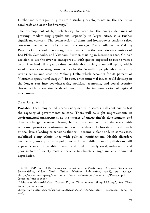Further indicators pointing toward disturbing developments are the decline in coral reefs and ocean biodiversity.<sup>135</sup>

The development of hydroelectricity to cater for the energy demands of growing, modernizing populations, especially in larger cities, is a further significant concern. The construction of dams and hydropower stations raises concerns over water quality as well as shortages. Dams built on the Mekong River by China could have a significant impact on the downstream countries of Lao PDR, Cambodia, and Vietnam. Further, starting in December 2006, China's decision to use the river to transport oil, with quotas expected to rise to 70,000 tons of refined oil a year, raises considerable anxiety about oil spills, which would have devastating consequences for the 60 million people who live on the river's banks, not least the Mekong Delta which accounts for 40 percent of Vietnam's agricultural output.<sup>136</sup> In sum, environmental issues could develop in the longer run into ever-increasing political, economic, and social security threats without sustainable development and the implementation of regional mechanisms.

### *Scenarios 2018-2028*

-

Probable: Technological advances aside, natural disasters will continue to test the capacity of governments to cope. There will be slight improvements in environmental management as the impact of unsustainable development and climate change becomes clearer; but enforcement will remain weak with economic priorities continuing to take precedence. Deforestation will reach critical levels leading to tensions that will become violent and, in some cases, mobilized along ethnic lines with political ramifications. Health disorders particularly among urban populations will rise, while increasing divisions will appear between those able to adapt and predominantly rural, indigenous, and poor sectors of society most vulnerable to climate change and environmental degradation.

<sup>&</sup>lt;sup>135</sup> UNESCAP, State of the Environment in Asia and the Pacific 2005 - Economic Growth and *Sustainability*, (New York: United Nations Publication, 2006), pp. 292-295. <http://www.unescap.org/environment/soe/2005/mainpub/documents/Part4\_10.pdf> (accessed June 14 2008).

<sup>136</sup> Marwan Macan-Markar, "Sparks Fly as China moves oil up Mekong", *Asia Times Online*, January 9 2007,

<sup>&</sup>lt;http://www.atimes.com/atimes/Southeast\_Asia/IA09Ae01.html> (accessed June 14 2008).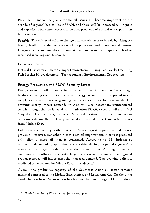Plausible: Transboundary environmental issues will become important on the agenda of regional bodies like ASEAN, and there will be increased willingness and capacity, with some success, to combat problems of air and water pollution in the region.

Possible: The effects of climate change will already start to be felt by rising sea levels, leading to the relocation of populations and acute social unrest. Disagreements and inability to combat haze and water shortages will lead to increased intra-regional tensions.

## *Key issues to Watch*

Natural Disasters; Climate Change; Deforestation; Rising Sea Levels; Declining Fish Stocks; Hydroelectricity; Transboundary Environmental Cooperation

# Energy Production and SLOC Security Issues

Energy security will increase its salience in the Southeast Asian strategic landscape during the next two decades. Energy consumption is expected to rise steeply as a consequence of growing populations and development needs. The growing energy import demands in Asia will also necessitate uninterrupted transit through the sea lanes of communication (SLOC) used by oil and LNG (Liquefied Natural Gas) tankers. Most oil destined for the East Asian economies during the next 20 years is also expected to be transported by sea from Middle East.

Indonesia, the country with Southeast Asia's largest population and largest proven oil reserves, was other in 2005 a net oil importer and in 2006 it produced only slightly more oil than it consumed. According to BP, Indonesia's production decreased by approximately one third during the period 1996-2006 as many of the largest fields age and decline in output. Although there are countries in Southeast Asia with large hydrocarbon resources, the regional proven reserves will fail to meet the increased demand. This growing deficit is predicted to be covered by Middle Eastern producers.<sup>137</sup>

Overall, the productive capacity of the Southeast Asian oil sector remains minimal compared to the Middle East, Africa, and Latin America. On the other hand, the Southeast Asian region has become the fourth largest LNG producer

<sup>137</sup> *BP Statistics Review of World Energy*, June 2007, pp. 6-12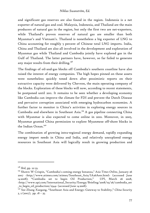and significant gas reserves are also found in the region. Indonesia is a net exporter of natural gas and coal. Malaysia, Indonesia, and Thailand are the main producers of natural gas in the region, but only the first two are net-exporters, while Thailand's proven reserves of natural gas are smaller than both Myanmar's and Vietnam's. Thailand is nonetheless a big exporter of LNG to China accounting for roughly 5 percent of Chinese total LNG imports. India, China and Thailand are also all involved in the development and exploration of Myanmar gas while Thailand and Cambodia jointly have explored gas in the Gulf of Thailand. The latter partners have, however, so far failed to generate any major results from their drilling. $138$ 

The findings of oil-and-gas blocks off Cambodia's southern coastline have also raised the interest of energy companies. The high hopes pinned on these assets were nonetheless quickly toned down after pessimistic reports on their extractive capacity were delivered by Chevron, the main operating company of the blocks. Exploration of these blocks will now, according to recent statements, be postponed until 2011. It remains to be seen whether a developing economy like Cambodia can improve the climate for FDI and prevent the Dutch Disease and pervasive corruption associated with emerging hydrocarbon economies. A further factor to monitor is China's activities in exploring energy sources in Cambodia and elsewhere in Southeast Asia.139 A gas pipeline connecting China with Myanmar is also expected to come online in 2010. Moreover, in 2005, Myanmar granted China permission to explore Myanmese off-shore blocks in the Indian Ocean.<sup>140</sup>

The combination of growing intra-regional energy demand, rapidly expanding energy import needs in China and India, and relatively unexplored energy resources in Southeast Asia will logically result in growing production and

<sup>138</sup> *Ibid*, pp. 22-33.

<sup>139</sup> Shawn W Crispin, "Cambodia's coming energy bonanza," *Asia Times Online*, January 26 2007 <http://www.atimes.com/atimes/Southeast\_Asia/IA26Ae01.html> (accessed June 14 2008); "Cambodia set to begin Oil Production," *UPI*, March 26 2008, <http://www.upi.com/International\_Security/Energy/Briefing/2008/03/26/cambodia\_set \_to\_begin\_oil\_production/2544> (accessed June 14 2008).

<sup>140</sup> See Zhang Xuegang, "Southeast Asia and Energy: Gateway to Stability," *China Security*  $3, 2(2007)$ , pp.  $18 - 35$ .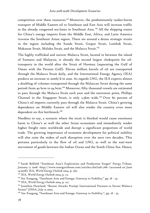competition over these resources.<sup>141</sup> Moreover, the predominantly tanker-borne transport of Middle Eastern oil to Southeast and East Asia will increase traffic in the already congested sea-lanes in Southeast Asia.<sup>142</sup> All the shipping routes for China's energy imports from the Middle East, Africa, and Latin America traverse the Southeast Asian region. There are around a dozen strategic straits in the region including the Sunda Strait, Gaspar Strait, Lombok Strait, Makassar Strait, Maluku Strait, and the Malacca Strait.<sup>143</sup>

The highly trafficked and narrow Malacca Strait, located in between the island of Sumatra and Malaysia, is already the second largest chokepoint for oiltransports in the world after the Strait of Hormuz (separating the Gulf of Oman with the Persian Gulf). Eleven million barrels of oil are transported through the Malacca Strait daily, and the International Energy Agency (IEA) predicts an increase to 2omb/d in 2030. As regards LNG, the IEA expects almost a doubling of volumes transported through the Malaccan Strait during the same period: from 40 bcm to 94 bcm.<sup>144</sup> Moreover, fifty thousand vessels are estimated to pass through the Malacca Strait each year and the narrowest point, Phillips Channel in the Singapore Strait, is only 2.5km wide.<sup>145</sup> Over 80 percent of China's oil imports currently pass through the Malacca Strait. China's growing dependence on Middle Eastern oil will also render the country even more dependent on this bottleneck.<sup>146</sup>

Needless to say, a scenario where the strait is blocked would cause enormous harm to China's as well the other Asian economies and immediately render higher freight rates worldwide and disrupt a significant proportion of world trade. The growing importance of economic development for political stability will also raise the stakes of such disruption over the next two decades. This pertains particularly to the flow of oil and LNG, as well as the east-west movement of goods between the Indian Ocean and the South China Sea. Hence,

<sup>141</sup> Sarah Belfield "Southeast Asia's Exploration and Production Surges" *Energy Tribune*, January 17 2008 <http://www.energytribune.com/articles.cfm?aid=766> (accessed on June 14 2008); IEA, *World Energy Outlook 2004*, p. 262.

<sup>142</sup> IEA, *World Energy Outlook 2004*, p. 72.

 $143$  See Xuegang, "Southeast Asia and Energy: Gateway to Stability," pp.  $18 - 35$ .

<sup>144</sup> IEA, *World Energy Outlook 2004*, p. 117.

<sup>&</sup>lt;sup>145</sup> Ionathan Howland, "Recent Attacks Prompt International Pressure to Secure Malacca Straits" *JINSA*, July 15 2005.

<sup>&</sup>lt;sup>146</sup> See Xuegang, "Southeast Asia and Energy: Gateway to Stability,", pp. 18 - 35.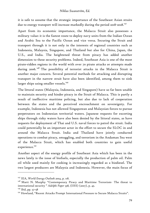it is safe to assume that the strategic importance of the Southeast Asian straits due to energy transport will increase markedly during the period 2018-2028.147

Apart from its economic importance, the Malacca Strait also possesses a military value: it is the fastest route to deploy navy units from the Indian Ocean and Arabic Sea to the Pacific Ocean and vice versa. Securing the Strait and transport through it is not only in the interests of regional countries such as Indonesia, Malaysia, Singapore, and Thailand but also for China, Japan, the U.S., and India. The heightened threat from piracy has added another dimension to these security problems. Indeed, Southeast Asia is one of the most pirate-ridden regions in the world with over 70 pirate attacks or attempts made during 2006. 148 The possibility of terrorist attacks in the Malacca Strait is another major concern. Several potential methods for attacking and disrupting transport in the narrow strait have also been identified, among them to sink larger ships using smaller vessels.<sup>149</sup>

The littoral states (Malaysia, Indonesia, and Singapore) have so far been unable to maintain security and hinder piracy in the Strait of Malacca. This is partly a result of ineffective maritime policing, but also due to lack of cooperation between the states and the perceived encroachment on sovereignty. For example, Indonesia has not allowed Singaporean and Malaysian forces to pursue perpetrators on Indonesian territorial waters. Japanese requests for escorting ships through risky waters have also been denied by the littoral states, as have requests for deployment of Thai and U.S. naval forces to patrol the strait. India could potentially be an important actor in the effort to secure the SLOC in and around the Malacca Strait. India and Thailand have jointly conducted operations to combat piracy, smuggling, and terrorism in the Andaman Sea west of the Malacca Strait, which has enabled both countries to gain useful experience.<sup>150</sup>

Another aspect of the energy profile of Southeast Asia which has been in the news lately is the issue of biofuels, especially the production of palm oil. Palm oil while used mainly for cooking is increasingly regarded as a biodiesel. The two largest producers are Malaysia and Indonesia. However, the main focus of

<sup>147</sup> IEA, *World Energy Outlook 2004*, p. 118.

<sup>&</sup>lt;sup>148</sup> Marti N. Murphy "Contemporary Piracy and Maritime Terrorism- The threat to international security " *Adelphi Paper 338,* (IISS) (2007), p. 43.

<sup>149</sup> *Ibid*, pp. 57-58

<sup>&</sup>lt;sup>150</sup> Howland, "Recent Attacks Prompt International Pressure to Secure Malacca Straits".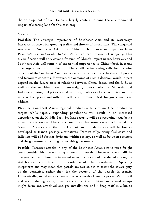the development of such fields is largely centered around the environmental impact of clearing land for this cash crop.

### *Scenarios 2018-2028*

Probable: The strategic importance of Southeast Asia and its waterways increases in pace with growing traffic and threats of disruptions. The congested sea-lanes in Southeast Asia forces China to build overland pipelines from Pakistan's port in Gwadar to China's far western province of Xinjiang. This diversification will only cover a fraction of China's import needs, however, and Southeast Asia will remain of substantial importance to China—both in terms of energy transit and production. There will be increasing calls for the joint policing of the Southeast Asian waters as a means to address the threat of piracy and terrorism concerns. However, the outcome of such a decision would in part depend on the future state of relations between China, Japan, and the U.S., as well as the sensitive issue of sovereignty, particularly for Malaysia and Indonesia. Rising fuel prices will affect the growth rate of the countries, and the issue of fuel prices and inflation will be a prominent task for governments to address.

Plausible: Southeast Asia's regional production fails to meet set production targets while rapidly expanding populations will result in an increased dependence on the Middle East. Sea lane security will be a recurring issue being raised for discussion. There is a possibility that some vessels will avoid the Strait of Malacca and that the Lombok and Sunda Straits will be further developed as transit passage alternatives. Domestically, rising fuel costs and inflation will add further divisions within society, as well as between societies and the governments leading to unstable governments.

Possible: Terrorist attacks in any of the Southeast Asian straits raise freight costs considerably necessitating escorts of vessels. However, there will be disagreement as to how the increased security costs should be shared among the stakeholders and how the patrols would be coordinated. Spiraling misperceptions may mean that patrols are carried out to assert the sovereignty of the countries, rather than for the security of the vessels in transit. Domestically, social unrests breaks out as a result of energy prices. Within oil and gas producing states, there is the threat that militant and armed groups might form and attack oil and gas installations and kidnap staff in a bid to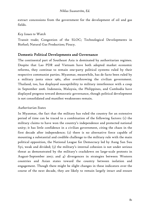extract concessions from the government for the development of oil and gas fields.

## *Key Issues to Watch*

Transit trade; Congestion of the SLOC; Technological Developments in Biofuel; Natural Gas Production; Piracy.

# Domestic Political Developments and Governance

The continental part of Southeast Asia is dominated by authoritarian regimes. Despite that Lao PDR and Vietnam have both adopted market economic reforms, they continue to remain one-party political systems ruled by their respective communist parties. Myanmar, meanwhile, has de facto been ruled by a military junta since 1962, after overthrowing the civilian government. Thailand, too, has displayed susceptibility to military interference with a coup in September 2006. Indonesia, Malaysia, the Philippines, and Cambodia have displayed progress toward democratic governance, though political development is not consolidated and manifest weaknesses remain.

## *Authoritarian States*

In Myanmar, the fact that the military has ruled the country for an extensive period of time can be traced to a combination of the following factors: (1) the military claims to have won the country's independence and protected national unity; it has little confidence in a civilian government, citing the chaos in the first decade after independence; (2) there is no alternative force capable of mounting a substantial and credible challenge to the military rule with the main political opposition, the National League for Democracy led by Aung San Suu Syi, weak and divided; (3) the military's internal cohesion is not under serious threat as demonstrated by the military's crackdown on large-scale protests in August-September 2007; and 4) divergences in strategies between Western countries and Asian states toward the country between isolation and engagement. Though there might be slight changes in these indicators over the course of the next decade, they are likely to remain largely intact and ensure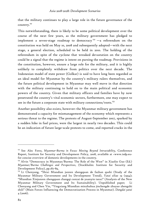that the military continues to play a large role in the future governance of the country.<sup>151</sup>

This notwithstanding, there is likely to be some political development over the course of the next few years, as the military government has pledged to implement a seven-stage roadmap to democracy  $152 - a$  referendum on the constitution was held on May 10, 2008 and subsequently adopted—with the next stage, a general election, scheduled to be held in 2010. The holding of the referendum in spite of the cyclone that wreaked devastation on the country could be a signal that the regime is intent on pursing the roadmap. Provisions in the constitution, however, ensure a large role for the military, and it is highly unlikely to completely withdraw from politics over the next decade. The Indonesian model of state power (Golkar) is said to have long been regarded as an ideal model for Myanmar by the country's military rulers themselves, and the future political development in Myanmar may well move in that direction with the military continuing to hold on to the main political and economic powers of the country. Given that military officers and families have by now penetrated the country's vital economic sectors, furthermore, one may expect to see in the future a corporate state with military connections/roots.<sup>153</sup>

Another possibility also exists, however: the Myanmar military government has demonstrated a capacity for mismanagement of the economy which represents a serious threat to the regime. The protests of August-September 2007, sparked by a sudden hike in fuel prices, were the largest in nearly two decades. This could be an indication of future large-scale protests to come, and reported cracks in the

<sup>151</sup> See Alec Forss, *Myanmar-Burma in Focus: Moving Beyond Intractability,* Conference Report, Institute for Security and Development Policy, 2008, available at <www.isdp.eu> for concise overview of domestic developments in the country.

<sup>&</sup>lt;sup>152</sup> Alvin "Democracy in Myanmar/Burma: The Role of the West" in Xiaolin Guo (Ed.) *Myanmar/Burma Challenges and Perspectives*, (Stockholm: Institute for Security and Development Policy), pp.187-89,<br><sup>153</sup> Li Chenyang, "Shixi Miandian junren zhengquan de fazhan qushi (Study of the

Myanmar Military Government and Its Development Trend), *Yatai ziliao* 19 (1994); "Miandian Xinjunren zhengquan changqi cunzai de yuanyin tanxi" (Analysis of the New Myanmar Military Government and Its Sustainability). Unpublished paper; Li Chenyang and Chen Yin, "Yingxiang Miandian minzhuhua jinchengde zhuyao zhengzhi shili" (Main Forces Influencing the Democratization Process in Myanmar). *Dangdai yatai* 4 (2006).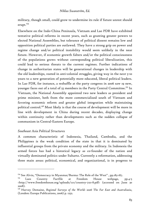military, though small, could grow to undermine its rule if future unrest should erupt.<sup>154</sup>

Elsewhere on the Indo-China Peninsula, Vietnam and Lao PDR have exhibited tentative political reforms in recent years, such as granting greater powers to elected National Assemblies, but tolerance of political dissent remains low and opposition political parties are outlawed. They have a strong grip on power and regime change and/or political instability would seem unlikely in the near future. However, if economic growth falters and/or the political consciousness of the populations grows without corresponding political liberalization, this could lead to serious threats to the current regimes. Further indications of change in authoritarian states will be generational changes in leadership with the old leaderships, rooted in anti-colonial struggles, giving way in the next 5-10 years to a new generation of potentially more educated, liberal political leaders. In Lao PDR, for instance, a reshuffle at the party congress in 2006 saw 19 new, younger faces out of a total of 55 members in the Party Central Committee.<sup>155</sup> In Vietnam, the National Assembly appointed two new leaders as president and prime minister, both from the more commercialized south of Vietnam and favoring economic reform and greater global integration while maintaining political control.<sup>156</sup> Most likely is that the course of development will be more in line with development in China during recent decades, displaying change within continuity rather than developments such as the sudden collapse of communism in Central-Eastern Europe.

## *Southeast Asia Political Structures*

-

A common characteristic of Indonesia, Thailand, Cambodia, and the Philippines is the weak condition of the state in that it is dominated by influential groups from the private economy and the military. In Indonesia the armed forces has had a historical legacy as co-founder of the nation and virtually dominated politics under Suharto. Currently a reformation, addressing three main areas: political, economical, and organizational, is in progress to

<sup>&</sup>lt;sup>154</sup> See Alvin, "Democracy in Myanmar/Burma: The Role of the West", pp.183-187.

<sup>&</sup>lt;sup>155</sup> Laos Country Factfile at Freedom House webpage, pp.4-5 <http://www.freedomhouse.org/uploads/ccr/country-7211-8.pdf> (accessed on June 30 2008).

<sup>156</sup> Harvey Demaine, *Regional Surveys of the World: 2006 The Far East and Australiasia*, (London: Europa Publications, 2006) p. 1252.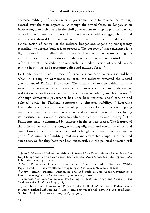decrease military influence on civil government and to reverse the military control over the state apparatus. Although the armed forces no longer, as an institution, take active part in the civil government or support political parties, politicians still seek the support of military leaders, which suggest that a total military withdrawal from civilian politics has not been made. In addition, the centralization of control of the military budget and expanding transparency regarding the defense budget is in progress. The purpose of these measures is to fight corruption and diminish military business activities, transforming the armed forces into an institution under civilian government control. Future reforms are still needed, however, such as modernization of armed forces, reining in militias, and separating police and military forces.<sup>157</sup>

In Thailand, continued military influence over domestic politics was laid bare when in a coup on September 19, 2006, the military removed the elected government of Thaksin Shinawatra. The main stated reasons behind the coup were the increase of governmental control over the press and independent institutions as well as accusations of corruption, nepotism, and tax evasion.<sup>158</sup> Although democratic governance has since been restored, social tension and political strife in Thailand continues to threaten stability.<sup>159</sup> Regarding Cambodia, the overall impression of political development is the ongoing stabilization and transformation of a political system still in need of developing its institutions. Two main issues to address are corruption and poverty.<sup>160</sup> The Philippine state is dominated by interests in the private sector. The features of the political structure are: struggle among oligarchs and economic elites, and corruption and nepotism, where support is bought with state revenues once in power. 161 A number of military mutinies and attempted coups have occurred since 2003. So far they have not been successful, but the political situation still

<sup>&</sup>lt;sup>157</sup> John B. Haseman "Indonesian Military Reform: More Than a Human Rights Issue," in Daljit Dingh and Lorraine C. Salazar (Eds.) *Southeast Asian Affairs 2006* (Singapore: ISAS Publication, 2006), pp. III-II8.

<sup>&</sup>lt;sup>158</sup> "What Thaksin had done wrong -Summary of Council for National Security's "White Paper" detailing Thaksin's alleged wrongdoings", *The Nation*, November 22 2006.

<sup>&</sup>lt;sup>159</sup> Amy Kazmin, "Political Turmoil in Thailand Fuels Doubts About Government's Future" *Washington Post Foreign Service*, June 21 2008, p. A11.

 $160$  Verghese Mathews, "Cambodia: Positioning for 2008" in Dingh and Salazar (Eds.) *Southeast Asian Affairs 2006*, pp. 73-87.

<sup>&</sup>lt;sup>161</sup> Jane Hutchison, "Pressure on Policy in the Philippines" in Garry Rodan, Kevin Hewison, Richard Robison (Eds.) *The Political Economy of South-East Asia –An Introduction*" (Oxford: Oxford University Press, 1999), pp. 79-83.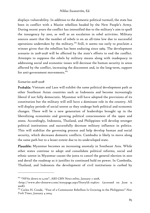displays vulnerability. In addition to the domestic political turmoil, the state has been in conflict with a Maoist rebellion headed by the New People's Army. During recent years the conflict has intensified due to the military's aim to quell the insurgency by 2010, as well as an escalation in rebel activities. Military sources assert that the number of rebels is on an all-time low due to successful operations undertaken by the military.<sup>162</sup> Still, it seems too early to proclaim a winner given that the rebellion has been enduring since 1969. The development scenario in 2018-2028 will be affected by the state's efforts to end the conflict. Attempts to suppress the rebels by military means along with inadequacy in addressing social and economic issues will decrease the human security in areas affected by the conflict, increasing the discontent and, in the long-term, support for anti-government movements.<sup>163</sup>

### *Scenarios 2018-2028*

-

Probable: Vietnam and Laos will exhibit the same political development path as other Southeast Asian countries such as Indonesia and become increasingly liberal if not fully democratic. Myanmar will have adopted the provisions of its constitution but the military will still have a dominant role in the country. All will display periods of social unrest as they undergo both political and economic changes. There will be a new generation of leaderships brought up in the liberalizing economies and growing political consciousness of the 1990s and 2000s. Accordingly, Indonesia, Thailand, and Philippines will develop stronger political institutions and successfully decrease military influence in politics. This will stabilize the governing process and help develop human and social security, which decreases domestic conflicts. Cambodia is likely to move along the same path but to a lesser extent due to its undeveloped state.

Plausible: Myanmar becomes an increasing anomaly in Southeast Asia. While other states continue to adopt and consolidate political reforms, social and ethnic unrest in Myanmar causes the junta to cancel the general election in 2010 and derail the roadmap as it justifies its continued hold on power. In Cambodia, Thailand, and Indonesia the development of civil institutions is curbed by

<sup>162 &</sup>quot;NPAs down to 5,700", *ABS-CBN News online*, January 7 2008,

<sup>&</sup>lt;http://www.abs-cbnnews.com/storypage.aspx?StoryId=104670> (accessed on June 15 2008).

<sup>163</sup> Carlos H. Conde, "Fear of a Communist Rebellion Is Growing in the Philippines" *New York Times*, January 4 2004.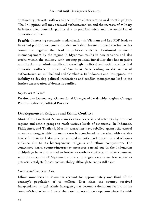dominating interests with occasional military intervention in domestic politics. The Philippines will move toward authoritarianism and the increase of military influence over domestic politics due to political crisis and the escalation of domestic conflicts.

Possible: Increasing economic modernization in Vietnam and Lao PDR leads to increased political awareness and demands that threaten to overturn ineffective communist regimes that lead to political violence. Continued economic mismanagement by the regime in Myanmar results in new tensions and also cracks within the military with ensuing political instability that has negative ramifications on ethnic stability. Increasingly, political and social tensions fuel domestic conflicts in much of Southeast Asia leading to the return of authoritarianism in Thailand and Cambodia. In Indonesia and Philippines, the inability to develop political institutions and conflict management lead to the further exacerbation of domestic conflict.

## *Key issues to Watch*

Roadmap to Democracy; Generational Changes of Leadership; Regime Change; Political Reforms; Political Protests

# Development in Religious and Ethnic Conflicts

Most of the Southeast Asian countries have experienced attempts by different regions and ethnic groups to reach various levels of autonomy. In Indonesia, Philippines, and Thailand, Muslim separatists have rebelled against the central power – a struggle which in many cases has continued for decades, with variable levels of intensity. Indonesia has suffered in particular from ethnic and religious violence due to its heterogeneous religious and ethnic composition. The sometimes harsh counter-insurgency measures carried out in the Indonesian archipelago have also served to further exacerbate conflicts. In other countries, with the exception of Myanmar, ethnic and religious issues are less salient as potential catalysts for serious instability although tensions still exist.

## *Continental Southeast Asia*

Ethnic minorities in Myanmar account for approximately one third of the country's population of 56 million. Ever since the country received independence in 1948 ethnic insurgency has become a dominant feature in the country's borderlands. One of the most important developments since the mid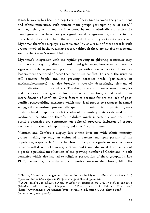1990s, however, has been the negotiation of ceasefires between the government and ethnic minorities, with sixteen main groups participating as of 2007.<sup>164</sup> Although the government is still opposed by many ethnically and politically based groups that have not yet signed ceasefire agreements, conflict in the borderlands does not exhibit the same level of intensity as twenty years ago. Myanmar therefore displays a relative stability as a result of these accords with groups involved in the roadmap process (although there are notable exceptions, such as the Karen National Union).

Myanmar's integration with the rapidly growing neighboring economies may also have a mitigating effect on borderland grievances. Furthermore, there are signs of a battle fatigue among ethnic groups with a new generation of younger leaders more enamored of peace than continued conflict. This said, the situation still remains fragile and the growing narcotics trade (particularly in methamphetamines) has also brought a severely destabilizing element of criminalization into the conflicts. The drug trade also finances armed struggles and increases these groups' firepower which, in turn, could lead to an intensification of conflicts. Other factors to account for are the lack of postconflict peacebuilding measures which may lead groups to reengage in armed struggle if the roadmap process falls apart. Ethnic minorities, in particular, may be disinclined to approve with the idea of the unitary state as defined in the roadmap. The situation therefore exhibits much uncertainty and the more positive scenarios are contingent on political progress, inclusion of groups excluded from the roadmap process, and effective disarmament.

Vietnam and Cambodia display less ethnic divisions with ethnic minority groups making up only an estimated 4 percent and 13-14 percent of the population, respectively.<sup>165</sup> It is therefore unlikely that significant inter-religious tensions will develop. However, Vietnam and Cambodia are still worried about a possible political mobilization of the growing number of Christians in both countries which also has led to religious persecution of these groups.. In Lao PDR, meanwhile, the main ethnic minority concerns the Hmong hill tribe

<sup>&</sup>lt;sup>164</sup> Smith, "Ethnic Challenges and Border Politics in Myanmar/Burma" in Guo (Ed.) *Myanmar-Burma Challenges and Perspectives*, pp.37-38 and pp. 64-65.

<sup>165</sup> ADB, *Health and Education Needs of Ethnic Minorities in the Greater Mekong Subregion* (Manila: ADB, 2001), Chapter 2, "The Status of Ethnic Minorities," <http://www.adb.org/Documents/Studies/Health\_Education\_GMS/chap\_02.pdf> (accessed on June 14 2008).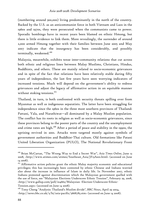(numbering around 300,000) living predominantly in the north of the country. Backed by the U.S. as an anticommunist force in both Vietnam and Laos in the 1960s and 1970s, they were persecuted when the communists came to power. Sporadic bombings have in recent years been blamed on ethnic Hmong, but there is little evidence to link them. More revealingly, the surrender of around 2,000 armed Hmong together with their families between June 2005 and May 2007 indicate that the insurgency has been considerably, and possibly terminally, weakened.<sup>166</sup>

Malaysia, meanwhile, exhibits tense inter-community relations that cut across both ethnic and religious lines between Malay Muslims, Christians, Hindus, Buddhists, and others. These are mainly related to socio-economic grievances and in spite of the fact that relations have been relatively stable during fifty years of independence, the last few years have seen worrying indicators of increased tensions. Much will depend on the government's ability to redress grievances and adjust the legacy of affirmative action in an equitable manner without stoking tensions.<sup>167</sup>

Thailand, in turn, is both confronted with security threats spilling over from Myanmar as well as indigenous separatists. The latter have been struggling for independence since the 1960s in the three most southern provinces of Thailand: Pattani, Yala, and Narathiwat—all dominated by a Malay Muslim population. The conflict has its roots in religion as well as socio-economic grievances, since these provinces belong to the poorer parts of the country and the unemployment and crime rates are high.<sup>168</sup> After a period of peace and stability in the 1990s, the uprising revived in 2001. Attacks were targeted mostly against symbols of government authorities and Buddhist-Thai culture. Old formations like Patani United Liberation Organization (PULO), The National Revolutionary Front

<sup>166</sup> Brian McCartan, "The Wrong Way to End a Secret War", *Asia Times Online*, June 13 2008, <http://www.atimes.com/atimes/Southeast\_Asia/JF13Ae01.html> (accessed on June 14 2008).

<sup>&</sup>lt;sup>167</sup> Affirmative action policies grant the ethnic Malay majority economic and educational privileges; this has increasingly been contested by ethnic Chinese and Indians worried also about the increase in influence of Islam in daily life. In November 2007, ethnic Indians protested against discrimination which the Malaysian government quelled with the use of force, see "Malaysian Elections Underscore Ethnic Tension", February 29, 2008, <http://www.gallup.com/poll/104662/Malaysian -Election-Underscore-Ethnic-Tension.aspx> (accessed on June 14 2008).

<sup>168</sup> Tony Cheng "Analysis: Thailand's Muslim divide", *BBC News*, April 29 2004,  $\frac{\text{http://news.bbc.co.uk/z/hi/asia-pacific/3668785.stm}{\text{actim}}$  (accessed on June 14 2008).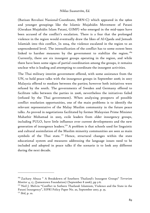(Barisan Revolusi Nasional-Coordinate, BRN-C) which appeared in the 1960s and younger groupings like the Islamic Mujahidin Movement of Patani (Gerakan Mujahidin Islam Patani, GIMP) who emerged in the mid-1990s have been accused of the conflict's escalation. There is a fear that the prolonged violence in the region would eventually draw the likes of Al-Qaeda and Jemaah Islamiah into this conflict. In 2004, the violence escalated in the region to an unprecedented level. The intensification of the conflict has to some extent been linked to harsher measures by the government to stabilize the region.<sup>169</sup> Currently, there are six insurgent groups operating in the region, and while there have been some signs of partial coordination among the groups, it remains unclear who is leading and attempting to coordinate the insurgent activities.

The Thai military interim government offered, with some assistance from the UN, to hold peace talks with the insurgence groups in September 2006; in 2007 Malaysia offered to mediate between the parties; however both initiatives were refused by the south. The governments of Sweden and Germany offered to facilitate talks between the parties in 2006, nevertheless the initiatives failed (refused by the Thai government). When analyzing prospects of possible conflict resolution opportunities, one of the main problems is to identify the relevant representative of the Malay Muslim community in the future peace talks. As proved in negotiations facilitated by former Malaysian Prime Minister Mahathir Mohamad in 2005, exile leaders from older insurgency groups, including PULO, have little influence over current developments and the new generation of insurgence leaders.<sup>170</sup> A problem is that schools used for linguistic and cultural assimilation of the Muslim minority communities are seen as main symbols of the Thai state.<sup>171</sup> Hence, structural changes within the state educational system and measures addressing the language issues need to be included and adopted in peace talks if the scenario is to look any different during the next decade.

<sup>169</sup> Zachary Abuza " A Breakdown of Southern Thailand's Insurgent Groups" *Terrorism Monitor* 4, 17, (Jamestown Foundation) (September 8 2006), pp 3-6.

<sup>&</sup>lt;sup>170</sup> Neil J. Melvin "Conflict in Sothern Thailand: Islamism, Violence and the State in the Patani Insurgency", SIPRI Policy Paper No. 20, September 2007, p. 35.

<sup>171</sup> *Ibid*, p. 10.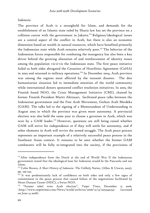#### *Indonesia*

The province of Aceh is a stronghold for Islam, and demands for the establishment of an Islamic state ruled by Sharia law has set the province on a collision course with the government in Jakarta.<sup>172</sup> Religious/ideological issues are a central aspect of the conflict in Aceh, but there is also an economic dimension based on wealth in natural resources, which have benefited primarily the Indonesian state while Aceh remains relatively poor.<sup>173</sup> The behavior of the Indonesian forces responsible for combating the insurgency has also been a key driver behind the growing alienation of and reinforcement of identity issues among the population vis-à-vis the Indonesian state. The first peace initiative failed as both sides abrogated the Cessation of Hostilities Agreement (CoHA) in 2003 and returned to military operations.<sup>174</sup> In December 2004, Aceh province was among the regions most affected by the tsunami disaster. The dire humanitarian situation led to immediate attention of the world community while international donors sponsored conflict resolution initiatives. In 2005, the Finnish based NGO, the Crisis Management Initiative (CMI), chaired by former Finnish President Martti Ahtisaari, facilitated peace talks between the Indonesian government and the Free Aceh Movement, Gerkan Aceh Merdeka (GAM). The talks led to the signing of a Memorandum of Understanding in August 2005 in which the province was given more autonomy. A provincial election was also held the same year to choose a governor in Aceh, which was won by a GAM leader.<sup>175</sup> However, questions are still being raised whether GAM will strive for independence or if they will settle for autonomy, and if other elements in Aceh will revive the armed struggle. The Aceh peace process represents an important example of a relatively successful peace process in the Southeast Asian context. It remains to be seen whether the former GAM combatants will be fully re-integrated into the society, if the provisions of

<sup>&</sup>lt;sup>172</sup> After independence from the Dutch at the end of World War II the Indonesian government stated that the ideological base for Indonesia would be the Pancasila and not Islam.

<sup>173</sup> Colin Brown, *A Short History of Indonesia -The Unlikely Nation*, (Allen & Unwin, 2003), pp. 239-242.

<sup>174</sup> It was predominantly lack of confidence on both sides and only a few signs of commitment to the peace process that caused failure of the negotiations facilitated by Henri Dunant Center (HDC), a Swiss NGO.

<sup>175 &</sup>quot;Former rebel wins Aceh election", *Taipei Times,* December 13 2006, <http://www.taipeitimes.com/News/world/archives/2006/12/13/2003340253> (accessed on June 14 2008).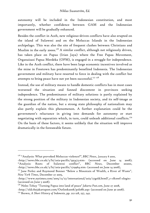autonomy will be included in the Indonesian constitution, and most importantly, whether confidence between GAM and the Indonesian government will be gradually enhanced.

Besides the conflict in Aceh, new religious-driven conflicts have also erupted on the island of Sulawesi and on the Moluccas Islands in the Indonesian archipelago. This was also the site of frequent clashes between Christians and Muslim in the early 2000s.<sup>176</sup> A similar conflict, although not religiously driven, has taken place on Papua (Irian Jaya) where the Free Papau Movement, Organaisasi Papua Merdeka (OPM), is engaged in a struggle for independence. Like in the Aceh conflict, there have been large economic incentives involved as the mine in Freetown has predominantly benefited Indonesia. The Indonesian government and military have resorted to force in dealing with the conflict but attempts to bring peace have not yet been successful.<sup>177 178</sup>

Instead, the use of military means to handle domestic conflicts has in most cases worsened the situation and fanned discontent in provinces seeking independence. The predominance of military solutions is partly explained by the strong position of the military in Indonesian society, and its self-image as the guardian of the nation, but a strong state philosophy of nationalism may also partly explain this phenomenon. A further explanation could be the government's reluctance in giving into demands for autonomy or start negotiating with separatists which, in turn, could unleash additional conflicts.<sup>179</sup> On the basis of these factors, it seems unlikely that the situation will improve dramatically in the foreseeable future.

<sup>176 &</sup>quot;Analysis: What provoked Moluccas violence?", *BBC News*, January 8 2000,

 $\kappa$ http://news.bbc.co.uk/2/hi/asia-pacific/595473.stm> (accessed on June 14 2008); "Analysis: Roots of Sulawesi conflict", *BBC News*, December 202001,  $\langle$ http://news.bbc.co.uk/2/hi/asia-pacific/1719964.stm> (accessed on June 14 2008),

<sup>&</sup>lt;sup>177</sup> Jane Perlez and Raymond Bonner "Below a Mountain of Wealth, a River of Waste", *New York Times*, December 27 2005,

<sup>&</sup>lt;http://www.nytimes.com/2005/12/27/international/asia/27gold.html?\_r=1&oref=slogin> (accessed on June 5 2008).

<sup>178</sup> Neles Tebay "Turning Papua into land of peace" *Jakarta Post.com*, June 27 2008,

<sup>&</sup>lt;http://old.thejakartapost.com/Outlook2008/pol08b.asp> (accessed on June 30 2008).

<sup>179</sup> Brown, *A Short History of Indonesia*, pp. 212-218, 237, 242.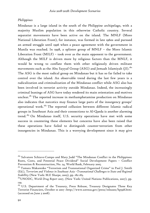### *Philippines*

Mindanao is a large island in the south of the Philippine archipelago, with a majority Muslim population in this otherwise Catholic country. Several separatist movements have been active on the island. The MNLF (Moro National Liberation Front), for instance, was formed in late 1960s and pursued an armed struggle until 1996 when a peace agreement with the government in Manila was reached. In 1998, a splinter group of MNLF – the Moro Islamic Liberation Front (MILF) – took over as the main opponent to the government. Although the MILF is driven more by religious factors than the MNLF, it would be wrong to conflate them with other religiously driven militant movements such as the Abu Sayyaf Group (ASG) and Jemaah Islamiyah (JI).<sup>180</sup> The ASG is the most radical group on Mindanao but it has so far failed to take control over the island. An observable trend during the last few years is a radicalization and criminalization of the Mindanao conflict while ASG also has been involved in terrorist activity outside Mindanao. Indeed, the increasingly criminal leanings of ASG have today rendered its main orientation and motives unclear.<sup>181</sup> The reported increase in methamphetamine production on Mindanao also indicates that narcotics may finance large parts of the insurgency groups' operational work.182 The reported collusion between different Islamic radical groups in Southeast Asia and their connections to Al-Qaeda is another alarming trend.<sup>183</sup> On Mindanao itself, U.S. security operations have met with some success in countering these elements but concerns have also been raised that these operations have failed to distinguish counter-terrorism from other insurgencies in Mindanao. This is a worrying development since it may give

<sup>&</sup>lt;sup>180</sup> Salvatore Schiavo-Campo and Mary Judd "The Mindanao Conflict in the Philippines: Roots, Costs, and Potential Peace Dividend" Social Development Papers – Conflict Prevention & Reconstruction, No. 24, World Bank, February 2005.

<sup>&</sup>lt;sup>181</sup> Tamara Makarenko "Terrorism and Transnational Organized Crime" in Paul J. Smith (Ed.), T*errorism and Violence in Southeast Asia –Transnational Challenges to State and Regional Stabillity* (New York: M.E Sharpe, 2005), pp. 182-183.

<sup>&</sup>lt;sup>182</sup>UNODC, *World Drug Report 2007*, (New York: United Nations Publications, 2007), pp. 129.

<sup>&</sup>lt;sup>183</sup> U.S. Department of the Treasury, Press Release, Treasury Designates Three Key Terrorist Financiers, October 10 2007 <http://www.ustreas.gov/press/releases/hp598.htm> (accessed on June 3 2008).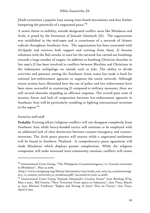Jihadi extremists a popular base among mass-based movements and thus further hampering the potentials of a negotiated peace.<sup>184</sup>

A newer threat to stability, outside designated conflict areas like Mindanao and Aceh, is posed by the formation of Jemaah Islamiyah (JI). The organization was established in the mid-1990s and is constituent of a network of Islamic radicals throughout Southeast Asia. The organization has been associated with Al-Qaeda and receives both support and training from them. JI became infamous with the Bali attacks in 2002 but the network has carried out bombings towards a large number of targets. In addition to bombing Christian churches in late 1990's JI has been involved in conflicts between Muslims and Christians in the Indonesian archipelago on islands such as Jolo. The ability to divide activities and presence among the Southeast Asian states has made it hard for national law-enforcement agencies to suppress the entire network. Although recent actions have illustrated how the use of police and law enforcement have been more successful in countering JI compared to military measures, there are still several obstacles impeding an efficient response. The overall poor state of security forces and lack of cooperation between law-enforcement agencies in Southeast Asia will be particularly troubling in fighting international terrorism in the region. $185$ 

### *Scenarios 2018-2028*

-

Probable: Existing ethnic/religious conflicts will not disappear completely from Southeast Asia while heavy-handed tactics will continue to be employed with an additional lack of clear distinction between counter-insurgency and counterterrorism. The Aceh peace process will mature while a negotiated settlement will be found in Southern Thailand. A comprehensive peace agreement will elude Mindanao which displays greater complexities. While the religious component will stoke increased inter-community tensions, conflicts will center

 $184$  International Crisis Group, "The Philippines Counterinsurgency vs. Counter-terrorism in Mindanao", May 14 2008,

<sup>&</sup>lt;http://www.crisisgroup.org/library/documents/asia/south\_east\_asia/152\_counterinsurge ncy\_vs\_counter\_terrorism\_in\_mindanao.pdf> (accessed on June 14 2008).

<sup>&</sup>lt;sup>185</sup> International Crisis Group "Jemaah Islamiyah's Current Status" Asia Briefing N°63, May 3 2007; Bill Guerin, "New Terrorism Front opens in Indonesia", *Asia Times*, March 14 2007; Michael Vatikiotis "Rights and Wrong of Asia's War on Terror," *Asia Times*, April 6 2007.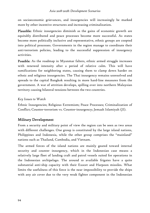on socioeconomic grievances, and insurgencies will increasingly be marked more by other incentive structures and increasing criminalization.

Plausible: Ethnic insurgencies diminish as the gains of economic growth are equitably distributed and peace processes become more successful. As states become more politically inclusive and representative, ethnic groups are coopted into political processes. Governments in the region manage to coordinate their anti-terrorism policies, leading to the successful suppression of insurgency activities.

Possible: As the roadmap in Myanmar falters, ethnic armed struggle increases with renewed intensity after a period of relative calm. This will have ramifications for neighboring states, causing them to clamp down harder on ethnic and religious insurgencies. The Thai insurgency remains unresolved and spreads to the capital Bangkok resulting in more hard-line measures from the government. A war of attrition develops, spilling over into northern Malaysian territory causing bilateral tensions between the two countries.

## *Key Issues to Watch*

Ethnic Insurgencies; Religious Extremism; Peace Processes; Criminalization of Conflict; Counter-terrorism vs. Counter-insurgency; Jemaah Islamiyah (JI).

# Military Development

From a security and military point of view the region can be seen as two areas with different challenges. One group is constituted by the large island nations, Philippines and Indonesia, while the other group comprises the "mainland" nations such as Thailand, Cambodia, and Vietnam.

The armed forces of the island nations are mainly geared toward internal security and counter insurgency, which in the Indonesian case means a relatively large fleet of landing craft and patrol vessels suited for operations in the Indonesian archipelago. The around 10 available frigates have a quite substantial anti-ship capacity with their Exocet and Harpoon missiles. What limits the usefulness of this force is the near impossibility to provide the ships with any air cover due to the very weak fighter component in the Indonesian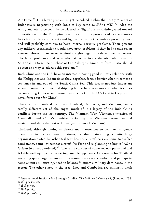Air Force.<sup>186</sup> This latter problem might be solved within the next 5-10 years as Indonesia is negotiating with India to buy some 44 SU-30 MKI.<sup>187</sup> Also the Army and Air force could be considered as "light" forces mainly geared toward domestic use. In the Philippine case this still more pronounced as the country lacks both surface combatants and fighter planes. Both countries presently have and will probably continue to have internal security problems. Their present day military organizations would have great problems if they had to take on an external threat, or to assert territorial rights, against a determined opponent. The latter problem could arise when it comes to the disputed islands in the South China Sea. The purchase of two Kilo-636 submarines from Russia should be seen as a way to address this problem.<sup>188</sup>

Both China and the U.S. have an interest in having good military relations with the Philippines and Indonesia as they, together, form a barrier when it comes to sea lanes in and out of the South China Sea. This fact is not just important when it comes to commercial shipping but perhaps even more so when it comes to containing Chinese submarine movements (for the U.S.) and to keep hostile naval forces out (for China).

Three of the mainland countries, Thailand, Cambodia, and Vietnam, face a totally different set of challenges, much of it a legacy of the Indo China conflicts during the last century. The Vietnam War, Vietnam's invasion of Cambodia, and China's punitive action against Vietnam created mutual mistrust and also a distrust of China (in the case of Vietnam).

Thailand, although having to devote many resources to counter-insurgency operations in its southern provinces, is also maintaining a quite large organization suited for other tasks. It has one aircraft carrier, some 20 surface combatants, some 165 combat aircraft (50 F16) and is planning to buy 12 JAS-39 Gripen (6 already ordered).<sup>189</sup> The army consists of some 200,000 personnel and is fairly well equipped, considering possible opponents. One reason for Thailand investing quite large resources in its armed forces is the earlier, and perhaps to some extent still existing, need to balance Vietnam's military dominance in the region. The other states in the area, Laos and Cambodia, are militarily weak

<sup>186</sup> International Institute for Strategic Studies, *The Military Balance 2008*, (London: IISS, 2008), pp. 382-383.

<sup>187</sup> *Ibid*, p. 365.

<sup>188</sup> *Ibid*, p. 365.

<sup>189</sup> *Ibid,* pp. 406-407.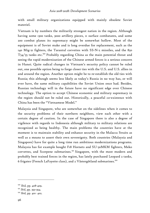with small military organizations equipped with mainly obsolete Soviet materiel.

Vietnam is by numbers the militarily strongest nation in the region. Although having some 1300 tanks, 3000 artillery pieces, 11 surface combatants, and some 200 combat planes its supremacy might be somewhat hollow. Most of the equipment is of Soviet make and is long overdue for replacement, such as the 140 Mig-21 fighters, the Tarantul corvettes with SS-N-2 missiles, and the 850 T54/55 tanks etc.190 Probably regarding China as the main potential threat and seeing the rapid modernization of the Chinese armed forces is a serious concern in Hanoi. Quite radical changes in Vietnam's security policy cannot be ruled out, one possible option being to forge closer ties with the U.S. and U.S. allies in and around the region. Another option might be to re-establish the old ties with Russia; this although seems less likely as today's Russia in no way has, or will ever have, the same military capabilities the Soviet Union once had. Besides, Russian technology will in the future have no significant edge over Chinese technology. The option to accept Chinese economic and military supremacy in the region should not be ruled out. Historically, a peaceful co-existence with China has been the "Vietnamese Model."

Malaysia and Singapore, who are somewhat on the sidelines when it comes to the security problems of their northern neighbors, view each other with a certain degree of caution. In the case of Singapore there is also a degree of vigilence with regards to Indonesia although military to military relations are recognized as being healthy. The main problems the countries have at the moment is to maintain stability and enhance security in the Malacca Straits as well as a means to assert their own sovereignty. Both countries (Malaysia and Singapore) have for quite a long time run ambitious modernizations programs. Malaysia has for example bought F18 Hornets and SU-30MKM fighters, Meko corvettes, and Scorpene submarines.<sup>191</sup> Singapore, with the most modern and probably best trained forces in the region, has lately purchased Leopard 2 tanks, 6 frigates (French LaFayette class), and 2 Västergötland submarines.192

<sup>190</sup> *Ibid,* pp. 408-409.

<sup>191</sup> *Ibid*, pp. 393-394.

<sup>192</sup> *Ibid,* pp. 401- 402.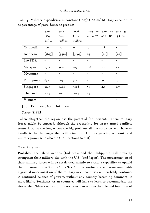|             | 2004     | 2005                | 2006            | 2003<br>$\mathbf{0}/\mathbf{0}$ | 2004<br>$\mathbf{0}/\mathbf{0}$ | 2005 %        |
|-------------|----------|---------------------|-----------------|---------------------------------|---------------------------------|---------------|
|             | USs      | USs                 | US <sub>s</sub> | of GDP                          | of GDP                          | of GDP        |
|             | million  | million             | million         |                                 |                                 |               |
| Cambodia    | 109      | <b>IIO</b>          | II4             | $\overline{2}$                  | I.8                             |               |
| Indonesia   | $[3655]$ | $\left[3410\right]$ | $[3695]$        | 1.3                             | $\lfloor 1.4 \rfloor$           | $\lfloor$ I.2 |
| Lao PDR     |          |                     |                 | -                               |                                 |               |
| Malaysia    | 2917     | 3120                | 2996            | 2.8                             | 2.4                             | 2.4           |
| Myanmar     |          |                     |                 |                                 |                                 |               |
| Philippines | 857      | 865                 | <b>901</b>      | $\mathbf I$                     | .9                              | .9            |
| Singapore   | 5147     | 5468                | 5868            | 5.1                             | 4.7                             | 4.7           |
| Thailand    | 2003     | 2018                | 2045            | I.3                             | I.2                             | I.I           |
| Vietnam     |          |                     |                 |                                 |                                 |               |

**Table 3.** Military expenditure in constant (2005) US\$  $m/M$ ilitary expenditure as percentage of gross domestic product

 $\lceil ... \rceil$  = Estimated;  $(\cdot)$  = Unknown

 *Source:* SIPRI

Taken altogether the region has the potential for incidents, where military forces might be engaged, although the probability for larger armed conflicts seems low. In the longer run the big problem all the countries will have to handle is the challenges that will arise from China's growing economic and military power (and also the U.S. reactions to that).

### *Scenarios 2018-2028*

Probable: The island nations (Indonesia and the Philippines will probably strengthen their military ties with the U.S. (and Japan). The modernization of their military forces will be accelerated mainly to create a capability to uphold their interests in the South China Sea. On the continent, the present trend with a gradual modernization of the military in all countries will probably continue. A continued balance of powers, without any country becoming dominant, is most likely. Southeast Asian countries will have to learn to accommodate the rise of the Chinese navy and to seek reassurance as to the role and intention of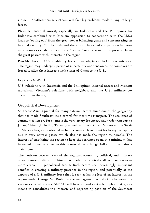China in Southeast Asia. Vietnam will face big problems modernizing its large forces.

Plausible: Internal unrest, especially in Indonesia and the Philippines (in Indonesia combined with Moslem opposition to cooperation with the U.S.) leads to "opting out" from the great power balancing game and concentrating on internal security. On the mainland there is an increased co-operation between most countries enabling them to be "neutral" or able stand up to pressure from the great powers with interests in the region.

Possible: Lack of U.S. credibility leads to an adaptation to Chinese interests. The region may undergo a period of uncertainty and tension as the countries are forced to align their interests with either of China or the U.S..

# *Key Issues to Watch*

U.S. relations with Indonesia and the Philippines, internal unrest and Moslem radicalism, Vietnam's relations with neighbors and the U.S., military cooperation in the region.

# Geopolitical Development

Southeast Asia is pivotal for many external actors much due to the geography that has made Southeast Asia central for maritime transport. The sea-lanes of communication are for example the very artery for energy and trade transport to Japan, China, (including Taiwan) as well as South Korea. Moreover, the Strait of Malacca has, as mentioned earlier, become a choke point for heavy transports due to very narrow passes which also has made the region vulnerable. The interest of stabilizing the region to keep the sea-lanes open, at a minimum, has increased immensely due to this reason alone although full control remains a distant goal.

The position between two of the regional economic, political, and military powerhouses—India and China—has made the relatively affluent region even more crucial in geopolitical terms. Both actors see increasingly important benefits in creating a military presence in the region, and potentially at the expense of a U.S. military force that is seen as having less of an interest in the region under George W. Bush. In the management of relations between the various external powers, ASEAN will have a significant role to play firstly, as a means to consolidate the interests and negotiating position of the Southeast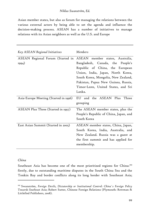Asian member states, but also as forum for managing the relations between the various external actors by being able to set the agenda and influence the decision-making process. ASEAN has a number of initiatives to manage relations with its Asian neighbors as well as the U.S. and Europe

| Key ASEAN Regional Initiatives        | Members                                |  |  |
|---------------------------------------|----------------------------------------|--|--|
| ASEAN Regional Forum (Started in      | ASEAN member states, Australia,        |  |  |
| 1994)                                 | Bangladesh, Canada, the People's       |  |  |
|                                       | Republic of China, the European        |  |  |
|                                       | Union, India, Japan, North Korea,      |  |  |
|                                       | South Korea, Mongolia, New Zealand,    |  |  |
|                                       | Pakistan, Papua New Guinea, Russia,    |  |  |
|                                       | Timor-Leste, United States, and Sri    |  |  |
|                                       | Lanka.                                 |  |  |
| Asia-Europe Meeting (Started in 1996) | Three<br>EU and the ASEAN Plus         |  |  |
|                                       | grouping                               |  |  |
| ASEAN Plus Three (Started in 1997)    | The ASEAN member states, plus the      |  |  |
|                                       | People's Republic of China, Japan, and |  |  |
|                                       | South Korea                            |  |  |
| East Asian Summit (Started in 2005)   | ASEAN member states, China, Japan,     |  |  |
|                                       | South Korea, India, Australia, and     |  |  |
|                                       | New Zealand. Russia was a guest at     |  |  |
|                                       | the first summit and has applied for   |  |  |
|                                       | membership.                            |  |  |

### *China*

-

Southeast Asia has become one of the most prioritized regions for China:<sup>193</sup> firstly, due to outstanding maritime disputes in the South China Sea and the Tonkin Bay and border conflicts along its long border with Southeast Asia;

<sup>193</sup> Swanström, *Foreign Devils, Dictatorship or Institutional Control: China´s Foreign Policy Towards Southeast Asia*; Robert Sutter, Chinese Foreign Relations (Plymouth: Rowman & Littlefied Publishers, 2008).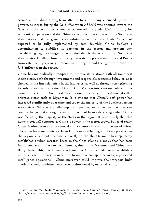secondly, for China´s long-term attempt to avoid being encircled by hostile powers, as it was during the Cold War when ASEAN was oriented toward the West and the communist states leaned toward the Soviet Union; thirdly for economic cooperation and the Chinese economic interaction with the Southeast Asian states that has grown very substantial with a Free Trade Agreement expected to be fully implemented by 2010; fourthly, China displays a determination to stabilize its partners in the region and prevent any destabilizing regime changes, a conviction that it shares with most Southeast Asian states. Finally, China is directly interested in preventing India and Russia from establishing a strong presence in the region and trying to minimize the U.S. influence in the region.

China has methodically attempted to improve its relations with all Southeast Asian states, both through investments and responsible economic behavior, as it showed in the financial crisis in the late 1990s, as well as through strengthening its soft power in the region. Due to China´s non-intervention policy it has earned respect in the Southeast Asian region, especially in less democraticallyoriented states such as Myanmar. It is evident that China´s soft power has increased significantly over time and today the majority of the Southeast Asian states view China as a vitally important partner, and a partner that they can trust; a change that is a significant improvement from a decade ago when China was feared by the majority of the states in the region. It is not likely that this honeymoon will continue as China´s power in the region grows, but as of today China is often seen as a role model and a country to turn to in event of crises. There has been some interest from China in establishing a military presence in the region, albeit not necessarily overtly in the short-term. It has reportedly established civilian research bases in the Coco islands, a move that has been interpreted as a military move oriented against India. Myanmar and China have flatly denied this, but it seems evident that China would like to establish a military base in the region over time to improve transport security, repairs and intelligence operations.<sup>194</sup> China moreover could improve the transport links overland should maritime lanes become threatened by external actors.

<sup>194</sup> John Feffer, "A Stable Myanmar to Benefit India, China," *Dawn,* January 19 2008, <http://www.dawn.com/2008/01/19/int9.htm> (accessed on June 15 2008).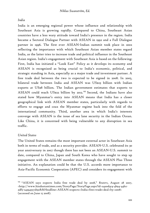### *India*

India is an emerging regional power whose influence and relationship with Southeast Asia is growing rapidly. Compared to China, Southeast Asian countries have a less wary attitude toward India's presence in the region. India became a Sectoral Dialogue Partner with ASEAN in 1992 and a Full Dialogue partner in 1996. The first ever ASEAN-Indian summit took place in 2002 reflecting the importance with which Southeast Asian member states regard India, as the latter tries to increase trade and political influence in the Southeast Asian region. India's engagement with Southeast Asia is based on the following: First, India has initiated a "Look East" Policy as it develops its economy and ASEAN is recognized as being crucial to India's economic, political, and strategic standing in Asia, especially as a major trade and investment partner. A free trade deal between the two is expected to be signed in 2008. In 2005, bilateral trade between India and ASEAN was US\$23 billion with Indian exports at US\$8 billion. The Indian government estimates that exports to ASEAN could reach US\$22 billion by 2012.<sup>195</sup> Second, the Indians have also stated how Myanmar's entry into ASEAN means that India has a closer geographical link with ASEAN member states, particularly with regards to efforts to engage and coax the Myanmar regime back into the fold of the international community. Third, another area in which India's interests converge with ASEAN is the issue of sea lane security in the Indian Ocean. Like China, it is concerned with being vulnerable to any disruption in sea traffic.

## *United States*

-

The United States remains the most important external actor in Southeast Asia both in terms of trade, and as a security provider. ASEAN-U.S. celebrated its 30 year anniversary in 2007 though there has not been an ASEAN-U.S. summit to date, compared to China, Japan and South Korea who have sought to step up engagement with the ASEAN member states through the ASEAN Plus Three initiative. An explanation could be that the U.S. accords more importance to Asia-Pacific Economic Cooperation (APEC) and considers its engagement with

<sup>195 &</sup>quot;ASEAN says expects India free trade deal by 2008," *Reuters*, August 28 2007, <http://www.hindustantimes.com/StoryPage/StoryPage.aspx?id=a4a0d414-4b94-44b2 adf5-243945572b91&&Headline=ASEAN+expects+India+free+trade+deal+by+2008> (accessed on June 15 2008).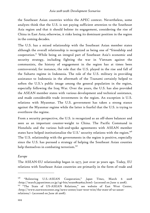the Southeast Asian countries within the APEC context. Nevertheless, some analysts think that the U.S. is not paying sufficient attention to the Southeast Asia region and that it should bolster its engagement, considering the rise of China in East Asia; otherwise, it risks losing its dominant position in the region in the coming decades.

The U.S. has a mixed relationship with the Southeast Asian member states although the overall relationship is recognized as being one of "friendship and cooperation." While being an integral part of Southeast Asia's economic and security strategy, including fighting the war in Vietnam against the communists, the history of engagement in the region has at times been controversial; for instance, the role that the U.S. played in the rise and fall of the Suharto regime in Indonesia. The role of the U.S. military in providing assistance to Indonesia in the aftermath of the Tsunami certainly helped to soften the U.S.'s public image among the general population in the region, especially following the Iraq War. Over the years, the U.S. has also provided the ASEAN member states with various development and technical assistance, and made considerable trade investments in the region. An exception is U.S. relations with Myanmar. The U.S. government has taken a strong stance against the Myanmar regime while the latter is fearful that the U.S. is trying to overthrow the regime.

From a security perspective, the U.S. is recognized as an off-shore balancer and seen as an important counter-weight to China. The Pacific Command in Honolulu and the various hub-and-spoke agreements with ASEAN member states have helped institutionalize the U.S.' security relations with the region.<sup>196</sup> The U.S. relationship with the governments in the region is positive, especially since the U.S. has pursued a strategy of helping the Southeast Asian counties help themselves in combating terrorism.<sup>197</sup>

#### *Europe*

The ASEAN-EU relationship began in 1977, just over 30 years ago. Today, EU relations with Southeast Asian countries are primarily in the form of trade and

<sup>196 &</sup>quot;Bolstering U.S.-ASEAN Cooperation," *Japan Times*, March 6 2008 <http://search.japantimes.co.jp/cgi-bin/eo20080306a2.html> (accessed on June 12 2008). <sup>197</sup> "The State of US-ASEAN Relations," see website of East West Center,

<sup>&</sup>lt;http://www.eastwestcenter.org/news-center/east-west-wire/the-state-of-us-aseanrelations/> (accessed on June 26 2008).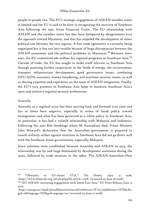people-to-people ties. The EU's strategic engagement of ASEAN member states is limited and the EU is said to be slow in recognizing the recovery of Southeast Asia following the 1997 Asian Financial Crisis. The EU relationship with ASEAN and the member states has also been hampered by disagreement over the approach toward Myanmar, and that has impeded the development of closer political ties between the two regions. A free trade agreement is currently being negotiated but it has run into trouble because of huge discrepancies between the ASEAN economies and the political problems in Myanmar.<sup>198</sup> Between 2000-2007, the EU committed  $\epsilon$ 80 million for regional programs in Southeast Asia.<sup>199</sup> Outside of trade, the EU has sought to make itself relevant in Southeast Asia through pursuing further cooperation in the fields of energy, the environment, transport infrastructure development, good governance issues, combating HIV/AIDS, narcotics, money laundering, and maritime security issues, as well as sharing expertise and experience on the issue of ASEAN integration. Finally, the EU's very presence in Southeast Asia helps to maintain Southeast Asia's open and inclusive regional security architecture.

#### *Australia*

-

Australia as a regional actor has been moving back and forward over time and has at times been negative, especially in terms of harsh policy toward immigration and what has been perceived as a white policy in Southeast Asia. In particular, it has had a volatile relationship with Malaysia and Indonesia. Following the 2002 Bali bombings where 88 Australians died, Prime Minister John Howard's declaration that the Australian government is prepared to launch military strikes against terrorists in Southeast Asia did not go down well with the Southeast Asian governments, especially Malaysia.

Since relations were established between Australia and ASEAN in 1974, the relationship was by and large dominated by development assistance during the 1970s, followed by trade interests in the 1980s. The ASEAN-Australian-New

<sup>198 &</sup>quot;Obstacles to EU-Asean FTA," *The Nation*, June 13 2008, <http://www.bilaterals.org/article.php3?id\_article=12418> (accessed on June 26 2008).

<sup>&</sup>lt;sup>199</sup> "EU-ASEAN: increasing engagement with South East Asia," EU Press Release, June 13 2007,

<sup>&</sup>lt;http://europa.eu/rapid/pressReleasesAction.do?reference=IP/07/319&format=HTML&a ged=0&language=EN&guiLanguage=en> (accessed on June 10 2008).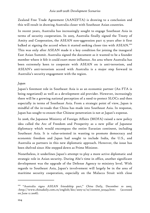Zealand Free Trade Agreement (AANZFTA) is drawing to a conclusion and this will result in drawing Australia closer with Southeast Asian countries.

In recent years, Australia has increasingly sought to engage Southeast Asia in terms of security cooperation. In 2005, Australia finally signed the Treaty of Amity and Cooperation, the ASEAN non-aggression pact 15 years after it first balked at signing the accord when it started seeking closer ties with ASEAN.<sup>200</sup> This was only after ASEAN made it a key condition for joining the inaugural East Asian Summit. Australia signed the document as it wanted to be a founder member where it felt it could exert more influence. An area where Australia has been extremely keen to cooperate with ASEAN on is anti-terrorism, and ASEAN's anti-terrorism accord with Australia is a major step forward in Australia's security engagement with the region.

#### *Japan*

Japan's foremost role in Southeast Asia is as an economic partner (An FTA is being negotiated) as well as a development aid provider. However, increasingly there will be a growing national perception of a need to protect SLOCs and then especially in terms of Southeast Asia. From a strategic point of view, Japan is mindful of the in-roads that China has made into Southeast Asia. In response, Japan has sought to ensure that Chinese penetration is not at Japan's expense.

In 2006, the Japanese Ministry of Foreign Affairs (MOFA) raised a new policy idea called the Arc of Freedom and Prosperity as a new pillar of Japanese diplomacy which would encompass the entire Eurasian continent, including Southeast Asia. It is value-oriented in wanting to promote democracy and economic freedom and Japan had sought to include India, the U.S., and Australia as partners in this new diplomatic approach. However, the issue has been shelved since Abe stepped down as Prime Minister.

Nonetheless, it underlines Japan's attempt to play a more active diplomatic and strategic role in Asian security. During Abe's time in office, another significant development was the upgrade of the Defense Agency to ministry level. With regards to Southeast Asia, Japan's involvement will largely be in the area of maritime security cooperation, especially on the Malacca Strait with close

<sup>200 &</sup>quot;Australia signs ASEAN friendship pact," *China Daily*, December 10 2005,  $\langle \text{http://www.chinadaily.com.cn/english/doc/2005-12/10/content 502343.htm-}$  (accessed on June 12 2008).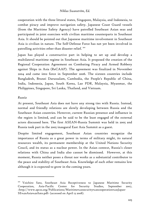cooperation with the three littoral states, Singapore, Malaysia, and Indonesia, to combat piracy and improve navigation safety. Japanese Coast Guard vessels (from the Maritime Safety Agency) have patrolled Southeast Asian seas and participated in joint exercises with civilian maritime counterparts in Southeast Asia. It should be pointed out that Japanese maritime involvement in Southeast Asia is civilian in nature. The Self-Defense Force has not yet been involved in patrolling activities other than disaster relief.<sup>201</sup>

Japan has played a constructive part in helping to set up and develop a multilateral maritime regime in Southeast Asia. It proposed the creation of the Regional Cooperation Agreement on Combating Piracy and Armed Robbery against Ships in Asia (ReCAAP). The agreement was finalized in November 2004 and came into force in September 2006. The sixteen countries include Bangladesh, Brunei Darussalam, Cambodia, the People's Republic of China, India, Indonesia, Japan, South Korea, Lao PDR, Malaysia, Myanmar, the Philippines, Singapore, Sri Lanka, Thailand, and Vietnam.

### *Russia*

-

At present, Southeast Asia does not have any strong ties with Russia. Instead, normal and friendly relations are slowly developing between Russia and the Southeast Asian countries. However, current Russian presence and influence in the region is limited, and can be said to be the least engaged of the external actors discussed here. The first ASEAN-Russia Summit was held in 2005 and Russia took part in the 2005 inaugural East Asia Summit as a guest.

Despite limited engagement, Southeast Asian countries recognize the importance of Russia as a great power in terms of military might, its natural resources wealth, its permanent membership at the United Nations Security Coucil, and its status as a nuclear power. In the Asian context, Russia's closer relations with China and India also cannot be dismissed. However, at this moment, Russia neither poses a threat nor works as a substantial contributor to the peace and stability of Southeast Asia. Knowledge of each other remains low although it is expected to grow in the coming years.

<sup>&</sup>lt;sup>201</sup> Yoichiro Sato, Southeast Asia Receptiveness to Japanese Maritime Security Cooperation, Asia-Pacific Center for Security Studies, September 2007, <http://www.apcss.org/Publications/Maritime%20security%20cooperation%20Japan-SE%20Asia%20Sato.pdf> (accessed on April 13 2008).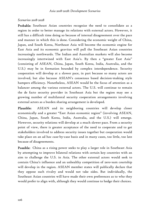#### *Scenarios 2018-2028*

Probable: Southeast Asian countries recognize the need to consolidate as a region in order to better manage its relations with external actors. However, it still has a difficult time doing so because of internal disagreement over the pace and manner in which this is done. Considering the economic weight of China, Japan, and South Korea, Northeast Asia will become the economic engine for East Asia and its economic gravitas will pull the Southeast Asian countries increasingly northwards. The Indian and Australian markets will also become increasingly intertwined with East Asia's. By then a "greater East Asia" (consisting of ASEAN, China, Japan, South Korea, India, Australia, and the U.S.) may be in formation bounded by complex interdependence. Security cooperation will develop at a slower pace, in part because so many actors are involved, but also because ASEAN's consensus based decision-making style hampers efficiency. Nonetheless, ASEAN would be the focus of attention as a balancer among the various external actors. The U.S. will continue to remain the de facto security provider in Southeast Asia but the region may see a growing number of multilateral security cooperation arrangements involving external actors as a burden sharing arrangement is developed.

Plausible: ASEAN and its neighboring countries will develop closer economically and a greater "East Asian economic region" (involving ASEAN, China, Japan, South Korea, India, Australia, and the U.S.) will emerge. However, security relations will develop at a much slower pace. From a security point of view, there is greater acceptance of the need to cooperate and to get stakeholders involved to address security issues together but cooperation would take place on an ad hoc case-by-case basis and in many cases, too little, too late because of disagreements.

Possible: China as a rising power seeks to play a larger role in Southeast Asia by attempting to improve bilateral relations with certain key countries with an aim to challenge the U.S. in Asia. The other external actors would seek to contain China's influence and an unhealthy competition of zero-sum courtship will develop in the region. ASEAN member states will publically declare that they oppose such rivalry and would not take sides. But individually, the Southeast Asian countries will have made their own preferences as to who they would prefer to align with, although they would continue to hedge their choices.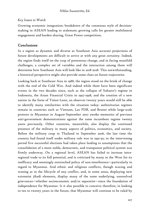#### *Key Issues to Watch*

Growing economic integration; breakdown of the consensus style of decisionmaking in ASEAN leading to stalemate; growing calls for greater multilateral engagement and burden sharing, Great Power competition.

# Conclusions

In a region as dynamic and diverse as Southeast Asia accurate projections of future developments are difficult to arrive at with any great certainty. Indeed, the region finds itself on the cusp of portentous change, and in facing manifold challenges, a complex set of variables and the interaction among them will determine how Southeast Asia will look like in 2018-2028. This notwithstanding, a historical perspective might also provide some clues on future trajectories.

Looking back at Southeast Asia in 1988, the region stood on the brink of change with the end of the Cold War. And indeed while there have been significant events in the two decades since, such as the collapse of Suharto's regime in Indonesia, the Asian Financial Crisis in 1997-1998, and the creation of a new nation in the form of Timor-Leste, an observer twenty years would still be able to identify many similarities with the situation today: authoritarian regimes remain in countries such as Vietnam, Lao PDR, and Brunei while large-scale protests in Myanmar in August-September 2007 awoke memories of previous anti-government demonstrations against the same incumbent regime twenty years previously. Other countries, meanwhile, also display the continued presence of the military in many aspects of politics, economics, and society. Before the military coup in Thailand in September 2006, the last time the country had found itself under military rule was in 1991-92; in the intervening period five successful elections had taken place leading to assumptions that the consolidation of a more stable, democratic, and transparent political system was firmly underway. On a regional level, ASEAN has failed to increase intraregional trade to its full potential, and is criticized by many in the West for its inefficacy and seemingly entrenched policy of non-interference—particularly in regard to Myanmar. And ethnic and religious conflicts, though waxing and waning as in the lifecycle of any conflict, and, in some areas, displaying new extremist jihadi elements, display many of the same underlying, unresolved grievances—whether socioeconomic and/or separatist—since the foundation of independence for Myanmar. Is it also possible to conceive therefore, in looking to ten to twenty years in the future, that Myanmar will continue to be ruled by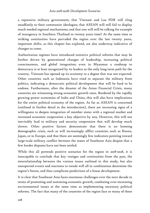a repressive military government; that Vietnam and Lao PDR will cling steadfastly to their communist ideologies; that ASEAN will still fail to display much needed regional mechanisms; and that one will still be talking for example of insurgency in Southern Thailand in twenty years time? At the same time as striking continuities have pervaded the region over the last twenty years, important shifts, as this chapter has explored, are also underway indicative of changes to come.

Authoritarian regimes have introduced tentative political reforms that may be further driven by generational changes of leadership, increasing political consciousness, and global integration; even in Myanmar a roadmap to democracy is at least recognized by its leaders as the only long-term path for the country. Vietnam has opened up its economy to a degree that was not expected. Other countries such as Indonesia have tried to separate the military from politics, indicating a democratic political development that will be hard to be undone. Furthermore, after the disaster of the Asian Financial Crisis, many countries are witnessing strong economic growth rates. Bordered by the rapidly growing power economies of India and China, this will also have implications for the entire political economy of the region. As far as ASEAN is concerned (outlined in further detail in the introduction), there are increasing signs of a willingness to deepen integration of member states with a regional market and increased economic cooperation a key objective by 2015. However, this will not inevitably lead to military and security cooperation that will develop much slower. Other positive factors demonstrate that there is no looming demographic crisis, such as will increasingly afflict countries such as Russia, Japan, or in Europe, and that there are seemingly few indicators pointing toward large-scale military conflict between the states of Southeast Asia despite that a few border disputes have not been settled.

While this all portends positive scenarios for the region in 2018-2028, it is inescapable to conclude that key vestiges and continuities from the past, the interrelationship between the various issues outlined in this study, but also unexpected events and reactions to trends will all in combination determine the region's future, and thus complicate predictions of a linear development.

It is clear that Southeast Asia faces enormous challenges over the next decade in terms of promoting and sustaining economic growth, combating ever-increasing environmental issues at the same time as implementing necessary political reforms. The fact that many of the countries of the region face so many of these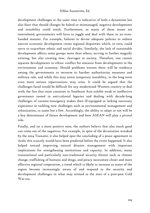development challenges at the same time is indicative of both a dynamism but also fears that should changes be halted or mismanaged, negative developments and instability could result. Furthermore, as many of these issues are interrelated, governments will have to juggle and deal with these in an evenhanded manner. For example, failures to devise adequate policies to redress uneven economic development create regional disparities which, in turn, could serve to exacerbate ethnic and social divides. Similarly, the lack of sustainable development affects some groups more than others, serving to further magnify existing, but also creating new, cleavages in society. Therefore, one cannot separate developments in ethnic conflict for instance from developments in the environment and economy. Should problems worsen there will be tendency among the governments to recourse to harsher authoritarian measures and military rule, and while this may arrest temporary instability, in the long term even more serious repercussions may arise. It could be argued that the challenges faced would be difficult for any modernized Western country to deal with; the fact that most countries in Southeast Asia exhibit weak or ineffective governance rooted in anti-colonial legacies and dealing with decade-long challenges of counter-insurgency makes then ill-equipped or lacking necessary experience in tackling new challenges such as environmental management and urbanization, to name but a few. Accordingly, the ability to adapt or not will be a key determinant of future development and here ASEAN will play a pivotal role.

Finally, and on a more positive note, the authors believe that also much good can come out of the negatives. For example, in spite of the devastation wreaked by the 2004 Tsunami, it also helped spur the concluding of a peace agreement in Aceh; this scarcely would have been predicted before the event happened. It also helped toward improving natural disaster management with important implications for strengthening institutions and capacity. In addition, many transnational and particularly non-traditional security threats such as climate change, trafficking of humans and drugs, and piracy necessitate closer and more effective regional cooperation, a trend which is likely to increase as states of the region become increasingly aware of and respond to the security and development challenges in what may termed as the start of a post-post Cold War era.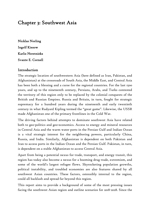# Chapter 3: Southwest Asia

Nicklas Norling Ingolf Kiesow Karlis Neretnieks Svante E. Cornell

#### Introduction

The strategic location of southwestern Asia (here defined as Iran, Pakistan, and Afghanistan) at the crossroads of South Asia, the Middle East, and Central Asia has been both a blessing and a curse for the regional countries. For the last 1500 years, and up to the nineteenth century, Persians, Arabs, and Turks contested the territory of this region only to be replaced by the colonial conquests of the British and Russian Empires. Russia and Britain, in turn, fought for strategic supremacy for a hundred years during the nineteenth and early twentieth century in what Rudyard Kipling termed the "great game". Likewise, the USSR made Afghanistan one of the primary frontlines in the Cold War.

The driving factors behind attempts to dominate southwest Asia have related both to geo-politics and geo-economics. Access to energy and mineral resources in Central Asia and the warm water ports in the Persian Gulf and Indian Ocean is a vital strategic interest for the neighboring powers, particularly China, Russia, and India. Similarly, Afghanistan is dependent on both Pakistan and Iran to access ports in the Indian Ocean and the Persian Gulf. Pakistan, in turn, is dependent on a stable Afghanistan to access Central Asia.

Apart from being a potential nexus for trade, transport, and energy transit, this region has today also become a nexus for a booming drug trade, extremism, and some of the world's largest refugee flows. Skyrocketing population growths, political instability, and troubled economies are also features shared by all southwest Asian countries. These factors, ostensibly internal to the region, could all backlash and spread far beyond this region.

This report aims to provide a background of some of the most pressing issues facing the southwest Asian region and outline scenarios for 2018-2028. Since the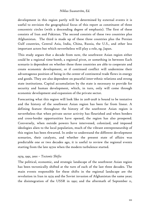development in this region partly will be determined by external events it is useful to envision the geographical focus of this report as constituent of three concentric circles (with a descending degree of emphasis). The first of these consists of Iran and Pakistan. The second consists of these two countries plus Afghanistan. The third is made up of these three countries plus the Persian Gulf countries, Central Asia, India, China, Russia, the U.S., and other less important actors but which nevertheless will play a role, eg. Japan.

This study argues that a decade from now, the southwest Asian region either could be a regional time-bomb, a regional pivot, or something in between Each scenario is dependent on whether these three countries are able to cooperate and create economic development, or if continued conflict will undermine their advantageous position of being in the center of continental trade flows in energy and goods. They are also dependent on peaceful inter-ethnic relations and strong state institutions. Capital accumulation by the state is necessary to provide for security and human development, which, in turn, only will come through economic development and expansion of the private sector.

Forecasting what this region will look like in 2018-2028 is bound to be tentative and the history of the southwest Asian region has been far from linear. A defining feature throughout the history of the southwest Asian region is nevertheless that when private sector activity has flourished and when borders and cross-border opportunities have opened, the region has also prospered. Conversely, when outside powers have intervened, colonized, and imposed ideologies alien to the local population, much of the vibrant entrepreneurship of this region has been thwarted. In order to understand the different development scenarios, their catalysts, and whether the present state of affairs was predictable one or two decades ago, it is useful to review the regional events starting from the late 1970s when the modern turbulence started.

#### *1979, 1991, 2001 – Tectonic Shifts*

The political, economic, and strategic landscape of the southwest Asian region has been tectonically shifted at the turn of each of the last three decades. The main events responsible for these shifts in the regional landscape are the revolution in Iran in 1979 and the Soviet invasion of Afghanistan the same year; the disintegration of the USSR in 1991; and the aftermath of September 11,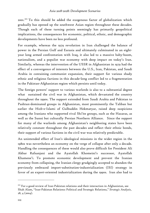2001.202 To this should be added the exogenous factor of globalization which gradually has opened up the southwest Asian region throughout these decades. Though each of these turning points seemingly has primarily geopolitical implications, the consequences for economic, political, ethnic, and demographic developments have been no less profound.

For example, whereas the 1979 revolution in Iran challenged the balance of power in the Persian Gulf and Eurasia and ultimately culminated in an eightyear long armed confrontation with Iraq, it also led to a massive baby-boom, nationalism, and a populist war economy with deep impact on today's Iran. Similarly, whereas the intervention of the USSR in Afghanistan in 1979 had the effect of a convergence of interests between the U.S., Iran, Pakistan, and Saudi Arabia in containing communist expansion, their support for various shady ethnic and religious factions in this decade-long conflict led to a fragmentation in the Pakistan-Afghanistan region which persists until today.

The foreign powers' support to various warlords is also to a substantial degree what sustained the civil war in Afghanistan, which devastated the country throughout the 1990s. The support extended from Saudi Arabia and Pakistan to Pashtun-dominated groups in Afghanistan, most prominently the Taliban but earlier the Hizb-e-Islami of Gulbuddin Hekmatyar, raised deep suspicions among the Iranians who supported rival Shi'ite groups, such as the Hazaras, as well as the Sunni but culturally Persian Northern Alliance. Since the support for many of the warlords among Afghanistan's neighboring states have been relatively constant throughout the past decades and reflect their ethnic bonds, their support of various factions in the civil war was relatively predictable.

An unintended effect of Iran's ideological missions in the wider region in the 1980s was nevertheless an economy on the verge of collapse after only a decade. Handling the consequences of these would also prove difficult for President Ali Akbar Rafsanjani and the Ayatollah Khomeini's successor, Ayatollah Khamene'i. To promote economic development and prevent the Iranian economy from collapsing, the Iranian clergy grudgingly accepted to abandon the previously embraced import-substitution-industrialization (ISI) strategy in favor of an export-oriented industrialization during the 1990s. Iran also had to

<sup>&</sup>lt;sup>202</sup> For a good review of Iran-Pakistan relations and their interaction in Afghanistan, see Shah Alam, "Iran-Pakistan Relations: Political and Strategic Relations," *Strategic Analysis*, 28, 4 (2004).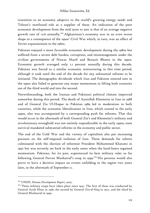transition to an economy adaptive to the world's growing energy needs and Tehran's newfound role as a supplier of these. An indication of the poor economic development from the mid 1970s to 2001 is that of an average negative growth rate of -0.6 annually.<sup>203</sup> Afghanistan's economy was in an even worse shape as a consequence of the 1990s' Civil War which, in turn, was an effect of Soviet expansionism in the 1980s.

Pakistan enjoyed a more favorable economic development during the 1980s but suffered from a severe debt burden, corruption, and mismanagement under the civilian governments of Nawaz Sharif and Benazir Bhutto in the 1990s. Economic growth averaged only 1.1 percent annually during this decade. Pakistan was forced to a similar economic restructuring in this time period, although it took until the end of the decade for any substantial reforms to be initiated. The demographic dividends which Iran and Pakistan entered into in the 1990s also failed to generate any major momentum in lifting both countries out of the third world and into the second.

Notwithstanding, both the Iranian and Pakistani political climate improved somewhat during this period. The death of Ayatollah Khomeini in Iran in 1988 and of General Zia Ul-Haque in Pakistan 1989 led to moderation in both countries, while the economic liberalization in Iran, which started in the early 1990s, also was accompanied by a corresponding push for reforms. That this would occur in the aftermath of both General Zia's and Khomeini's military and revolutionary stronghold was not entirely unpredictable in the early 1990s; state survival mandated substantial reforms in the economy and public sector.

The end of the Cold War and the victory of capitalism also put increasing pressure on the self-imposed isolation of Iran. These demands for reform culminated with the election of reformist President Mohammed Khatami in 1997 but was severely set back in the early 2000s when the hard-liners regained momentum. Pakistan, for its part, experienced its best military ruler so far following General Pervez Musharraf's coup in 1999.<sup>204</sup> His persona would also prove to have a decisive impact on events unfolding in the region two years later, in the aftermath of September 11.

<sup>203</sup> UNDP, *Human Development Report*, 2007.

 $204$  Three military coups have taken place since 1947. The first of these was conducted by General Ayub Khan in 1958, the second by General Zia-ul-Haq in 1977, and the third by General Musharraf in 1999.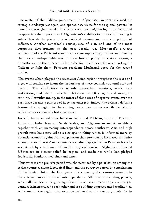The ouster of the Taliban government in Afghanistan in 2001 redefined the strategic landscape yet again, and opened new vistas for the regional powers, let alone for the Afghan people. In this process, most neighboring countries started to appreciate the importance of Afghanistan's stabilization instead of viewing it solely through the prism of a geopolitical vacuum and zero-sum politics of influence. Another remarkable consequence of  $9/11$ , and one of the most surprising developments in the past decade, was Musharraf's strategic redirection of the Pakistani state; from a state supporting Jihadists and viewing them as an indispensable tool in their foreign policy to a state waging a domestic war on them. Faced with the decision to either continue supporting the Taliban or fight them, Pakistani president Musharraf opted for the second option.

The events which plagued the southwest Asian region throughout the 1980s and 1990s will continue to haunt the leaderships of these countries up until 2018 and beyond. The similarities as regards inter-ethnic tensions, weak state institutions, and Islamic radicalism between the 1980s, 1990s, and 2000s, are striking. Notwithstanding, in the midst of this series of negative events over the past three decades a glimpse of hope has emerged; indeed, the primary defining feature of this region in the coming years may not necessarily be Islamic radicalism or excessively bad governance.

Instead, improved relations between India and Pakistan, Iran and Pakistan, China and India, Iran and Saudi Arabia, and Afghanistan and its neighbors together with an increasing interdependence across southwest Asia and high growth rates have now led to a strategic thinking which is informed more by potential economic gains from cooperation than previously. Increased solidarity among the southwest Asian countries was also displayed when Pakistan literally was struck by a tectonic shift in the 20o5 earthquake. Afghanistan donated US\$500,ooo in disaster relief, helicopters, and medicines while Iran pledged foodstuffs, blankets, medicines and tents.

Thus whereas the pre-1979 period was characterized by a polarization among the Asian countries along ideological lines, and the post-1979 period by containment of the Soviet Union, the first years of the twenty-first century seem to be characterized more by liberal interdependence. All these surrounding powers, which all also have undergone significant liberalization measures, are starting to connect infrastructure to each other and are building unprecedented trading ties. All states in the region also seem to realize that the key to growth lies in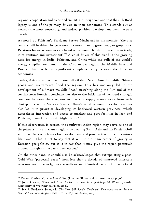regional cooperation and trade and transit with neighbors and that the Silk Road legacy is one of the primary drivers in their economies. This stands out as perhaps the most surprising, and indeed positive, development over the past decade.

As noted by Pakistan's President Pervez Musharraf in his memoir, "the 21st century will be driven by geoeconomics more than by geostrategy or geopolitics. Relations between countries are based on economic bonds - interaction in trade, joint ventures and investment".<sup>205</sup> A chief driver of this trend is the growing need for energy in India, Pakistan, and China while the bulk of the world's energy supplies are found in the Caspian Sea region, the Middle East and Russia. This has led to significant complementarity between the Eurasian economies.

Today, Asia consumes much more gulf oil than North America, while Chinese goods and investments flood the region. This has not only led to the development of a "maritime Silk Road" stretching along the Rimland of the southeastern Eurasian continent but also to the initiation of overland strategic corridors between these regions to diversify supply routes away from such chokepoints as the Malacca Straits. China's rapid economic development has also led it to prioritize developing its backward western provinces, which necessitates interaction and access to markets and port facilities in Iran and Pakistan, potentially also via Afghanistan.<sup>206</sup>

If this observation is correct, the southwest Asian region may serve as one of the primary link and transit regions connecting South Asia and the Persian Gulf with East Asia which may fuel development and provide it with its 21<sup>st</sup> century life-blood. This is not to say that it will be the main center of gravity in Eurasian geo-politics, but it is to say that it may give the region potentials unseen throughout the past three decades.<sup>207</sup>

On the other hand, it should also be acknowledged that extrapolating a post-Cold War "perpetual peace" from less than a decade of improved interstate relations would be to ignore the realities and historical record of international

<sup>205</sup> Pervez Musharraf, *In the Line of Fire*, (London: Simon and Schuster, 2005), p. 308

<sup>206</sup> John Garver, *China and Iran: Ancient Partners in a post-Imperial World* (Seattle: University of Washington Press, 2006).

<sup>207</sup> See S. Frederick Starr, ed., *The New Silk Roads: Trade and Transportation in Greater Central Asia*, Washington: CACI & SRSP Joint Center, 2007.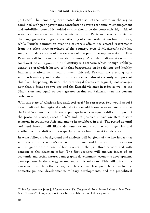politics. 208 The remaining deep-rooted distrust between states in the region combined with poor governance contribute to severe economic mismanagement and unfulfilled potentials. Added to this should be the constantly high risk of state fragmentation and inter-ethnic tensions: Pakistan faces a particular challenge given the ongoing strengthening of cross-border ethno-linguistic ties, while Punjabi domination over the country's affairs has created resentments from the other three provinces of the country, even if Musharraf's rule has sought to balance some of the excesses of the past. The 1971 secession of East Pakistan still looms in the Pakistani memory. A similar Balkanization in the southwest Asian region in the  $2I<sup>st</sup>$  century is a scenario which, though unlikely, cannot be precluded; history tells that burgeoning trade relations and healthy interstate relations could soon unravel. This said Pakistan has a strong state with both military and civilian institutions which almost certainly will prevent this from happening. Besides, the centrifugal forces are arguably not stronger now than a decade or two ago and the Karachi violence in 1980s as well as the Sindh riots put equal or even greater strains on Pakistan than the current turbulence.

Will this state of relations last until 2018-2028? In retrospect, few would in 1988 have predicted that regional trade relations would boom 20 years later and that the Cold War would end. It would perhaps have been equally difficult to predict the profound consequences of  $9/11$  and its positive impact on state-to-state relations in southwest Asia and among its neighbors in 1998. The period up until 2018 and beyond will likely demonstrate many similar contingencies and another tectonic shift will inescapably occur within the next two decades.

In what follows, a background and analysis will be given of the key issues that will determine the region's course up until 2018 and from 2018-2028. Scenarios will be given on the basis of both events in the past three decades and with concern to the situation today. The first sections will analyze issues of an economic and social nature; demographic development, economic development, developments in the energy sector, and ethnic relations. This will inform the assessment in the other areas, which also are less predictable, including: domestic political developments, military developments, and the geopolitical

<sup>208</sup> See for instance John J. Mearsheimer, *The Tragedy of Great Power Politics* (New York, NY: Norton & Company, 2001) for a further elaboration of this argument.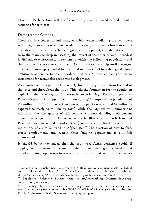situation. Each section will briefly outline probable, plausible, and possible scenarios for 2018-2028.

# Demographic Outlook

-

There are few constants and many variables when predicting the southwest Asian region over the next two decades. However, what can be foreseen with a high degree of certainty is the demographic development; this should therefore form the main backdrop in assessing the impact of the other drivers. Indeed, it is difficult to overestimate the extent to which the ballooning populations and their productive use steers southwest Asia's future course. Up until the 1990s, however, demography tended to be viewed more as a tool to realize great-power ambitions, adherence to Islamic values, and as a "power of plenty" than an instrument for sustainable economic development.

As a consequence, a period of extremely high fertility ensued from the end of the 1970s and throughout the 1980s. This laid the foundation for the population explosion that the region is currently experiencing. Estimates point to Pakistan's population topping 229 million by 2025<sup>209</sup> compared to a population of 169 million in 2007. Similarly, Iran's present population of around 67 million is expected to reach 88 million by 2025<sup>210</sup> while the Afghans will number 50.3 million at the first quarter of this century – almost doubling their current population of 30 million. However, while fertility rates in both Iran and Pakistan have decreased significantly (particularly in Iran) there are no indications of a similar trend in Afghanistan.<sup>211</sup> The question of how to feed, create employment, and sustain these bulging populations is still left unanswered.

It should be acknowledged that the southwest Asian countries could, if employment is created, all transform their current demographic burden and rapidly growing populations into assets. Both Iran and Pakistan find themselves

<sup>209</sup> Sandra Yin, "Pakistan Still Falls Short of Millennium Development Goals for Infant and Maternal Health," Population Reference Bureau webpage: <http://www.prb.org/Articles/2007/pakistan.aspx?p=1> (accessed June 5 2008). 210 Population Reference Bureau, Iran, <http://www.prb.org/Countries/Iran.aspx>

<sup>(</sup>accessed on June 5 2008).

<sup>&</sup>lt;sup>211</sup> The fertility rate is currently estimated at 6.3 per woman while the population growth rate stood at 2.67 percent in 2004. See WHO, *World Health Report 2003*, Health Systems Profile-Afghanistan, Health Status and Demographics, p. 13.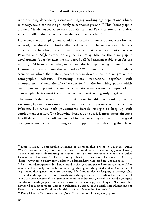with declining dependency ratios and bulging working age populations which, in theory, could contribute positively to economic growth.<sup>212</sup> This "demographic dividend" is also expected to peak in both Iran and Pakistan around 2010 after which it will gradually decline over the next two decades.<sup>213</sup>

However, even if employment would be created and poverty rates were further reduced, the already institutionally weak states in the region would have a difficult time handling the additional pressure for state services, particularly in Pakistan and Afghanistan. As argued by Parag Khanna the demographic development "over the next twenty years [will be] unmanageable even for the military. Pakistan is becoming more like faltering, splintering Indonesia than Islamist democratic powerhouse Turkey." 214 Thus one cannot exclude a scenario in which the state apparatus breaks down under the weight of the demographic colossus. Fracturing state institutions together with unemployment should therefore be conceived as the branching points which could generate a potential crisis. Any realistic scenarios on the impact of the demographic factor must therefore range from positive to grimly negative.

The most likely scenario up until 2018 is one in which economic growth is sustained, by energy incomes in Iran and the current upward economic trend in Pakistan, but where both governments fiercely struggle to keep up with employment creation. The following decade, up to 2028, is more uncertain since it will depend on the policies pursued in the preceding decade and how good both governments are in utilizing existing opportunities, reforming their labor

<sup>212</sup> Durr-eNayab, "Demographic Dividend or Demographic Threat in Pakistan," *PIDE Working papers 2006:10,* Pakistan Institute of Development Economics; Janet Larsen, "Iran's Birth Rate Plummeting at Record Pace: Success Provides a Model for Other Developing Countries," Earth Policy Institute, website December 28 2001, <http://www.earth-policy.org/Updates/Update4ss.htm> (accessed on June 14 2008).

<sup>&</sup>lt;sup>213</sup> Pakistan's demographic dividend started in the 1990s and peaked around 2005-2010. After 2010, it will gradually decline but remain high throughout the period 2018-2018 and up until 2045 when this generation exits working life. Iran is also undergoing a demographic dividend with rapid labor force growth since the 1990s which is predicted to last up until 2010. As a consequence of the 1980s baby boom, Iran has today one of the world's youngest populations with 50 per cent being below 25 years of age, see eNayab, "Demographic Dividend or Demographic Threat in Pakistan,"; Larsen, "Iran's Birth Rate Plummeting at Record Pace: Success Provides a Model for Other Developing Countries".

<sup>214</sup> Parag Khanna, *The Second* World (New York: Random House, 2008), p. 114.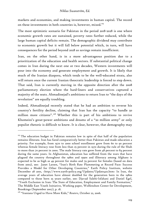markets and economies, and making investments in human capital. The record on these investments in both countries is, however, mixed.<sup>215</sup>

The most optimistic scenario for Pakistan in the period 2018-2028 is one where economic growth rates are sustained, poverty rates further reduced, while the large human capital deficits remain. The demographic dividend may contribute to economic growth but it will fall below potential which, in turn, will have consequences for the period beyond 2028 as savings remain insufficient.

Iran, on the other hand, is in a more advantageous position due to a prioritization of the education and health sectors. If substantial political change comes in Iran during the next one or two decades, Western investments will pour into the economy and generate employment and growth. It is likely that much of the Iranian diaspora, which tends to be the well-educated strata, also will return once the current Iranian theocratic leadership is forced to step down. That said, Iran is currently moving in the opposite direction after the 2008 parliamentary election where the hard-liners and conservatives captured a majority of the seats. Ahmadinejad's ambitions to return Iran to "the days of the revolution" are equally troubling.

Indeed, Ahmadinejad recently stated that he had an ambition to reverse his country's fertility decline, claiming that Iran has the capacity "to handle 50 million more citizens". 216 Whether this is part of his ambitions to revive Khomeini's great-power ambitions and dreams of a "20 million army" or only populist rhetoric is difficult to know. It is clear, however, that demography may

<sup>&</sup>lt;sup>215</sup> The education budget in Pakistan remains low in spite of that half of the population remains illiterate. Iran has fared comparatively better than Pakistan and made education a priority. For example, from 1970 to 2000 school enrollment grew from 60 to 90 percent whereas female literacy rose from less than 25 percent in 1970 during the rule of the Shah to more than 70 percent in 2000. The male literacy rate grew from 48 percent to 84 percent during the same years. In Afghanistan, education has suffered from the wars that have plagued the country throughout the 1980s and 1990s and illiteracy among Afghans is expected to be as high as 49 percent for males and 79 percent for females (based on data from 2002), see: Janet Larsen, "Iran's Birth Rate Plummeting at Record Pace: Success Provides a Model for Other Developing Countries," Earth Policy Institute, website December 28 2001, <http://www.earth-policy.org/Updates/Update4ss.htm> In Iran, the average years of education have almost doubled for the generation born in the 1980s compared to those born 25 years earlier, see: Djavad Salehi-Isfahani and Daniel Egel, "Youth Exclusion in Iran: The State of Education, Employment and Family Formation," The Middle East Youth Initiative, Working paper, Wolfenshon Center for Development, Brookings (September 2007), p. 18.

<sup>216 &</sup>quot;Iranians Urged to Have More Kids," *Reuters*, October 22, 2006.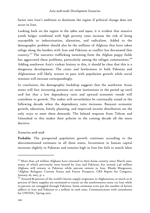factor into Iran's ambition to dominate the region if political change does not occur in Iran.

Looking back on the region in the 1980s and 1990s, it is evident that massive youth bulges combined with high poverty rates increase the risk of being susceptible to indoctrination, alienation, and radicalism. Added to the demographic problem should also be the millions of Afghans that have taken refuge along the borders with Iran and Pakistan as conflict has devastated that country.217 The narcotics trafficking stemming from the Afghan poppy fields has aggravated these problems, particularly among the refugee communities.<sup>218</sup> Adding southwest Asia's violent history to this, it should be clear that this is a dangerous development. The crises and lawlessness in both Pakistan and Afghanistan will likely worsen in pace with population growth while social tensions will increase correspondingly.

In conclusion, the demographic backdrop suggests that the southwest Asian states will face increasing pressure on state institutions in the period up until 2018 but that a low dependency ratio and upward economic trends will contribute to growth. The stakes will nevertheless be continually raised in the following decade when the dependency ratio increases. Buoyant economic growth, education, family planning, and improved income distribution are the only ways to meet these demands. The belated response from Tehran and Islamabad to this makes their policies in the coming decade all the more decisive.

#### *Scenarios 2018-2028*

Probable: The prospected population growth continues according to the abovementioned estimates in all three states. Investment in human capital increases slightly in Pakistan and remains high in Iran but fails to match labor

 $217$  More than 4.8 million Afghans have returned to their home country since March 2002, many of which previously were hosted by Iran and Pakistan, but around 2.46 million Afghans still remain in Pakistan while 900.000 remain in Iran. Rhoda Margesson, "Afghan Refugees: Current Status and Future Prospects. CRS Report for Congress, January 26, 2007, p. 2.

 $218$  Around 86 percent of the world's heroin supply originates in Afghanistan; as much as 61 percent of these supplies are estimated to transit on the southwestern route via Iran while 20 percent are smuggled through Pakistan. Some estimates even put the number of heroin addicts in Iran and Pakistan to 3 million in each state. Communication with consultants for UNODC, Spring 2007.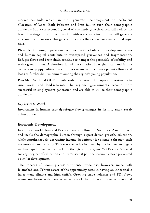market demands which, in turn, generate unemployment or inefficient allocation of labor. Both Pakistan and Iran fail to turn their demographic dividends into a corresponding level of economic growth which will reduce the level of savings. This in combination with weak state institutions will generate an economic crisis once this generation enters the dependency age around 2030- 2045.

Plausible: Growing populations combined with a failure to develop rural areas and human capital contribute to widespread grievances and fragmentation. Refugee flows and brain drain continue to hamper the potentials of stability and stable growth rates. A deterioration of the situation in Afghanistan and failure to decrease poppy cultivation continues to undermine development efforts and leads to further disillusionment among the region's young population.

Possible: Continual GDP growth leads to a return of diaspora, investments in rural areas, and land-reforms. The regional governments become more successful in employment generation and are able to utilize their demographic dividends.

# *Key Issues to Watch*

Investment in human capital; refugee flows; changes in fertility rates; ruralurban divide

# Economic Development

In an ideal world, Iran and Pakistan would follow the Southeast Asian miracle and tackle the demographic burden through export-driven growth, education, while simultaneously decreasing income disparities (for example through such measures as land reform). This was the recipe followed by the four Asian Tigers in their rapid industrialization from the 1960s to the 1990s. Yet Pakistan's feudal society, neglect of education and Iran's statist political economy have prevented a similar development.

The impetus of booming cross-continental trade has, however, made both Islamabad and Tehran aware of the opportunity costs in having an inhospitable investment climate and high tariffs. Growing trade volumes and FDI flows across southwest Asia have acted as one of the primary drivers of structural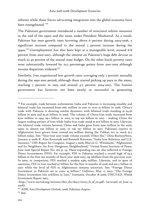reforms while those forces advocating integration into the global economy have been strengthened.<sup>219</sup>

The Pakistani government introduced a number of structural reform measures in the end of the 1990s and the 2000s under President Musharraf. As a result, Pakistan has seen growth rates hovering above 6 percent during 2004-2006, a significant increase compared to the annual 2 percent increase during the 1990s.220 Unemployment has also been kept at a manageable level, around 6-8 percent from 2003-2007, although the interest on Pakistan's huge debt devour as much as 40 percent of the annual state budget. On the other hand, poverty rates were substantially lowered by 10,5 percentage points from 2001-2005 although income disparities widened.<sup>221</sup>

Similarly, Iran experienced low growth rates averaging only 2 percent annually during the 1990-2001 period, although these started picking up pace in the 2000s, reaching 7 percent in 2003 and around 4-5 percent 2004-2007. The Iranian government has however not been nearly as successful in generating

<sup>&</sup>lt;sup>219</sup> For example, trade between archenemies India and Pakistan is increasing steadily and bilateral trade has increased from \$161 million in 2001 to over \$1 billion in 2006. China's trade with Pakistan is showing similar dynamics with bilateral trade standing at \$4.26 billion in 2005 and \$5.26 billion in 2006. The volume of China-Iran trade increased from \$700 million in 1993, \$9.2 billion in 2005, to top \$20 billion in 2007 – making China the largest trading partner of Iran while India-Iran trade stood at \$1.6 billion in 2005. Likewise, the bilateral trade volume between China and India grew from \$200 million in the early 1990s to almost \$20 billion in 2005, to top \$37 billion in 2007. Pakistani exports to Afghanistan have grown from around \$25 million during the Taliban era to reach \$1.2 billion today. See: "Sino-Iran 2007 trade volume exceeds US\$20 bln," *China BusinessNews,*  January 31 2008; K. Alan Kronstadt and Kenneth Katzman, "India-Iran Relations and U.S. Interests," CRS Report for Congress, August 2 2006; Marvin G. Weinbaum, "Afghanistan and Its Neighbors: An Ever Dangerous Neighborhood," United States Institute of Peace, June 2006 Special Report No. 162, p. 14; These expanding ties are also reflected in Foreign Direct Investments (FDI). For example, FDI in Pakistan reached a record high of \$4.5 billion in the first ten months of fiscal year 2006-2007, up \$1billion from the previous year. In 2000, in comparison, FDI reached a modest \$463 million. Likewise, and in spite of sanctions, FDI in Iran reached \$7 billion for the first 10 months of 2006 and \$10.7 billion in 2007 while the level of FDI in Afghanistan remains uncertain. See: "Foreign Direct Investment in Pakistan set to cross \$5 billion," *Gulfnews*, May 17 2007; "The Foreign Direct Investment hits \$7billion in Iran," *Iranmania*, October 18 2006; UNCTAD, World Investment Report 2007,

<sup>&</sup>lt;http://www.unctad.org/sections/dite\_dir/docs/wir07\_fs\_af\_en.pdf> (accessed on June 14 2008).

<sup>220</sup> ADB, *Asia Development Outlook*, 2008, Pakistan chapter. 221 *Ibid*.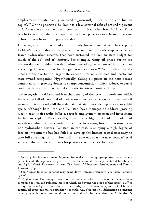employment despite having invested significantly in education and human capital.<sup>222</sup> On the positive side, Iran has a low external debt of around  $7$  percent of GDP at the same time as structural reform already has been initiated. Postrevolutionary Iran also has a managed to lower poverty rates: from 40 percent before the revolution to 20 percent today.

However, that Iran has fared comparatively better than Pakistan in the post-Cold War period should not primarily account to the leadership; it is rather Iran's hydrocarbon reserves that have sustained the Iranian state budget for much of the 20<sup>th</sup> and 2<sup>st</sup> century. For example, rising oil prices during the present decade provided President Ahmadinejad's government with oil incomes exceeding US\$120 billion for budget years 2005-2006.<sup>223</sup> Still, Tehran barely breaks even, due to the large state expenditures on subsidies and inefficient state-owned companies. Hypothetically, falling oil prices in the next decade combined with growing domestic energy consumption (which reduces exports) could result in a major budget deficit bordering on economic collapse.

Taken together, Pakistan and Iran share many of the structural problems which impede the full of potential of their economies. Yet whereas Iran has used oil incomes to temporarily fill these deficits Pakistan has ended up in a vicious debt cycle. Although both Iran and Pakistan have managed to address growing wealth gaps, their results differ as regards employment creation and investment in human capital. Paradoxically, Iran has a highly skilled and educated workforce which remains underutilized due to waning foreign investments in non-hydrocarbon sectors. Pakistan, in contrast, is enjoying a high degree of foreign investments but has failed to develop the human capital necessary to take full advantage of it.<sup>224</sup> How will this play out over the next decades? And what are the main determinants for positive economic development?

<sup>&</sup>lt;sup>222</sup> In 2004, for instance, unemployment for males in the age group 20-24 stood at 22.2 percent while the equivalent figure for females amounted to 42.5 percent. Salehi-Isfahani and Egel, "Youth Exclusion in Iran: The State of Education, Employment and Family Formation," p. 24.

<sup>223</sup> See: "Squandered oil bonanza may bring down Iranian President," *The Times*, January 15 2008.

<sup>&</sup>lt;sup>224</sup> Afghanistan has many more preconditions attached to economic development compared to Iran and Pakistan, most of which are beyond the scope of this report. Suffice to say, the security situation, the narcotics trade, poor infrastructure, and lack of human capital, all represent major obstacles to growth. Any forecast on Afghanistan's economic development is bound to remain tentative and will be dependent on Afghanistan's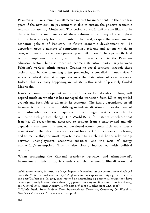Pakistan will likely remain an attractive market for investments in the next few years if the new civilian government is able to sustain the positive economic reforms initiated by Musharraf. The period up until 2018 is also likely to be characterized by maintenance of these reforms since many of the highest hurdles have already been surmounted. That said, despite the sound macroeconomic policies of Pakistan, its future economic development will be dependent upon a number of complementary reforms and actions which, in turn, will determine the development up to 2018. These include primarily land reform, employment creation, and further investments into the Pakistani education sector – but also improved income distribution, particularly between Pakistan's various ethnic groups. Countering social tensions through these actions will be the branching point preventing a so-called "Hamas effect" whereby radical Islamist groups take over the distribution of social services. Indeed, this is already happening in Pakistan's thousands of privately funded Madrasahs.

Iran's economic development in the next one or two decades, in turn, will depend much on whether it has managed the transition from ISI to export-led growth and been able to diversify its economy. The heavy dependence on oil incomes is unsustainable and shifting to industrialization and development of non-hydrocarbon sectors will require additional foreign investments which only will come with political change. The World Bank, for instance, concludes that Iran has all preconditions necessary to convert from a state-owned and oildependent economy to "a modern developed economy—in little more than a generation" if the reform process does not backtrack.<sup>225</sup> In a shorter timeframe, and to realize this, the most important issue to watch will be the relationship between unemployment, economic subsidies, and the ratio of energy production/consumption. This is also closely intertwined with political reforms.

When comparing the Khatami presidency 1997-2005 and Ahmadinejad's incumbent administration, it stands clear that economic liberalization and

stabilization which, in turn, to a large degree is dependent on the commitment displayed from the "international community." Afghanistan has experienced high growth rates in the post-Taliban era. In 2004, they reached an astounding 29 percent although they have been significantly lowered since then to 7.5 percent in 2005 and 8 percent in 2006 and 2007, see: Central Intelligence Agency, *World Fact Book 2008* (Washington: CIA, 2008).

<sup>225</sup> World Bank, Iran- *Medium Term Framework for Transition, Converting Oil Wealth to Development: Economic Memorandum*, 2003, p. 28.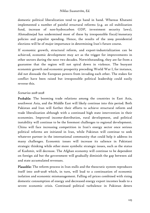domestic political liberalization tend to go hand in hand. Whereas Khatami implemented a number of painful structural reforms (e.g. an oil stabilization fund, increase of non-hydrocarbon GDP, investment security laws), Ahmadinejad has undermined most of these by irresponsible fiscal/monetary policies and populist spending. Hence, the results of the 2009 presidential elections will be of major importance in determining Iran's future course.

If economic growth, structural reform, and export-industrialization can be achieved, economic development may act as the trigger for improvements in other sectors during the next two decades. Notwithstanding, they are far from a guarantee that the region will not spiral down in violence. The buoyant economic growth and economic prosperity preceding World War I, for instance, did not dissuade the European powers from invading each other. The stakes for conflict have been raised but irresponsible political leadership could easily reverse this.

### *Scenarios 2018-2028*

Probable: The booming trade relations among the countries in East Asia, southwest Asia, and the Middle East will likely continue into this period. Both Pakistan and Iran will further their efforts to achieve structural reform and trade liberalization although with a continued high state intervention in their economies. Improved income-distribution, rural development, and political instability will continue to be the foremost challenges to regional development. China will face increasing competition in Iran's energy sector once serious political reforms are initiated in Iran, while Pakistan will continue to seek whatever partner in the international community that could help it address its many challenges. Economic issues will increase its salience in Pakistani strategic thinking while other more symbolic strategic issues, such as the status of Kashmir, will decrease. The Afghan economy will continue to be dependent on foreign aid but the government will gradually diminish the gap between aid and state accumulated revenues.

Plausible: The reform process in Iran stalls and the theocratic system reproduces itself into 2018-2028 which, in turn, will lead to a continuation of economic isolation and economic mismanagement. Falling oil prices combined with rising domestic consumption of energy and decreased energy export incomes leads to a severe economic crisis. Continued political turbulence in Pakistan deters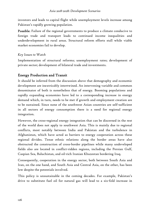investors and leads to capital flight while unemployment levels increase among Pakistan's rapidly growing population.

Possible: Failure of the regional governments to produce a climate conducive to foreign trade and transport leads to continued income inequalities and underdevelopment in rural areas. Structural reform efforts stall while viable market economies fail to develop.

# *Key Issues to Watch*

Implementation of structural reforms; unemployment rates; development of private sector; development of bilateral trade and investments.

# Energy Production and Transit

It should be inferred from the discussion above that demography and economic development are inextricably intertwined. An intervening variable and common denominator of both is nonetheless that of energy. Booming populations and rapidly expanding economies have led to a corresponding increase in energy demand which, in turn, needs to be met if growth and employment creation are to be sustained. Since none of the southwest Asian countries are self-sufficient in all sectors of energy consumption there is a need for regional energy integration.

However, the cross-regional energy integration that can be discerned in the rest of the world does not apply to southwest Asia. This is mainly due to regional conflicts, most notably between India and Pakistan and the turbulence in Afghanistan, which have acted as barriers to energy cooperation across these regional divides. Tense ethnic relations along the border areas have also obstructed the construction of cross-border pipelines while many undeveloped fields also are located in conflict-ridden regions, including the Persian Gulf, Caspian Sea, Baluchistan, and oil-rich Iranian Khuzestan bordering Iraq.

Consequently, cooperation in the energy sector, both between South Asia and Iran, on the one hand, and South Asia and Central Asia, on the other, has been low despite the potentials involved.

This policy is unsustainable in the coming decades. For example, Pakistan's drive to substitute fuel oil for natural gas will lead to a six-fold increase in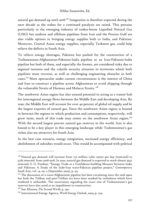natural gas demand up until 2018.<sup>226</sup> Integration is therefore expected during the next decade as the stakes for a continued paralysis are raised. This pertains particularly to the emerging industry of tanker-borne Liquefied Natural Gas (LNG) but onshore and offshore pipelines from Iran and the Persian Gulf are also viable options in bringing energy supplies both to India, and Pakistan. Moreover, Central Asian energy supplies, especially Turkmen gas, could help relieve the deficits in South Asia.

To relieve energy shortages, Pakistan has pushed for the construction of a Turkmenistan-Afghanistan-Pakistan-India pipeline or an Iran-Pakistan-India pipeline but both of these, and especially the former, are considered risky due to regional tensions and the volatile security situation in territories which both pipelines must traverse, as well as challenging engineering obstacles in both cases.<sup>227</sup> More spectacular under current circumstances is the interest of China and Iran to construct a pipeline across Afghanistan to avoid shipping through the vulnerable Straits of Hormuz and Malacca Straits.<sup>228</sup>

The southwest Asian region has also unused potential in acting as a transit hub for interregional energy flows between the Middle East and developing Asia. By 2030, the Middle East will account for over 40 percent of global oil supply and be the largest exporter of natural gas. Since the southwest Asian region is located in between the regions in which production and consumption, respectively, will grow most, much of this trade may center on the southwest Asian region.<sup>229</sup> With the second largest proven natural gas reserves in the world, Iran is also bound to be a key player in this emerging landscape while Turkmenistan's gas riches also are attractive for South Asia.

In the best case scenario, energy integration, increased energy efficiency, and abolishment of subsidies would occur. This would be accompanied with political

 $226$  Natural gas demand will increase from 775 million cubic meter per day (mmcmd) to 4785 mmcmd from 2008-2018. In 2020, natural gas demand is expected to reach almost 5947 mmcmd, S. G. Pandian, "Energy Trade as a Confidence-building Measure between India and Pakistan: A Study of the Indo-Iran trans-Pakistan pipeline project," *Contemporary South Asia*, vol. 14, no. 3 (September 2005), p. 315.

 $227$  The discussion of a trans-Afghanistan pipeline has been circulating since the mid 1990s but both the Taliban and post-Taliban era have been marked by turbulence which have rendered it unfeasible. The uncertainty regarding the exact size of Turkmenistan's gas reserves have also acted as an impediment to construction.

<sup>228</sup> See, Khanna, *The Second World*, p. 230.

<sup>229</sup> International Energy Agency, *World Energy Outlook*, 2004, p. 279.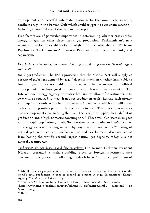development and peaceful interstate relations. In the worst case scenario, conflicts erupt in the Persian Gulf which could trigger its own chain reaction – including a potential use of the Iranian oil-weapon.

Five factors are of particular importance in determining whether cross-border energy integration takes place: Iran's gas production; Turkmenistan's new strategic direction; the stabilization of Afghanistan; whether the Iran-Pakistan-Pipeline or Turkmenistan-Afghanistan-Pakistan-India pipeline is built; and separatism.

# *Key factors determining Southwest Asia's potential as production/transit region 2018-2028*

*Iran's gas production:* The IEA's projection that the Middle East will supply 42 percent of global gas demand by 2030<sup>230</sup> depends much on whether Iran is able to free up gas for export, which, in turn, will be dependent on political developments, technological progress, and foreign investments. The International Energy Agency estimates that US\$165 billion of investments up to 2030 will be required to meet Iran's set production goals. Raising such money will require not only Asian but also western investments which are unlikely to be forthcoming unless political change occurs in Iran. The IEA's forecast may also seem optimistic considering that Iran, the lynchpin supplier, has a deficit of production and a high domestic consumption.<sup>231</sup> These will also worsen in pace with its rapid population growth. Some estimates even point to Iran's incomes on energy exports dropping to zero by 2015 due to these factors.<sup>232</sup> Flaring of natural gas combined with inefficient use and development also entails that Iran, having the world's second largest natural gas deposits, today is a net natural gas importer.

*Turkmenistan's gas deposits and foreign policy*: The former Turkmen President Niyazov presented a main stumbling block to foreign investments into Turkmenistan's gas sector. Following his death in 2006 and the appointment of

 $230$  Middle Eastern gas production is expected to increase from around 14 percent of the world's total production in 2002 to around 42 percent in 2030, International Energy Agency, *World Energy Outlook*, 2004.

<sup>&</sup>lt;sup>231</sup> "Tehran's Oil Dysfunction," Council on Foreign Relations, CFR Backgrounder <http://www.cfr.org/publication/12625/tehrans\_oil\_disfunction.html>, (accessed on March 2 2007).

<sup>&</sup>lt;sup>232</sup> Ibid.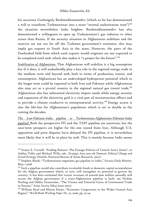his successor Gurbanguly Berdimukhammedov (which so far has demonstrated a will to transform Turkmenistan into a more "normal authoritarian state")<sup>233</sup> the situation nevertheless looks brighter. Berdimukhammedov has also demonstrated a willingness to open up Turkmenistan's gas industry to other actors than Russia. If the security situation in Afghanistan stabilizes and the reserves are not too far off the Turkmen government's estimates, this may imply gas exports to South Asia in the 2020s. However, the parts of the Dauletabad field from which such exports would originate are not expected to be completed until 2018, which also makes it "a project for the future".<sup>234</sup>

*Stabilization of Afghanistan:* That Afghanistan will stabilize is a big assumption but if it does, it will undoubtedly play a key role in the regional energy trade in the medium term and beyond 2018, both in terms of production, transit, and consumption. Afghanistan has an undeveloped hydropower potential which in the longer term could be exported to both Iran and Pakistan while Afghanistan also may act as a pivotal country in the regional natural gas transit trade.<sup>235</sup> Afghanistan also has substantial electricity import needs while energy security and expansion of the electricity grid is a vital part of reconstruction efforts and to provide a climate conducive to entrepreneurial activity.<sup>236</sup> Energy access is also the life-line for Afghanistan's population which is set to double in the coming the decades.

*The Iran-Pakistan-India pipeline or Turkmenistan-Afghanistan-Pakistan-India pipeline?* Both the prospective IPI and the TAPI pipeline are uncertain, but the near-term prospects are higher for the one routed from Iran. Although U.S. opposition and price disputes have delayed the IPI pipeline, it is nevertheless more likely that it will be in place by 2018. This is mainly because India seems

<sup>&</sup>lt;sup>233</sup> Svante E. Cornell, "Finding Balance: The Foreign Policies of Central Asia's States", in Ashley Tellis and Michael Wills, eds., *Strategic Asia 2007-08: Domestic Political Change and Grand Strategy* (Seattle: National Bureau of Asian Research, 2007).

<sup>234</sup> Stephen Blank, "Turkmenistan negotiates gas pipeline to India," *Eurasia Daily Monitor*, May 1 2008.

 $235$  Such a pipeline would also contribute invaluable funds to domestic capital accumulation for the Afghan government which, in turn, will strengthen its potential to govern the country. It has been estimated that transit revenues of around \$300 million annually will accrue the Afghan government if a trans-Afghanistan pipeline is built, see Nicklas Norling and Niklas Swanström, "The Virtues and Potential Gains of Continental Trade in Eurasia," *Asian Survey* (May-June 2007).

<sup>&</sup>lt;sup>236</sup> William Byrd and Martin Raiser, "Economic Cooperation in the Wider Central Asia Region," *World Bank Working Paper No. 75*, 2006, pp. 23-24.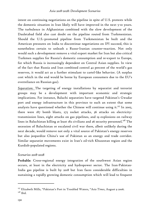intent on continuing negotiations on the pipeline in spite of U.S. protests while the domestic situation in Iran likely will have improved in the next 5-10 years. The turbulence in Afghanistan combined with the slow development of the Dauletabad field also cast doubt on the pipeline routed from Turkmenistan. Should the U.S.-promoted pipeline from Turkmenistan be built and the American pressures on India to discontinue negotiations on IPI succeed, this is nonetheless certain to unleash a Russo-Iranian counter-reaction. Not only would such a development remove a vital export market for Iran but also critical Turkmen supplies for Russia's domestic consumption and re-export to Europe, for which Russia is increasingly dependent on Central Asian supplies. In view of the fact that Russia and Iran combined control 42 percent of the world's gas reserves, it would act as a further stimulant to cartel-like behavior. (A surplus cost which in the end would be borne by European consumers due to the EU's overreliance on Russian gas).

*Separatism*: The targeting of energy installations by separatist and terrorist groups may be a development with important economic and strategic implications. For instance, Baluchi separatists have targeted Pakistan's Gwadar port and energy infrastructure in this province to such an extent that some analysts have questioned whether the Chinese will continue using it.<sup>237</sup> In 2005, there were 187 bomb blasts, 275 rocket attacks, 36 attacks on electricitytransmission lines, eight attacks on gas pipelines, and 19 explosions on railway lines in Baluchistan killing at least  $182$  civilians and  $26$  security personnel.<sup>238</sup> The secession of Baluchistan or escalated civil war there, albeit unlikely during the next decade, would remove not only a vital source of Pakistan's energy reserves but also jeopardize China's use of Pakistan as an energy and trade corridor. Similar separatist movements exist in Iran's oil-rich Khuzestan region and the Kurdish-populated regions.

#### *Scenarios 2018-2028*

Probable: Cross-regional energy integration of the southwest Asian region occurs, at least in the electricity and hydropower sector. The Iran-Pakistan-India gas pipeline is built by 2018 but Iran faces considerable difficulties in sustaining a rapidly growing domestic consumption which will lead to frequent

<sup>237</sup> Elizabeth Mills, "Pakistan's Port in Troubled Waters, "*Asia Times*, August 9 2006. <sup>238</sup> *Ibid*.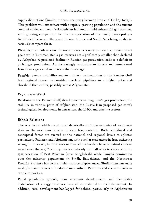supply disruptions (similar to those occurring between Iran and Turkey today). This problem will exacerbate with a rapidly growing population and the current trend of colder winters. Turkmenistan is found to hold substantial gas reserves, with growing competition for the transportation of the newly developed gas fields' yield between China and Russia, Europe and South Asia being unable to seriously compete for it.

Plausible: Iran fails to raise the investments necessary to meet its production set goals while Turkmenistan's gas reserves are significantly smaller than declared by Ashgabat. A predicted decline in Russian gas production leads to a deficit in global gas production. An increasingly authoritarian Russia and unreformed Iran form a gas cartel to increase their leverage.

Possible: Severe instability and/or military confrontation in the Persian Gulf lead regional actors to consider overland pipelines to a higher price and threshold than earlier, possibly across Afghanistan.

# *Key Issues to Watch*

Relations in the Persian Gulf; developments in Iraq; Iran's gas production; the stability in various parts of Afghanistan; the Russia-Iran proposed gas cartel; technological developments in extraction, the LNG, and pipeline sectors.

# Ethnic Relations

The one factor which could most drastically shift the tectonics of southwest Asia in the next two decades is state fragmentation. Both centrifugal and centripetal forces are exerted at the national and regional levels to splinter particularly Pakistan and Afghanistan, with similar tendencies in Iran gathering strength. However, in difference to Iran whose borders have remained close to intact since the  $16$ -17<sup>th</sup> century, Pakistan already lost half of its territory with the 1972 secession of East Pakistan (now Bangladesh) while Punjabi domination over the minority populations in Sindh, Baluchistan, and the Northwest Frontier Province has been a violent source of grievances. Similar tensions exist in Afghanistan between the dominant southern Pashtuns and the non-Pashtun ethnic minorities.

Rapid population growth, poor economic development, and inequitable distribution of energy revenues have all contributed to such discontent. In addition, rural development has lagged far behind, particularly in Afghanistan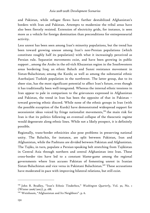and Pakistan, while refugee flows have further destabilized Afghanistan's borders with Iran and Pakistan. Attempts to modernize the tribal areas have also been fiercely resisted. Extension of electricity grids, for instance, is seen more as a vehicle for foreign domination than preconditions for entrepreneurial activity.

Less unrest has been seen among Iran's minority populations, but the trend has been toward growing unease among Iran's non-Persian populations (which constitute roughly half its population) with what it increasingly perceived as Persian rule. Separatist movements exist, and have been growing in public support , among the Arabs in the oil-rich Khuzestan region in the Southwestern areas bordering Iraq; an ethnic Baluch and Sunni resistance movement in Sistan-Baluchistan; among the Kurds; as well as among the substantial ethnic Azerbaijani Turkish population in the northwest. The latter group, due to its sheer size, has the most significant potential to affect Iran's future, even though it has traditionally been well-integrated. Whereas the internal ethnic tensions in Iran appear to pale in comparison to the grievances expressed in Afghanistan and Pakistan, the trend in Iran has been the opposite of that in Pakistan – toward growing ethnic discord. While none of the ethnic groups in Iran (with the possible exception of the Kurds) have demonstrated widespread support for secessionist ideas voiced by fringe nationalist movements,<sup>339</sup> the main risk for Iran is that its politics following an eventual collapse of the theocratic regime would degenerate along ethnic lines. While not a likely prospect, it is definitely possible.

Regionally, trans-border ethnicities also pose problems in preserving national unity. The Baluchis, for instance, are split between Pakistan, Iran and Afghanistan, while the Pashtuns are divided between Pakistan and Afghanistan. The Tajiks, in turn, populate a Persian-speaking belt stretching from Tajikistan in Central Asia through northern and central Afghanistan into Iran. These cross-border ties have led to a constant blame-game among the regional governments where Iran accuses Pakistan of fomenting unrest in Iranian Sistan-Baluchistan and vice versa in Pakistani Baluchistan.240 These accusations have moderated in pace with improving bilateral relations, but still exist.

<sup>239</sup> John R. Bradley, "Iran's Ethnic Tinderbox," *Washington Quarterly*, Vol. 30, No. 1 (Winter 2006/2007), p. 188.

<sup>&</sup>lt;sup>240</sup> Weinbaum, "Afghanistan and Its Neighbors". p. 6.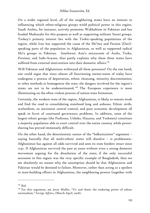On a wider regional level, all of the neighboring states have an interest in influencing which ethno-religious groups wield political power in this region. Saudi Arabia, for instance, actively promotes Wahhabism in Pakistan and has funded Madrasahs for this purpose as well as supporting militant Sunni groups. Turkey's primary interest lies with the Turkic-speaking populations of the region, while Iran has supported the cause of the Shi'ites and Persian (Dari) speaking parts of the population in Afghanistan, as well as supported radical Shi'a groups in Pakistan. Southwest Asia's microcosm of Arabs, Turks, Persians, and Indo-Aryans, thus partly explains why these three states have suffered from external intervention into their domestic affairs.<sup>241</sup>

Will Pakistan and Afghanistan withstand all these pressures? On the one hand, one could argue that since almost all functioning nation-states of today have undergone a process of deportation, ethnic cleansing, minority discrimination, or other methods to homogenize the state, the dangers involved for the region's states are not to be underestimated.<sup>242</sup> The European experience is most illuminating on the often violent process of nation-state formation.

Certainly, the weakest state of the region, Afghanistan, is likely to remain weak and find the road to consolidating statehood long and arduous. Ethnic strife, warlordism, an inexistent central control, and poor economic development all speak in favor of continued governance problems. In addition, none of the largest ethnic groups (the Pashtuns, Uzbeks, Hazaras, and Turkmen) constitute a majority population able to exert control over the entire country while powersharing has proved immensely difficult.

On the other hand, the deterministic nature of the "balkanization" argument – saying basically that all multi-ethnic states will dissolve – is problematic. Afghanistan has against all odds survived and seen its state borders intact since 1747. If Afghanistan survived the past 30 years without even a strong domestic movement arguing for the dissolution of the state; if the only successful secession in this region was the very specific example of Bangladesh; then we see absolutely no reason why the assumption should be that Afghanistan and Pakistan would be destined to failure. Moreover, rather than acting as a spoilers to state-building efforts in Afghanistan, the neighboring powers (together with

<sup>241</sup> *Ibid.*

<sup>&</sup>lt;sup>242</sup> For this argument, see Jerry Muller, "Us and them: the enduring power of ethnic nationalism," *Foreign Affairs,* (March-April, 2008).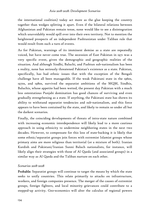the international coalition) today act more as the glue keeping the country together than wedges splitting it apart. Even if the bilateral relations between Afghanistan and Pakistan remain tense, none would like to see a disintegration which unavoidably would spill over into their own territory. Not to mention the heightened prospects of an independent Pashtunistan under Taliban rule that would result from such a turn of events.

As for Pakistan, warnings of its imminent demise as a state are repeatedly voiced, but have never come true. The secession of East Pakistan in 1971 was a very specific event, given the demographic and geographic realities of the situation. And although Sindhi, Baluchi, and Pashtun sub-nationalism has been a reality, none has seriously threatened Pakistan's existence as a state. Pakistan, specifically, has had ethnic issues that with the exception of the Bengali challenge have all been manageable. If the weak Pakistani state in the 1960s, 1970s, and 1980s, survived the separatist ambitions of the MQM, Sindhis, Baluchis, whose appetite had been wetted, the present day Pakistan with a much less ostentatious Punjabi domination has good chances of surviving and even gradually strengthening as a state. If anything, the Pakistani state has shown its ability to withstand separatist tendencies and sub-nationalism, and this force appears to have been contained by the state, and likely to remain so under all but the darkest scenarios.

Finally, the coinciding developments of threats of intra-state nature combined with increasing economic interdependence will likely lead to a more cautious approach in using ethnicity to undermine neighboring states in the next two decades. However, to compensate for this loss of state-backing it is likely that some ethnic/separatist groups join forces with extremist Islamist groups whose primary aims are more religious than territorial (or a mixture of both). Iranian Kurdish and Pakistani/Iranian Sunni Baluch nationalists, for instance, will likely align their strategies with those of Al Qaeda (and associated groups) in a similar way as Al Qaeda and the Taliban nurture on each other.

#### *Scenarios 2018-2028*

Probable: Separatist groups will continue to target the means by which the state seeks to unify countries. This relate primarily to attacks on infrastructure, workers, and foreign companies presence. The merger of the causes of extremist groups, foreign fighters, and local minority grievances could contribute to a stepped-up activity. Geo-economics will alter the calculus of regional powers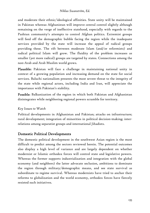and moderate their ethnic/ideological affinities. State unity will be maintained in Pakistan whereas Afghanistan will improve central control slightly although remaining on the verge of ineffective statehood, especially with regards to the Pashtun community's attempts to control Afghan politics. Extremist groups will feed off the demographic bubble facing the region while the inadequate services provided by the state will increase the appeal of radical groups providing these. The rift between moderate Islam (and/or reformists) and radical political Islam will grow. The fluidity of the problem increases as smaller (yet more radical) groups are targeted by states. Connections among the non-Arab and Arab Muslim world grows.

Plausible: Pakistan will face a challenge in maintaining national unity in context of a growing population and increasing demand on the state for social services. Baluchi nationalism presents the most severe threat to the integrity of the state while regional actors, including India and Iran, will appreciate the importance with Pakistan's stability.

Possible: Balkanization of the region in which both Pakistan and Afghanistan disintegrates while neighboring regional powers scramble for territory.

# *Key Issues to Watch*

Political developments in Afghanistan and Pakistan; attacks on infrastructure; rural development; integration of minorities in political decision-making; interrelations among separatist groups and international Jihadists.

# Domestic Political Developments

The domestic political development in the southwest Asian region is the most difficult to predict among the sectors reviewed herein. The potential outcomes also display a high level of variance and are largely dependent on whether modernist or Islamic orthodox forces will control state and legislative powers. Whereas the former supports industrialization and integration with the global economy (and neighbors) the latter advocate seclusion, ambitions to dominate the region through military/demographic means, and see state survival as subordinate to regime survival. Whereas modernists have tried to anchor their reforms to globalization and the world economy, orthodox forces have fiercely resisted such initiatives.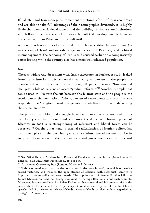If Pakistan and Iran manage to implement structural reform of their economies and are able to take full advantage of their demographic dividends, it is highly likely that democratic development and the building of viable state institutions will follow. The prospects of a favorable political development is however higher in Iran than Pakistan during 2018-2028.

Although both states are victims to Islamic orthodoxy either in government (as in the case of Iran) and outside of (as in the case of Pakistan) and political mismanagement, the economy of Iran is as discussed earlier on a comparatively better footing while the country also has a more well-educated population.

#### *Iran*

There is widespread discontent with Iran's theocratic leadership. A study leaked from Iran's interior ministry reveal that nearly 90 percent of the people are dissatisfied with the current government, 28 percent wants "fundamental changes", while 66 percent advocate "gradual reforms."243 Another example that can be used to illustrate the rift between the Islamic state and the people is the secularism of the population. Only 25 percent of respondents in a recent survey responded that "religion played a large role in their lives" further underscoring the secular trend.<sup>244</sup>

The political transition and struggle have been particularly pronounced in the past two years. On the one hand, and since the defeat of reformist president Khatami in 2005, a re-strengthening of reformist and liberal forces can be observed.245 On the other hand, a parallel radicalization of Iranian politics has also taken place in the past few years. Since Ahmadinejad assumed office in 2005, a militarization of the Iranian state and government can be discerned

<sup>243</sup> See Nikki Keddie, Modern Iran: Roots and Results of the Revolution (New Haven & London: Yale University Press, 2006), pp. 282-283.

<sup>244</sup> Ali Ansari, *Confronting Iran* (London: Hurst and Co, 2005).

 $245$  This was manifested both in the local council elections in 2006, in which reformists scored victories, and through the appointment of officials with reformist leanings to important foreign policy advisory boards. The appointment of former Foreign Minister Kamal Kharazzi to head the Strategic Council for Foreign Relations is one such example. Moreover, former president Ali Akbar Rafsanjani has consolidated his powers within the Assembly of Experts and the Expediency Council at the expense of the hard-liners spearheaded by Ayatollah Mesbah-Yazdi. Mesbah-Yazdi is also widely regarded as protégé of Ahmadinejad.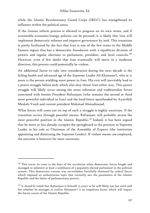while the Islamic Revolutionary Guard Corps (IRGC) has strengthened its influence within the political arena.

If the Iranian reform process is allowed to progress on its own terms, and if sustainable economic/energy policies can be pursued, it is likely that Iran will implement democratic reforms and improve governance by 2018. This transition is partly facilitated by the fact that Iran is one of the few states in the Middle Eastern region that has a democratic foundation with a republican division of powers and regular elections to parliament, president, and local councils.<sup>246</sup> However, even if few doubt that Iran eventually will move in a moderate direction, this process could potentially be violent.

An additional factor to take into consideration during the next decade is the failing health and advanced age of the Supreme Leader Ali Khamene'I, who at 71 years is the person wielding most power in Iran. His exit will inevitably lead to a power struggle before 2018, which also may thrust Iran either way. This power struggle will likely occur among the more reformist and traditionalist forces associated with former President Rafsanjani (who remains the second or third most powerful individual in Iran) and the hard-liners spearheaded by Ayatollah Mesbah-Yazdi and current president Mahmud Ahmadinejad.

What forces will come out on top of such a struggle is highly uncertain. If the transition occurs through peaceful means, Rafsanjani will probably secure the most powerful position in the Islamic Republic.<sup>247</sup> Indeed, it has been argued that he more or less already occupies the springboard to the position as Supreme Leader in his role as Chairman of the Assembly of Experts (the institution appointing and dismissing the Supreme Leader). If violent means are employed, the outcome is however far more uncertain.

 $246$  This traces its roots to the days of the revolution when democratic forces fought and managed to sediment at least a semblance of a popularly elected parliament in the political system. This democratic current was nevertheless forcefully shattered by radical forces which imposed an authoritarian layer that currently sets the parameters of the Islamic Republic and the limits of parliamentary powers.

<sup>&</sup>lt;sup>247</sup> It shoud be noted that Rafsanjani is himself 75 years so he will likely not last until 2018 but whether he manages to outlive Khamene'i is an important factor which will impact the future course of the Islamic Republic.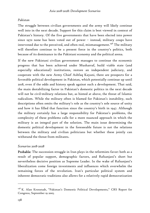#### *Pakistan*

The struggle between civilian governments and the army will likely continue well into in the next decade. Support for this claim is best viewed in context of Pakistan's history. Of the five governments that have been elected into power since 1970 none has been voted out of power – instead, military coups have intervened due to the perceived, and often real, mismanagement.<sup>248</sup> The military will therefore continue to be a present force in the country's politics, both because of its dominance in the Pakistani economy and the political arena.

If the new Pakistani civilian government manages to continue the economic progress that has been achieved under Musharraf, build viable state (and especially educational) institutions, restore an independent judiciary, and cooperate with the new Army Chief Ashfaq Kayani, there are prospects for a favorable political development in Pakistan, which potentially continue up until 2018, even if the odds and history speak against such a development. That said, the main destabilizing factor in Pakistan's domestic politics in the next decade will not be civil-military relations but, as hinted at above, the threat of Islamic radicalism. While the military often is blamed for Pakistan's instability, such descriptions often omits the military's role as the country's sole source of unity and how it has filled that function since the country's birth in 1947. Although the military certainly has a large responsibility for Pakistan's problems, the complexity of these problems calls for a more nuanced approach in which the military is an integral part of the solution. The main issue determining the domestic political development in the foreseeable future is not the relations between the military and civilian politicians but whether these jointly can withstand the threat from militants.

#### *Scenarios 2018-2028*

Probable: The succession struggle in Iran plays in the reformists favor: both as a result of popular support, demographic factors, and Rafsanjani's short but nevertheless decisive position as Supreme Leader. In the wake of Rafsanjani's liberalization come foreign investments and influences which overwhelm the remaining forces of the revolution. Iran's particular political system and inherent democratic traditions also allows for a relatively rapid democratization

<sup>248</sup> K. Alan Kronstadt, "Pakistan's Domestic Political Developments," CRS Report for Congress, September 19 2005.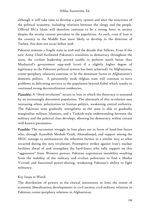although it will take time to develop a party system and alter the structures of the political economy, including relations between the clergy and the people. Official Shi'a Islam will therefore continue to be a strong force in society despite the secular current prevalent in the population. As such, even if Iran is the country in the Middle East most likely to develop in the direction of Turkey, this does not occur before 2028.

Pakistan remains a fragile state in 2018 and the decade that follows. Even if the new Army Chief facilitated Pakistan's transition to democracy throughout the 2010s, the civilian leadership proved unable to perform much better than Musharraf's government 1999-2008 (even if a slightly higher degree of legitimacy in the Pakistani political system has been achieved). In Afghanistan, center-periphery relations continue to be the dominant factor in Afghanistan's domestic politics. A persistently weak Afghan state will continue to have problems in delivering services to the population beyond Kabul which results in continued strong decentralization tendencies.

Plausible: A "third revolution" occurs in Iran in which the theocracy is unseated by an increasingly discontent population. The aftermath of this revolution sees increasing ethnic polarization in Iranian politics, weakening central authority. The Pakistani state gradually strengthens as the state is able to gradually marginalize militant Islamists, and a Turkish-style understanding between the military and the political class develops, allowing for democracy within certain well-known parameters.

Possible: The succession struggle in Iran plays out in favor of hard-line forces who, through Ayatollah Mesbah-Yazdi, Ahmadinejad, and support among the IRGC manage to outmaneuver the reformist faction in a similar way as what occurred during the 1979 revolution. Preemptive strikes against Iran's nuclear facilities ahead of 2018 strengthen the hard-liners who rally support on this "aggression" from Western powers. Pakistan experiences instability resulting from the inability of the military and civilian politicians to find a Modus Vivendi and functional power-sharing, weakening Pakistan's ability to fight militancy.

### *Key Issues to Watch*

The distribution of powers in the clerical institutions in Iran; the extent of economic liberalization; developments in civil society; civil-military relations in Pakistan; center-periphery relations in Afghanistan.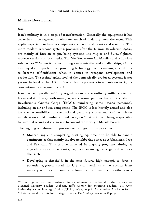# Military Development

#### *Iran*

Iran's military is in a stage of transformation. Generally the equipment it has today has to be regarded as obsolete, much of it dating from the 1970s. This applies especially to heavier equipment such as aircraft, tanks and warships. The more modern weapons systems, procured after the Islamic Revolution (1979), are mainly of Russian origin, being systems like Mig-29 and Su-24 fighters, modern versions of T-72 tanks, Tor M-1 Surface-to-Air Missiles and Kilo class submarines.<sup>249</sup> When it comes to long range missiles and smaller ships, China has played an important role providing technology. Iran is making great efforts to become self-sufficient when it comes to weapons development and production. The technological level of the domestically produced systems is not yet on the level of the U.S. or Russia. Iran is presently in no position to fight a conventional war against the U.S..

Iran has two parallel military organizations – the ordinary military (Army, Navy and Air Force), with some 700,000 personnel put together, and the Islamic Revolution's Guards Corps (IRGC), numbering some 125,000 personnel, including an air and sea component. The IRGC is less heavily armed and also has the responsibility for the national guard style reserves, Basij, which on mobilization could number around 1,000,000.<sup>250</sup> Apart from being responsible for internal security it is also said to control the strategic Missile Forces.

The ongoing transformation process seems to go for four priorities:

- Modernizing and completing existing equipment to be able to handle contingencies that mainly involve neighboring states as Afghanistan, Iraq and Pakistan. This can be reflected in ongoing programs aiming at upgrading systems as tanks, fighters, acquiring laser guided artillery shells, etc.;
- Developing a threshold, in the near future, high enough to force a potential aggressor (read the U.S. and Israel) to either abstain from military action or to mount a prolonged air campaign before other assets

<sup>&</sup>lt;sup>249</sup> Exact figures regarding Iranian military equipment can be found on the Institute for National Security Studies Website, Jaffe Center for Strategic Studies, Tel Aviv University, <www.inss.org.il/upload/(FILE)1198577424.pdf>, (accessed on April 4 2008).

<sup>250</sup> International Institute for Strategic Studies, *The Military Balance 2008*, p 244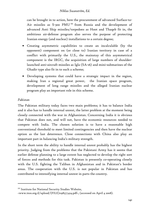can be brought in to action, here the procurement of advanced Surface-to-Air missiles as S-300 PMU<sup>251</sup> from Russia and the development of advanced Anti Ship missiles/torpedoes as Hoot and Thaqeb fit in, the ambitious air-defense program also serves the purpose of protecting Iranian energy (and nuclear) installations to a certain degree;

- Creating asymmetric capabilities to create an incalculable (by the opponent) component on (or close to) Iranian territory in case of a conflict with primarily the U.S., the mainstay of this asymmetrical component is the IRGC, the acquisition of large numbers of shoulderlaunched anti-aircraft missiles as Igla (SA-16) and mini-submarines of the Ghadir type also fit in to such a scheme;
- Developing systems that could have a strategic impact in the region, making Iran a regional great power, the Iranian space program, development of long range missiles and the alleged Iranian nuclear program play an important role in this scheme.

### *Pakistan*

-

The Pakistan military today faces two main problems; it has to balance India and it also has to handle internal unrest, the latter problem at the moment being closely connected with the war in Afghanistan. Concerning India it is obvious that Pakistan does not, and will not, have the economic resources needed to compete with India. The chosen solution is to have a reasonable high conventional threshold to meet limited contingencies and then have the nuclear option as the last deterrence. Close connections with China also play an important part in balancing India's military strength.

In the short term the ability to handle internal unrest probably has the highest priority. Judging from the problems that the Pakistani Army has it seems that earlier defense planning to a large extent has neglected to develop the right sort of forces and methods for this task. Pakistan is presently co-operating closely with the U.S. fighting the Taliban in Afghanistan and in Pakistan's border areas. The cooperation with the U.S. is not popular in Pakistan and has contributed to intensifying internal unrest in parts the country.

<sup>&</sup>lt;sup>251</sup> Institute for National Security Studies Website,

<sup>&</sup>lt;www.inss.org.il/upload/(FILE)1198577424.pdf>, (accessed on April 4 2008).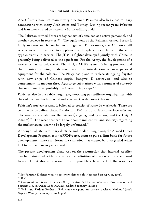Apart from China, its main strategic partner, Pakistan also has close military connections with many Arab states and Turkey. During recent years Pakistan and Iran have started to cooperate in the military field.

The Pakistan Armed Forces today consist of some 600,000 active personnel, and another 500,000 in reserves.<sup>252</sup> The equipment of the Pakistan Armed Forces is fairly modern and is continuously upgraded. For example, the Air Force will receive new F-16 fighters to supplement and replace older planes of the same type currently in service. The JF-17, a fighter developed jointly with China, is presently being delivered to the squadrons. For the Army, the development of a new tank has started, the Al Khalid II, a MLRS system is being procured and the infantry is being modernized with the introduction of new personal equipment for the soldiers. The Navy has plans to replace its ageing frigates with new ships of Chinese origin, Jiangwei II destroyers, and also to complement its modern three Agosta-90 submarines with a number of state-ofthe-art submarines, probably the German U-214 type.<sup>253</sup>

Pakistan also has a fairly large, 300,000-strong paramilitary organization with the task to meet both internal and external (border areas) threats.

Pakistan's nuclear arsenal is believed to consist of some 60 warheads. There are two means to deliver them. By aircraft, F-16, or by surface-to-surface missiles. The missiles available are the *Ghauri* (range 135 and 2300 km) and the *Hatf-II* (300km).254 The recent concerns about command, control and security, regarding the nuclear assets, seem to be largely unfounded.<sup>255</sup>

Although Pakistan's military doctrine and modernizing plans, the Armed Forces Development Program 2019 (AFFDP-2019), seem to give a firm basis for future developments, there are alternative scenarios that cannot be disregarded when looking some 10 to 20 years ahead.

The present development plans rest on the assumption that internal stability can be maintained without a radical re-definition of the tasks, for the armed forces. If that should turn out to be impossible a large part of the resources

<sup>&</sup>lt;sup>252</sup>See Pakistan Defence website at: <www.defence.pk>, (accessed on April 11, 2008). <sup>253</sup> *Ibid.*

<sup>&</sup>lt;sup>254</sup> Congressional Research Service (US), Pakistan's Nuclear Weapons: Proliferation and Security Issues, Order Code RL34248, updated January 14, 2008

<sup>255</sup> I*bid*.; and Farhan Bokhari, "Pakistan's weapons are secure, declares Mullen," *Jane's Defence Weekly*, February 20 2008, p. 18.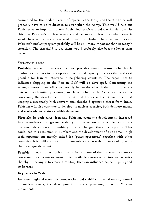earmarked for the modernization of especially the Navy and the Air Force will probably have to be re-directed to strengthen the Army. This would rule out Pakistan as an important player in the Indian Ocean and the Arabian Sea. In this case Pakistan's nuclear assets would be, more or less, the only means it would have to counter a perceived threat from India. Therefore, in this case Pakistan's nuclear program probably will be still more important than in today's situation. The threshold to use them would probably also become lower than today.

#### *Scenarios 2018-2028*

Probable: In the Iranian case the most probable scenario seems to be that it gradually continues to develop its conventional capacity in a way that makes it possible for Iran to intervene in neighboring countries. The capabilities to influence shipping in the Persian Gulf will be developed. Concerning the strategic assets, they will continuously be developed with the aim to create a deterrent with initially regional, and later global, reach. As far as Pakistan is concerned, the development of the Armed Forces will continue to aim at keeping a reasonably high conventional threshold against a threat from India. Pakistan will also continue to develop its nuclear capacity, both delivery means and warheads, to retain a credible deterrent.

Plausible: In both cases, Iran and Pakistan, economic development, increased interdependence and greater stability in the region as a whole leads to a decreased dependence on military means, changed threat perceptions. This could lead to a reduction in numbers and the development of quite small, high tech, organizations mainly suited for "peace operations" together with other countries. It is unlikely also in this benevolent scenario that they would give up their strategic deterrent.

Possible: Internal unrest, in both countries or in one of them, forces the country concerned to concentrate most of its available resources on internal security thereby hindering it to create a military that can influence happenings beyond its borders.

### Key Issues to Watch

Increased regional economic co-operation and stability, internal unrest, control of nuclear assets, the development of space programs, extreme Moslem movements.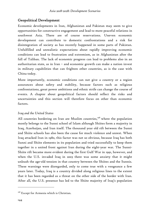# Geopolitical Development

Economic developments in Iran, Afghanistan and Pakistan may seem to give opportunities for constructive engagement and lead to more peaceful relations in southwest Asia. There are of course reservations. Uneven economic development can contribute to domestic confrontations and a risk for disintegration of society as has recently happened in some parts of Pakistan. Unfulfilled and unrealistic expectations about rapidly improving economic conditions can lead to frustration and extremism, as in Afghanistan after the fall of Taliban. The lack of economic progress can lead to problems also in an authoritarian state, as in Iran – and economic growth can make a nation invest in military capabilities that can frighten other countries, as is the case with China today.

More importantly, economic conditions can not give a country or a region assurances about safety and stability, because factors such as religious confrontations, great power ambitions and ethnic strife can change the course of events. A chapter about geopolitical factors should reflect the risks and uncertainties and this section will therefore focus on other than economic factors.

### *Iraq and the United States*

All countries bordering on Iran are Muslim countries,<sup>256</sup> where the population mostly belongs to the Sunni school of Islam although Shiites form a majority in Iraq, Azerbaijan, and Iran itself. The thousand year old rift between the Sunni and Shiite schools has also been the cause for much violence and unrest. When Iraq attacked Iran in 1980, this factor was not so obvious, because Iraq has both Sunni and Shiite elements in its population and tried successfully to keep them together in a united front against Iran during the eight-year war. The Sunni-Shiite rift became more evident during the first Gulf War in 1991, however, and when the U.S. invaded Iraq in 2003 there was some anxiety that it might unleash the age-old tension in that country between the Shiites and the Sunnis. These warnings were disregarded, only to come true with a vengeance a few years later. Today, Iraq is a country divided along religious lines to the extent that it has been regarded as a threat on the other side of the border with Iran. After all, the U.S. presence has led to the Shiite majority of Iraq's population

<sup>&</sup>lt;sup>256</sup> Except for Armenia which is Christian.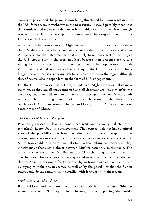coming to power and this power is now being threatened by Sunni resistance. If the U.S. forces were to withdraw in the near future, it would possibly mean that the Sunnis would try to take the power back, which seems to have been enough reason for the clergy leadership in Tehran to enter into negotiations with the U.S. about the future of Iraq.

A connection between events in Afghanistan and Iraq is quite evident, both in the U.S. debate about whether or not the troops shall be withdrawn and when Al Qaeda make their statements. That is likely to remain a fact for as long as the U.S. troops stay in the area, not least because their presence per se is a strong reason for the anti-U.S. feelings among the populations in both Afghanistan and Pakistan, as well as in Iraq. If the U.S. forces remain for a longer period, there is a growing risk for a radicalization in the region although this, of course, also is dependent on the form of U.S. engagement.

For the U.S. the question is not only about Iraq, Afghanistan, or Pakistan in isolation, as they are all interconnected and all decisions are likely to affect the entire region. They will, moreover, have an impact upon East Asia's and South Asia's supply of oil and gas from the Gulf, the global economy, the safety of the Sea-lanes of Communication in the Indian Ocean, and the American policy of containment of China.

#### *The Presence of Nuclear Weapons*

Pakistan possesses nuclear weapons since 1998, and ordinary Pakistanis are remarkably happy about this achievement. They generally do not have a critical view of the possibility that Iran may also obtain a nuclear weapon, but in private conversations there sometimes appears concern over the perspective that Shiite Iran could threaten Sunni Pakistan. When talking to westerners, they mostly insist that such a threat between Muslim nations is unthinkable. The same is true for other Muslim nationalities; they regard such ideas as blasphemous. However, articles have appeared in western media about the risk that the Saudi rulers would feel threatened by an Iranian nuclear bomb and react by trying to make one in secrecy as well as by the possibility that the Syrian rulers could do the same, with the conflict with Israel as the main reason.

#### *Southwest Asia-India-China*

Both Pakistan and Iran are much involved with both India and China in strategic matters. U.S. policy for India, in turn, aims at supporting "the world's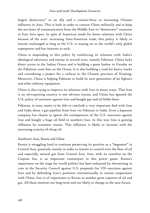largest democracy" as an ally and a counter-force to increasing Chinese influence in Asia. This is both in order to contain China militarily and to keep the sea-lanes of communication from the Middle East to "democratic" countries in East Asia open. In spite of American needs for better relations with China because of the ever- increasing Sino-American trade, this policy is likely to remain unchanged as long as the U.S. is staying on as the world's only global superpower and has interests as such.

China is responding to this policy by reinforcing its relations with India's ideological adversary and enemy in several wars, namely Pakistan. China lacks direct access to the Indian Ocean and is building a great harbor in Gwadar on the Pakistani coast-line on the Ocean. It is also building a road for heavy trucks and considering a project for a railway to the Chinese province of Xinjiang. Moreover, China is helping Pakistan to build its next generation of jet fighters and other military equipment.

China is also trying to improve its relations with Iran in many ways. That Iran is an oil-exporting country is one obvious reason, and China has ignored the U.S. policy of sanctions against Iran and bought gas and oil fields there.

Pakistan, in turn, seems to be able to conclude a very important deal with Iran and India about a gas-pipeline from Iran via Pakistan to India. Even a Japanese company has chosen to ignore the consequences of the U.S. sanctions against Iran and bought a huge oil field in southern Iran. In this way Iran is gaining influence by economic means. This influence is likely to increase with the increasing scarcity of cheap oil.

#### *Southwest Asia, Russia and China*

Russia is struggling hard to continue preserving its position as a "hegemon" in Central Asia, presently mainly in order to remain in control over the flow of oil and especially natural gas from Central Asia. Iran, with its coastline on the Caspian Sea, is an important counterpart in this power game. Russia's importance on the stage for world politics has been enhanced by threatening to vote in the Security Council against U.S. proposals for UN sanctions against Iran and by defending Iran's positions internationally in certain cooperation with China. Iran is of importance to Russia as another great exporter of oil and gas. All these interests are long-term and not likely to change in the near future.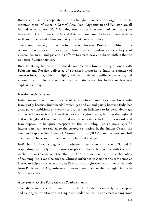Russia and China cooperate in the Shanghai Cooperation organization to maintain their influence in Central Asia. Iran, Afghanistan and Pakistan are all invited as observers. SCO is being used as an instrument of countering an increasing U.S. influence in Central Asia and now possibly in southwest Asia as well, and Russia and China are likely to continue that policy.

There are, however, also competing interests between Russia and China in the region. Russia does not welcome China's growing influence as a buyer of Central Asian oil and gas and its efforts to create new and direct outlets that do not cross Russian territory.

Russia's strong bonds with India do not match China's strategic bonds with Pakistan and Russian deliveries of advanced weapons to India is a matter of concern for China, which is helping Pakistan to develop military hardware, and whose threat to India was given as the main reason for India's nuclear test explosions in 1998.

### *Iran-India-United States*

India continues with some degree of success to enhance its connections with Iran, partly because India needs Iranian gas and oil and partly because India has great power ambitions and wants to use Iranian influence to its own advantage – or at least see to it that Iran does not turn against India, both on the regional and on the global level. India is making considerable efforts in this regard, and Iran appears to be quite receptive to this courtship. India's more specific interests in Iran are related to the strategic situation in the Indian Ocean, the need to keep the Sea Lanes of Communication (SLOC) to the Persian Gulf open, and to have an uninterrupted supply of oil and gas.

India has initiated a degree of maritime cooperation with the U.S. and is responding positively to invitations to play a police role together with the U.S. in the Indian Ocean. Whether the next U.S. president will continue the policy of courting India (as a balance to Chinese influence in Asia) at the same time as it tries to help preserve stability in Pakistan and fight the war on terrorism both from Pakistan and Afghanistan will mean a great deal to the strategic picture in South West Asia.

### *A Long-term Global Perspective on Southwest Asia*

The rift between the Sunni and Shiite schools of Islam is unlikely to disappear and as long as the situation in Iraq is not under control, it can create a dangerous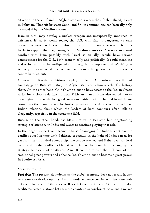situation in the Gulf and in Afghanistan and worsen the rift that already exists in Pakistan. That rift between Sunni and Shiite communities can basically only be mended by the Muslim nations.

Iran, in turn, may develop a nuclear weapon and unexpectedly announce its existence. If, as it seems today, the U.S. will find it dangerous to take preventive measures in such a situation or go to a preventive war, it is more likely to support the neighboring Sunni Muslim countries. A war or an armed conflict with Iran, possibly with Israel as an ally, would have serious consequences for the U.S., both economically and politically. It could mean the end of its status as the undisputed and sole global superpower and Washington is likely to try to avoid that as much as it can although such a turn of events cannot be ruled out.

Chinese and Russian ambitions to play a role in Afghanistan have limited success, given Russia's history in Afghanistan and China's lack of a history there. On the other hand, China's ambitions to have access to the Indian Ocean make for a closer relationship with Pakistan than it otherwise would like to have, given its wish for good relations with India. The Pakistani factor constitutes the main obstacle for further progress in the efforts to improve Sino-Indian relations about which the leaders of both countries often talk so eloquently, especially in the economic field.

Russia, on the other hand, has little interest in Pakistan but longstanding strategic relations with India and wants to continue playing that role.

In the longer perspective it seems to be self-damaging for India to continue the conflict over Kashmir with Pakistan, especially in the light of India's need for gas from Iran. If a deal about a pipeline can be reached and if that deal can lead to an end to the conflict with Pakistan, it has the potential of changing the strategic landscape of Southwest Asia. It could diminish the influence of the traditional great powers and enhance India's ambitions to become a great power in Southwest Asia.

### *Scenarios 2018-2028*

Probable: The present slow-down in the global economy does not result in any recession world-wide up to 2018 and interdependence continues to increase both between India and China as well as between U.S. and China. This also facilitates better relations between the countries in southwest Asia. India makes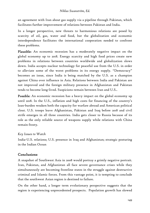an agreement with Iran about gas supply via a pipeline through Pakistan, which facilitates further improvement of relations between Pakistan and India.

In a longer perspective, new threats to harmonious relations are posed by scarcity of oil, gas, water and food, but the globalization and economic interdependence facilitates the international cooperation needed to confront these problems.

Plausible: An economic recession has a moderately negative impact on the global economy up to 2018. Energy scarcity and high food prices create new problems in relations between countries worldwide and globalization slows down. India accepts nuclear technology for peaceful use from the U.S. in order to alleviate some of the worst problems in its energy supply. "Democracy" becomes an issue, since India is being matched by the U.S. as a champion against China over influence in Asia. Relations between India and Pakistan are not improved and the foreign military presence in Afghanistan and Pakistan tends to become long-lived. Suspicions remain between Iran and U.S..

Possible: An economic recession has a heavy impact on the global economy up until 2018. In the U.S., inflation and high costs for financing of the country's loan-burden weaken both the capacity for warfare abroad and American political clout. U.S. troops leave Afghanistan, Pakistan and Iraq before 2018 and civil strife emerges in all three countries. India gets closer to Russia because of its role as the only reliable source of weapons supply while relations with China remain frosty.

### *Key Issues to Watch*

India-U.S. relations; U.S. presence in Iraq and Afghanistan; strategic posturing in the Indian Ocean

## Conclusions

A snapshot of Southwest Asia in 2008 would portray a grimly negative portrait. Iran, Pakistan, and Afghanistan all face severe governance crises while they simultaneously are becoming frontline states in the struggle against destructive criminal and Islamic forces. From this vantage point, it is tempting to conclude that the southwest Asian region is destined to failure.

On the other hand, a longer term evolutionary perspective suggests that the region is experiencing unprecedented prospects. Population growth has slowed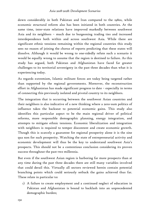down considerably in both Pakistan and Iran compared to the 1980s, while economic structural reform also has been initiated in both countries. At the same time, inter-state relations have improved markedly between southwest Asia and its neighbors – much due to burgeoning trading ties and increased interdependence both within and across southwest Asia. While there are significant ethnic tensions remaining within the regional countries this study sees no reason of joining the chorus of reports predicting that these states will dissolve. Although it would be wrong to one-sidedly refute such a scenario it would be equally wrong to assume that the region is destined to failure. As this study has argued, both Pakistan and Afghanistan have faced far greater challenges to its territorial sovereignty in the past three decades than what it is experiencing today.

As regards extremism, Islamic militant forces are today being targeted rather than supported by the regional governments. Moreover, the reconstruction effort in Afghanistan has made significant progress to date – especially in terms of connecting this previously isolated and pivotal country to its neighbors.

The integration that is occurring between the southwest Asian countries and their neighbors is also indicative of a new thinking where a zero-sum politics of influence takes the backseat to potential economic gains. This study also identifies this particular aspect to be the main regional driver of political reforms, more responsible demographic planning, energy integration, and attempts to mitigate ethnic tensions. Economic liberalization and integration with neighbors is required to temper discontent and create economic growth. Though this is scarcely a guarantee for regional prosperity alone it is the sine qua non for such prosperity. Watching the state of entrepreneurial activity and economic development will thus be the key to understand southwest Asia's prospects. This should not be a contentious conclusion considering its proven success throughout the past two millennia.

But even if the southwest Asian region is harboring far more prospects than at any time during the past three decades there are still many variables involved that could derail this. Virtually all sectors reviewed herein contain potential branching points which could seriously setback the gains achieved thus far. These relate in particular to:

1) A failure to create employment and a continued neglect of education in Pakistan and Afghanistan is bound to backlash into an unprecedented demographic burden;